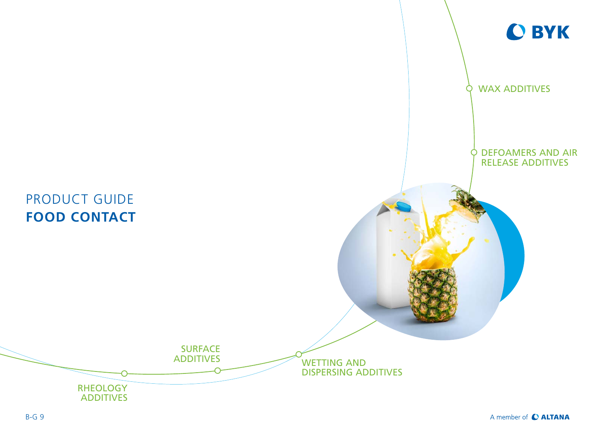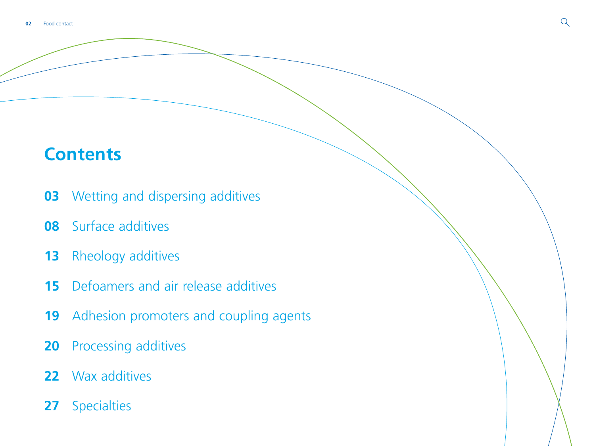# **Contents**

- [Wetting and dispersing additives](#page-2-0)
- [Surface additives](#page-7-0)
- [Rheology additives](#page-12-0)
- [Defoamers and air release additives](#page-14-0)
- [Adhesion promoters and coupling agents](#page-18-0)
- [Processing additives](#page-19-0)
- [Wax additives](#page-21-0)
- [Specialties](#page-26-0)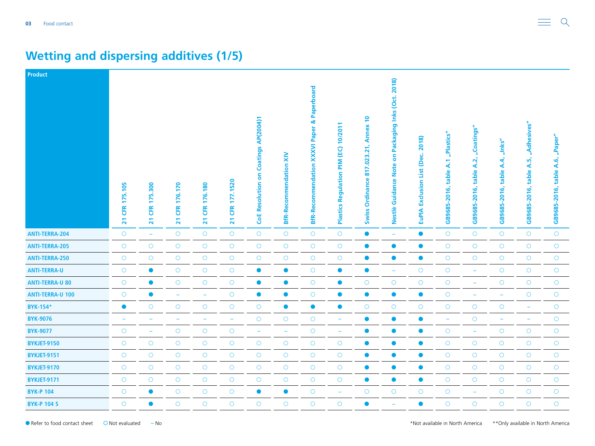| Product                 |                                         |                                                        |                                                 |                                                  |                                   |                                                  |                               |                                                                  |                                                                         |                                                              |                                                                   |                                                     |                                         |                                             |                                            |                                                 |                                          |
|-------------------------|-----------------------------------------|--------------------------------------------------------|-------------------------------------------------|--------------------------------------------------|-----------------------------------|--------------------------------------------------|-------------------------------|------------------------------------------------------------------|-------------------------------------------------------------------------|--------------------------------------------------------------|-------------------------------------------------------------------|-----------------------------------------------------|-----------------------------------------|---------------------------------------------|--------------------------------------------|-------------------------------------------------|------------------------------------------|
|                         | 175.105<br><b>EK</b><br>$\overline{21}$ | <b>300</b><br>μń<br>H<br><b>CFR</b><br>$\overline{21}$ | 176.170<br><b>ER</b><br>$\overline{\mathbf{z}}$ | 176.180<br><b>CFR</b><br>$\overline{\mathbf{z}}$ | 177.1520<br>EK<br>$\overline{21}$ | Coatings AP(2004)1<br>S<br><b>CoE Resolution</b> | <b>BfR-Recommendation XIV</b> | <b>XXXVI Paper &amp; Paperboard</b><br><b>BfR-Recommendation</b> | 10/2011<br>$\overline{6}$<br>$\sum_{i=1}^{n}$<br>Regulation<br>Plastics | Annex 10<br>21,<br>.023.<br>817<br>Ordinance<br><b>Swiss</b> | Packaging Inks (Oct. 2018)<br>S<br><b>Guidance Note</b><br>Nestlè | 2018)<br>(Dec.<br>List<br>Exclusion<br><b>EuPIA</b> | "Plastics"<br>table A.1<br>GB9685-2016, | "Coatings"<br>A.2,<br>table<br>GB9685-2016, | $n$ Inks"<br>A.4,<br>table<br>GB9685-2016, | "Adhesives"<br>ທ້<br>∢<br>table<br>GB9685-2016, | "Paper"<br>A.6,<br>table<br>GB9685-2016, |
| <b>ANTI-TERRA-204</b>   | $\circ$                                 | $\equiv$                                               | $\circ$                                         | $\bigcirc$                                       | $\bigcirc$                        | $\bigcirc$                                       | $\bigcirc$                    | $\circ$                                                          | $\bigcirc$                                                              | $\bullet$                                                    | $\equiv$                                                          | $\bullet$                                           | $\bigcirc$                              | $\bigcirc$                                  | $\bigcirc$                                 | $\circ$                                         | $\circ$                                  |
| <b>ANTI-TERRA-205</b>   | $\bigcirc$                              | $\circ$                                                | $\circ$                                         | $\bigcirc$                                       | $\bigcirc$                        | $\bigcirc$                                       | $\bigcirc$                    | $\circ$                                                          | $\bigcirc$                                                              | $\bullet$                                                    | $\bullet$                                                         | $\bullet$                                           | $\bigcirc$                              | $\circ$                                     | $\circ$                                    | $\circ$                                         | $\bigcirc$                               |
| <b>ANTI-TERRA-250</b>   | $\bigcirc$                              | $\bigcirc$                                             | $\bigcirc$                                      | $\bigcirc$                                       | $\bigcirc$                        | $\bigcirc$                                       | $\bigcirc$                    | $\circ$                                                          | $\bigcirc$                                                              | $\bullet$                                                    | $\bullet$                                                         | $\bullet$                                           | $\bigcirc$                              | $\bigcirc$                                  | $\bigcirc$                                 | $\bigcirc$                                      | $\bigcirc$                               |
| <b>ANTI-TERRA-U</b>     | $\circ$                                 | $\bullet$                                              | $\bigcirc$                                      | $\bigcirc$                                       | $\bigcirc$                        | $\bullet$                                        | $\bullet$                     | $\circ$                                                          | $\bullet$                                                               | $\bullet$                                                    | $\overline{\phantom{a}}$                                          | $\circlearrowright$                                 | $\bigcirc$                              | $\rightarrow$                               | $\bigcirc$                                 | $\circ$                                         | $\circ$                                  |
| <b>ANTI-TERRA-U 80</b>  | $\circ$                                 | $\bullet$                                              | $\bigcirc$                                      | $\circ$                                          | $\bigcirc$                        | $\bullet$                                        | $\bullet$                     | $\circ$                                                          | $\bullet$                                                               | $\circ$                                                      | $\circ$                                                           | $\bigcirc$                                          | $\bigcirc$                              | ÷                                           | $\bigcirc$                                 | $\circ$                                         | $\circ$                                  |
| <b>ANTI-TERRA-U 100</b> | $\bigcirc$                              | $\bullet$                                              | ÷                                               | ÷                                                | $\bigcirc$                        | $\bullet$                                        | $\bullet$                     | $\circ$                                                          | $\bullet$                                                               | $\bullet$                                                    | $\bullet$                                                         | $\bullet$                                           | $\circ$                                 | ۳                                           | $\equiv$                                   | $\bigcirc$                                      | $\bigcirc$                               |
| <b>BYK-154*</b>         | $\bullet$                               | $\circ$                                                | $\circ$                                         | $\bigcirc$                                       | $\bigcirc$                        | $\bigcirc$                                       | $\bullet$                     | $\bullet$                                                        | $\bullet$                                                               | $\circ$                                                      | $\bigcirc$                                                        | $\circ$                                             | $\bigcirc$                              | $\bigcirc$                                  | $\circ$                                    | $\overline{\phantom{m}}$                        | $\circ$                                  |
| <b>BYK-9076</b>         |                                         |                                                        |                                                 |                                                  | $\overline{\phantom{a}}$          | $\bigcirc$                                       | $\bigcirc$                    | $\circ$                                                          | ۰                                                                       | $\bullet$                                                    | $\bullet$                                                         | $\bullet$                                           | $\overline{\phantom{a}}$                | $\bigcirc$                                  | $\overline{\phantom{m}}$                   | $\overline{\phantom{0}}$                        | $\bigcirc$                               |
| <b>BYK-9077</b>         | $\bigcirc$                              | ۰                                                      | $\bigcirc$                                      | $\circ$                                          | $\bigcirc$                        | ÷                                                | $\equiv$                      | $\circ$                                                          | $\overline{\phantom{a}}$                                                | $\bullet$                                                    | $\bullet$                                                         | $\bullet$                                           | $\circ$                                 | ÷                                           | $\bigcirc$                                 | $\bigcirc$                                      | $\bigcirc$                               |
| <b>BYKJET-9150</b>      | $\bigcirc$                              | $\circ$                                                | $\circ$                                         | $\bigcirc$                                       | $\bigcirc$                        | $\bigcirc$                                       | $\bigcirc$                    | $\circ$                                                          | $\circ$                                                                 | $\bullet$                                                    | $\bullet$                                                         | $\bullet$                                           | $\bigcirc$                              | $\bigcirc$                                  | $\circ$                                    | $\circ$                                         | $\circ$                                  |
| <b>BYKJET-9151</b>      | $\bigcirc$                              | $\circ$                                                | $\bigcirc$                                      | $\bigcirc$                                       | $\bigcirc$                        | $\bigcirc$                                       | $\bigcirc$                    | $\circ$                                                          | $\circ$                                                                 | $\bullet$                                                    | $\bullet$                                                         | $\bullet$                                           | $\bigcirc$                              | $\bigcirc$                                  | $\circ$                                    | $\circ$                                         | $\bigcirc$                               |
| <b>BYKJET-9170</b>      | $\circ$                                 | $\circ$                                                | $\circ$                                         | $\circ$                                          | $\bigcirc$                        | $\bigcirc$                                       | $\circ$                       | $\circ$                                                          | $\circ$                                                                 | $\bullet$                                                    | $\bullet$                                                         | $\bullet$                                           | $\bigcirc$                              | $\bigcirc$                                  | $\bigcirc$                                 | $\circ$                                         | $\circ$                                  |
| <b>BYKJET-9171</b>      | $\bigcirc$                              | $\circ$                                                | $\circ$                                         | $\bigcirc$                                       | $\bigcirc$                        | $\bigcirc$                                       | $\circ$                       | $\circ$                                                          | $\circ$                                                                 | $\bullet$                                                    | $\bullet$                                                         | $\bullet$                                           | $\bigcirc$                              | $\circ$                                     | $\circ$                                    | $\circ$                                         | $\circ$                                  |
| <b>BYK-P 104</b>        | $\bigcirc$                              | $\bullet$                                              | $\bigcirc$                                      | $\bigcirc$                                       | $\bigcirc$                        | $\bullet$                                        | $\bullet$                     | $\circ$                                                          | $\overline{\phantom{m}}$                                                | $\bigcirc$                                                   | $\bigcirc$                                                        | $\bigcirc$                                          | $\bigcirc$                              | $\overline{\phantom{m}}$                    | $\bigcirc$                                 | $\bigcirc$                                      | $\bigcirc$                               |
| <b>BYK-P 104 S</b>      | $\circ$                                 | $\bullet$                                              | $\circ$                                         | $\circ$                                          | $\circ$                           | $\circ$                                          | $\circ$                       | $\circ$                                                          | $\circ$                                                                 | $\bullet$                                                    | ۰                                                                 | $\bullet$                                           | $\circ$                                 | $\circ$                                     | $\circ$                                    | $\bigcirc$                                      | $\circ$                                  |

# <span id="page-2-0"></span>**Wetting and dispersing additives (1/5)**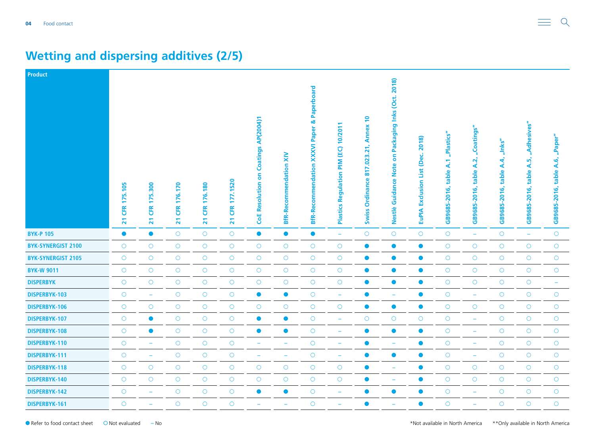| <b>Product</b>            |                                         |                                           |                            |                                                 |                                   |                                                                        |                               |                                                                    |                                                  |                                                              |                                                                                     |                                                           |                                         |                                            |                                                        |                                                 |                                            |
|---------------------------|-----------------------------------------|-------------------------------------------|----------------------------|-------------------------------------------------|-----------------------------------|------------------------------------------------------------------------|-------------------------------|--------------------------------------------------------------------|--------------------------------------------------|--------------------------------------------------------------|-------------------------------------------------------------------------------------|-----------------------------------------------------------|-----------------------------------------|--------------------------------------------|--------------------------------------------------------|-------------------------------------------------|--------------------------------------------|
|                           | 175.105<br><b>ER</b><br>$\overline{21}$ | <b>300</b><br>ιń,<br>₽<br><b>ER</b><br>21 | 176.170<br><b>ER</b><br>21 | 176.180<br><b>ER</b><br>$\overline{\mathbf{z}}$ | 177.1520<br>EK<br>$\overline{21}$ | Coatings AP(2004)1<br>$\overline{\mathbf{5}}$<br><b>CoE Resolution</b> | <b>BfR-Recommendation XIV</b> | Paperboard<br>œ<br><b>XXXVI Paper</b><br><b>BfR-Recommendation</b> | 10/2011<br>(EC)<br>MId<br>Regulation<br>Plastics | Annex 10<br>21,<br>.023.<br>817<br>Ordinance<br><b>Swiss</b> | Packaging Inks (Oct. 2018)<br>$\overline{\bf{5}}$<br><b>Guidance Note</b><br>Nestlè | 2018)<br>ن<br>ھ<br>ě<br>List<br>Exclusion<br><b>EuPIA</b> | "Plastics"<br>table A.1<br>GB9685-2016, | "Coatings"<br>A.2<br>table<br>GB9685-2016, | "Inks"<br>$\mathbf{A}$<br>table<br>$-2016,$<br>GB9685- | "Adhesives"<br>ທັ<br>∢<br>table<br>GB9685-2016, | "Paper"<br>ق<br>∢<br>table<br>GB9685-2016, |
| <b>BYK-P 105</b>          | $\bullet$                               | $\bullet$                                 | $\circ$                    | $\bigcirc$                                      | $\bigcirc$                        | $\bullet$                                                              | $\bullet$                     | $\bullet$                                                          | $\rightarrow$                                    | $\circ$                                                      | $\bigcirc$                                                                          | $\bigcirc$                                                | $\bigcirc$                              | $\overline{\phantom{m}}$                   | $\circ$                                                | $\rightarrow$                                   | $\circ$                                    |
| <b>BYK-SYNERGIST 2100</b> | $\bigcirc$                              | $\bigcirc$                                | $\bigcirc$                 | $\bigcirc$                                      | $\bigcirc$                        | $\bigcirc$                                                             | $\bigcirc$                    | $\circ$                                                            | $\bigcirc$                                       | $\bullet$                                                    | $\bullet$                                                                           | $\bullet$                                                 | $\bigcirc$                              | $\bigcirc$                                 | $\bigcirc$                                             | $\bigcirc$                                      | $\bigcirc$                                 |
| <b>BYK-SYNERGIST 2105</b> | $\circ$                                 | $\circ$                                   | $\bigcirc$                 | $\bigcirc$                                      | $\bigcirc$                        | $\bigcirc$                                                             | $\bigcirc$                    | $\circ$                                                            | $\bigcirc$                                       | $\bullet$                                                    | $\bullet$                                                                           | $\bullet$                                                 | $\bigcirc$                              | $\bigcirc$                                 | $\circ$                                                | $\circ$                                         | $\bigcirc$                                 |
| <b>BYK-W 9011</b>         | $\bigcirc$                              | $\circ$                                   | $\bigcirc$                 | $\bigcirc$                                      | $\bigcirc$                        | $\bigcirc$                                                             | $\bigcirc$                    | $\circ$                                                            | $\bigcirc$                                       | $\bullet$                                                    | $\bullet$                                                                           | $\bullet$                                                 | $\bigcirc$                              | $\bigcirc$                                 | $\circ$                                                | $\bigcirc$                                      | $\circ$                                    |
| <b>DISPERBYK</b>          | $\bigcirc$                              | $\bigcirc$                                | $\bigcirc$                 | $\bigcirc$                                      | $\bigcirc$                        | $\bigcirc$                                                             | $\bigcirc$                    | $\bigcirc$                                                         | $\bigcirc$                                       | $\bullet$                                                    | $\bullet$                                                                           | $\bullet$                                                 | $\bigcirc$                              | $\bigcirc$                                 | $\circ$                                                | $\bigcirc$                                      | $\equiv$                                   |
| DISPERBYK-103             | $\circ$                                 | ÷                                         | $\circ$                    | $\bigcirc$                                      | $\bigcirc$                        | $\bullet$                                                              | $\bullet$                     | $\circ$                                                            | $\equiv$                                         | $\bullet$                                                    | ۰                                                                                   | $\bullet$                                                 | $\bigcirc$                              | $\overline{\phantom{a}}$                   | $\circ$                                                | $\circ$                                         | $\bigcirc$                                 |
| DISPERBYK-106             | $\bigcirc$                              | $\circ$                                   | $\bigcirc$                 | $\bigcirc$                                      | $\bigcirc$                        | $\bigcirc$                                                             | $\circ$                       | $\circ$                                                            | $\circ$                                          | $\bullet$                                                    | $\bullet$                                                                           | $\bullet$                                                 | $\bigcirc$                              | $\bigcirc$                                 | $\circ$                                                | $\circ$                                         | $\bigcirc$                                 |
| DISPERBYK-107             | $\bigcirc$                              | $\bullet$                                 | $\bigcirc$                 | $\bigcirc$                                      | $\bigcirc$                        | $\bullet$                                                              | $\bullet$                     | $\circ$                                                            | ÷,                                               | $\bigcirc$                                                   | $\bigcirc$                                                                          | $\bigcirc$                                                | $\bigcirc$                              | $\overline{\phantom{0}}$                   | $\circ$                                                | $\circ$                                         | $\bigcirc$                                 |
| DISPERBYK-108             | $\circ$                                 | $\bullet$                                 | $\circ$                    | $\bigcirc$                                      | $\bigcirc$                        | $\bullet$                                                              | $\bullet$                     | $\circ$                                                            | ÷,                                               | $\bullet$                                                    | $\bullet$                                                                           | $\bullet$                                                 | $\bigcirc$                              | $\equiv$                                   | $\circ$                                                | $\circ$                                         | $\circ$                                    |
| DISPERBYK-110             | $\bigcirc$                              | $\overline{\phantom{m}}$                  | $\bigcirc$                 | $\bigcirc$                                      | $\bigcirc$                        | $\equiv$                                                               | $\overline{\phantom{m}}$      | $\bigcirc$                                                         | ٠                                                | $\bullet$                                                    | ۰                                                                                   | $\bullet$                                                 | $\bigcirc$                              | $\overline{\phantom{a}}$                   | $\circ$                                                | $\circ$                                         | $\circ$                                    |
| DISPERBYK-111             | $\bigcirc$                              | $\overline{\phantom{a}}$                  | $\bigcirc$                 | $\bigcirc$                                      | $\bigcirc$                        | ÷                                                                      | $\overline{\phantom{0}}$      | $\bigcirc$                                                         | ÷                                                | $\bullet$                                                    | $\bullet$                                                                           | $\bullet$                                                 | $\bigcirc$                              | $\overline{\phantom{a}}$                   | $\bigcirc$                                             | $\circ$                                         | $\bigcirc$                                 |
| DISPERBYK-118             | $\circ$                                 | $\circ$                                   | $\circ$                    | $\bigcirc$                                      | $\bigcirc$                        | $\bigcirc$                                                             | $\circ$                       | $\circ$                                                            | $\circ$                                          | $\bullet$                                                    | ÷                                                                                   | $\bullet$                                                 | $\circ$                                 | $\bigcirc$                                 | $\circ$                                                | $\circ$                                         | $\circ$                                    |
| DISPERBYK-140             | $\bigcirc$                              | $\circ$                                   | $\bigcirc$                 | $\bigcirc$                                      | $\bigcirc$                        | $\bigcirc$                                                             | $\circ$                       | $\circ$                                                            | $\circ$                                          | $\bullet$                                                    | $\overline{\phantom{a}}$                                                            | $\bullet$                                                 | $\bigcirc$                              | $\bigcirc$                                 | $\circ$                                                | $\circ$                                         | $\circ$                                    |
| DISPERBYK-142             | $\bigcirc$                              | $\overline{\phantom{m}}$                  | $\bigcirc$                 | $\bigcirc$                                      | $\bigcirc$                        | $\bullet$                                                              | $\bullet$                     | $\bigcirc$                                                         | $\overline{\phantom{m}}$                         | $\bullet$                                                    | $\bullet$                                                                           | $\bullet$                                                 | $\bigcirc$                              | ÷                                          | $\circ$                                                | $\circ$                                         | $\bigcirc$                                 |
| DISPERBYK-161             | $\circ$                                 |                                           | $\circ$                    | $\circ$                                         | $\circ$                           |                                                                        |                               | $\circ$                                                            | ÷                                                | $\bullet$                                                    | ۳                                                                                   | $\bullet$                                                 | $\circ$                                 | ÷,                                         | $\circ$                                                | $\circ$                                         | $\circ$                                    |

# **Wetting and dispersing additives (2/5)**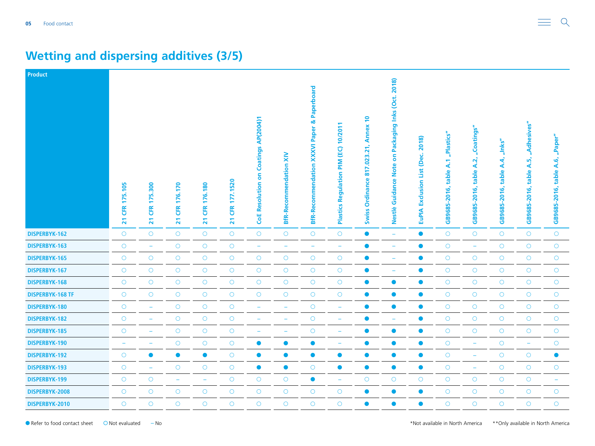| Product                 |                                         |                                           |                                                 |                                                  |                                           |                                                  |                                     |                                                          |                                                                        |                                                                                                         |                                                                      |                                                       |                                         |                                            |                                                        |                                                 |                                             |
|-------------------------|-----------------------------------------|-------------------------------------------|-------------------------------------------------|--------------------------------------------------|-------------------------------------------|--------------------------------------------------|-------------------------------------|----------------------------------------------------------|------------------------------------------------------------------------|---------------------------------------------------------------------------------------------------------|----------------------------------------------------------------------|-------------------------------------------------------|-----------------------------------------|--------------------------------------------|--------------------------------------------------------|-------------------------------------------------|---------------------------------------------|
|                         | 175.105<br><b>ER</b><br>$\overline{21}$ | <b>300</b><br>ξń<br>17<br><b>ER</b><br>21 | 176.170<br><b>ER</b><br>$\overline{\mathbf{z}}$ | 176.180<br><b>CFR</b><br>$\overline{\mathbf{z}}$ | 177.1520<br>EK<br>$\overline{\mathbf{z}}$ | Coatings AP(2004)1<br>6<br><b>CoE Resolution</b> | $\geq$<br><b>BfR-Recommendation</b> | Paperboard<br>XXXVI Paper &<br><b>BfR-Recommendation</b> | 10/201<br>$\overline{1}$<br>$\sum_{i=1}^{n}$<br>Regulation<br>Plastics | $\overline{\phantom{0}}$<br><b>Annex</b><br>$\overline{21}$<br>.023<br>817<br>Ordinance<br><b>Swiss</b> | Packaging Inks (Oct. 2018)<br>S<br><b>Note</b><br>Guidance<br>Nestlè | 2018)<br>نی<br>ě<br>List<br>Exclusion<br><b>EuPIA</b> | "Plastics"<br>table A.1<br>GB9685-2016, | "Coatings"<br>A.2<br>table<br>GB9685-2016, | "Inks"<br>$\mathbf{A}$<br>table<br>$-2016,$<br>GB9685- | "Adhesives"<br>ທັ<br>∢<br>table<br>GB9685-2016, | "Paper"<br>6,<br>∢<br>table<br>GB9685-2016, |
| DISPERBYK-162           | $\circ$                                 | $\circ$                                   | $\circ$                                         | $\circ$                                          | $\circ$                                   | $\bigcirc$                                       | $\circ$                             | $\circ$                                                  | $\circ$                                                                | $\bullet$                                                                                               | $\equiv$                                                             | $\bullet$                                             | $\circ$                                 | $\circ$                                    | $\circ$                                                | $\circ$                                         | $\circ$                                     |
| DISPERBYK-163           | $\circ$                                 | $\overline{\phantom{a}}$                  | $\bigcirc$                                      | $\bigcirc$                                       | $\circ$                                   | $\equiv$                                         |                                     | ۰                                                        | ۰                                                                      | $\bullet$                                                                                               | ۰                                                                    | $\bullet$                                             | $\bigcirc$                              | ÷                                          | $\circ$                                                | $\circ$                                         | $\circ$                                     |
| DISPERBYK-165           | $\circ$                                 | $\circ$                                   | $\bigcirc$                                      | $\bigcirc$                                       | $\bigcirc$                                | $\bigcirc$                                       | $\bigcirc$                          | $\circ$                                                  | $\bigcirc$                                                             | $\bullet$                                                                                               | ۰                                                                    | $\bullet$                                             | $\bigcirc$                              | $\bigcirc$                                 | $\circ$                                                | $\bigcirc$                                      | $\circlearrowright$                         |
| DISPERBYK-167           | $\circ$                                 | $\circ$                                   | $\circ$                                         | $\bigcirc$                                       | $\bigcirc$                                | $\bigcirc$                                       | $\circ$                             | $\circ$                                                  | $\bigcirc$                                                             | $\bullet$                                                                                               | $\overline{\phantom{a}}$                                             | $\bullet$                                             | $\bigcirc$                              | $\bigcirc$                                 | $\circ$                                                | $\bigcirc$                                      | $\circ$                                     |
| <b>DISPERBYK-168</b>    | $\circ$                                 | $\circ$                                   | $\circ$                                         | $\bigcirc$                                       | $\bigcirc$                                | $\bigcirc$                                       | $\circ$                             | $\circ$                                                  | $\circ$                                                                | $\bullet$                                                                                               | $\bullet$                                                            | $\bullet$                                             | $\bigcirc$                              | $\bigcirc$                                 | $\circ$                                                | $\circ$                                         | $\circ$                                     |
| <b>DISPERBYK-168 TF</b> | $\circ$                                 | $\bigcirc$                                | $\bigcirc$                                      | $\circ$                                          | $\bigcirc$                                | $\bigcirc$                                       | $\bigcirc$                          | $\circ$                                                  | $\bigcirc$                                                             | $\bullet$                                                                                               | $\bullet$                                                            | $\bullet$                                             | $\circ$                                 | $\bigcirc$                                 | $\bigcirc$                                             | $\bigcirc$                                      | $\bigcirc$                                  |
| DISPERBYK-180           | $\bigcirc$                              | $\overline{\phantom{m}}$                  | $\circ$                                         | $\bigcirc$                                       | $\bigcirc$                                | $\rightarrow$                                    | $\overline{\phantom{m}}$            | $\circ$                                                  | $\overline{\phantom{m}}$                                               | $\bullet$                                                                                               | $\bullet$                                                            | $\bullet$                                             | $\bigcirc$                              | $\bigcirc$                                 | $\circ$                                                | $\bigcirc$                                      | $\circ$                                     |
| <b>DISPERBYK-182</b>    | $\bigcirc$                              | ٠                                         | $\bigcirc$                                      | $\bigcirc$                                       | $\bigcirc$                                | ۰                                                | $\overline{\phantom{0}}$            | $\circ$                                                  | ۳                                                                      | $\bullet$                                                                                               | ٠                                                                    | $\bullet$                                             | $\bigcirc$                              | $\bigcirc$                                 | $\circ$                                                | $\circ$                                         | $\circ$                                     |
| DISPERBYK-185           | $\bigcirc$                              | $\overline{\phantom{a}}$                  | $\bigcirc$                                      | $\bigcirc$                                       | $\bigcirc$                                | $\overline{\phantom{0}}$                         | ÷                                   | $\bigcirc$                                               | ÷                                                                      | $\bullet$                                                                                               | $\bullet$                                                            | $\bullet$                                             | $\bigcirc$                              | $\bigcirc$                                 | $\bigcirc$                                             | $\bigcirc$                                      | $\bigcirc$                                  |
| DISPERBYK-190           | $\overline{\phantom{a}}$                | ۳                                         | $\circ$                                         | $\bigcirc$                                       | $\bigcirc$                                | $\bullet$                                        | $\bullet$                           | $\bullet$                                                | ÷                                                                      | $\bullet$                                                                                               | $\bullet$                                                            | $\bullet$                                             | $\bigcirc$                              | $\overline{\phantom{m}}$                   | $\circ$                                                | $\equiv$                                        | $\circ$                                     |
| DISPERBYK-192           | $\circ$                                 | $\bullet$                                 | $\bullet$                                       | $\bullet$                                        | $\bigcirc$                                | $\bullet$                                        | $\bullet$                           | $\bullet$                                                | $\bullet$                                                              | $\bullet$                                                                                               | $\bullet$                                                            | $\bullet$                                             | $\bigcirc$                              | ٠                                          | $\circ$                                                | $\circ$                                         | $\bullet$                                   |
| DISPERBYK-193           | $\circ$                                 | $\overline{\phantom{m}}$                  | $\circ$                                         | $\circ$                                          | $\bigcirc$                                | $\bullet$                                        | $\bullet$                           | $\circ$                                                  | $\bullet$                                                              | $\bullet$                                                                                               | $\bullet$                                                            | $\bullet$                                             | $\bigcirc$                              | $\overline{\phantom{m}}$                   | $\circ$                                                | $\circ$                                         | $\circ$                                     |
| DISPERBYK-199           | $\bigcirc$                              | $\circ$                                   | $\overline{\phantom{a}}$                        | $\overline{\phantom{m}}$                         | $\bigcirc$                                | $\bigcirc$                                       | $\circ$                             | $\bullet$                                                | $\overline{\phantom{m}}$                                               | $\circ$                                                                                                 | $\bigcirc$                                                           | $\bigcirc$                                            | $\bigcirc$                              | $\circ$                                    | $\circ$                                                | $\circ$                                         | $\overline{\phantom{a}}$                    |
| DISPERBYK-2008          | $\bigcirc$                              | $\bigcirc$                                | $\bigcirc$                                      | $\bigcirc$                                       | $\bigcirc$                                | $\bigcirc$                                       | $\bigcirc$                          | $\circ$                                                  | $\bigcirc$                                                             | $\bullet$                                                                                               | $\bullet$                                                            | $\bullet$                                             | $\bigcirc$                              | $\bigcirc$                                 | $\bigcirc$                                             | $\circ$                                         | $\bigcirc$                                  |
| DISPERBYK-2010          | $\circ$                                 | $\circ$                                   | $\circ$                                         | $\circ$                                          | $\circ$                                   | $\circ$                                          | $\circ$                             | $\circ$                                                  | $\circ$                                                                | $\bullet$                                                                                               | $\bullet$                                                            | $\bullet$                                             | $\circ$                                 | $\circ$                                    | $\circ$                                                | $\circ$                                         | $\circ$                                     |

# **Wetting and dispersing additives (3/5)**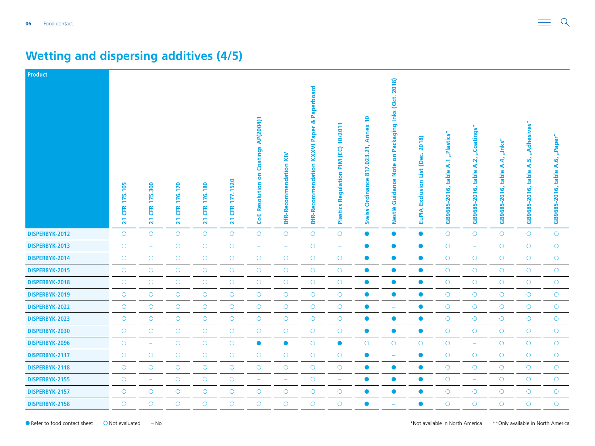| <b>Product</b> |                                  |                                                         |                                                 |                                                 |                                           |                                                  |                                     |                                                          |                                                                               |                                                                                  |                                                                                                |                                                           |                                         |                                            |                                        |                                                 |                                          |
|----------------|----------------------------------|---------------------------------------------------------|-------------------------------------------------|-------------------------------------------------|-------------------------------------------|--------------------------------------------------|-------------------------------------|----------------------------------------------------------|-------------------------------------------------------------------------------|----------------------------------------------------------------------------------|------------------------------------------------------------------------------------------------|-----------------------------------------------------------|-----------------------------------------|--------------------------------------------|----------------------------------------|-------------------------------------------------|------------------------------------------|
|                | 175.105<br>EK<br>$\overline{21}$ | <b>300</b><br>иń.<br>₽<br><b>CFR</b><br>$\overline{21}$ | 176.170<br><b>ER</b><br>$\overline{\mathbf{z}}$ | 176.180<br><b>EK</b><br>$\overline{\mathbf{z}}$ | 177.1520<br>EK<br>$\overline{\mathbf{z}}$ | Coatings AP(2004)1<br>δ<br><b>CoE Resolution</b> | $\geq$<br><b>BfR-Recommendation</b> | Paperboard<br>XXXVI Paper &<br><b>BfR-Recommendation</b> | 10/201<br>$\overline{1}$<br>$\sum_{i=1}^{n}$<br>Regulation<br><b>Plastics</b> | $\overline{P}$<br><b>Annex</b><br>21<br>.023<br>817<br>Ordinance<br><b>Swiss</b> | Inks (Oct. 2018)<br>Packaging<br>$\overline{\delta}$<br><b>Note</b><br>lance<br>Guid<br>Nestlè | 2018)<br>ن<br>ھ<br>ě<br>List<br>Exclusion<br><b>EuPIA</b> | "Plastics"<br>table A.1<br>GB9685-2016, | "Coatings"<br>A.2<br>table<br>GB9685-2016, | "Inks"<br>A.4<br>table<br>GB9685-2016, | "Adhesives"<br>ທັ<br>∢<br>table<br>GB9685-2016, | "Paper"<br>A.6,<br>table<br>GB9685-2016, |
| DISPERBYK-2012 | $\circ$                          | $\circ$                                                 | $\bigcirc$                                      | $\circ$                                         | $\bigcirc$                                | $\bigcirc$                                       | $\circ$                             | $\circ$                                                  | $\bigcirc$                                                                    | $\bullet$                                                                        | $\bullet$                                                                                      | $\bullet$                                                 | $\circ$                                 | $\circ$                                    | $\circ$                                | $\circ$                                         | $\circ$                                  |
| DISPERBYK-2013 | $\bigcirc$                       | -                                                       | $\bigcirc$                                      | $\bigcirc$                                      | $\bigcirc$                                | ÷                                                | -                                   | $\circ$                                                  | $\overline{\phantom{m}}$                                                      | $\bullet$                                                                        | $\bullet$                                                                                      | $\bullet$                                                 | $\bigcirc$                              | ÷                                          | $\circ$                                | $\circ$                                         | $\circ$                                  |
| DISPERBYK-2014 | $\circ$                          | $\circ$                                                 | $\bigcirc$                                      | $\circ$                                         | $\bigcirc$                                | $\bigcirc$                                       | $\bigcirc$                          | $\circ$                                                  | $\bigcirc$                                                                    | $\bullet$                                                                        | $\bullet$                                                                                      | $\bullet$                                                 | $\bigcirc$                              | $\bigcirc$                                 | $\bigcirc$                             | $\bigcirc$                                      | $\bigcirc$                               |
| DISPERBYK-2015 | $\circ$                          | $\circ$                                                 | $\bigcirc$                                      | $\bigcirc$                                      | $\bigcirc$                                | $\bigcirc$                                       | $\circ$                             | $\circ$                                                  | $\bigcirc$                                                                    | $\bullet$                                                                        | $\bullet$                                                                                      | $\bullet$                                                 | $\circ$                                 | $\bigcirc$                                 | $\circ$                                | $\circ$                                         | $\circ$                                  |
| DISPERBYK-2018 | $\bigcirc$                       | $\circ$                                                 | $\bigcirc$                                      | $\bigcirc$                                      | $\bigcirc$                                | $\bigcirc$                                       | $\bigcirc$                          | $\circ$                                                  | $\bigcirc$                                                                    | $\bullet$                                                                        | $\bullet$                                                                                      | $\bullet$                                                 | $\bigcirc$                              | $\bigcirc$                                 | $\bigcirc$                             | $\circ$                                         | $\circ$                                  |
| DISPERBYK-2019 | $\circ$                          | $\bigcirc$                                              | $\bigcirc$                                      | $\circ$                                         | $\bigcirc$                                | $\bigcirc$                                       | $\bigcirc$                          | $\circ$                                                  | $\bigcirc$                                                                    | $\bullet$                                                                        | $\bullet$                                                                                      | $\bullet$                                                 | $\bigcirc$                              | $\bigcirc$                                 | $\bigcirc$                             | $\bigcirc$                                      | $\bigcirc$                               |
| DISPERBYK-2022 | $\circ$                          | $\circ$                                                 | $\circ$                                         | $\bigcirc$                                      | $\bigcirc$                                | $\bigcirc$                                       | $\circ$                             | $\circ$                                                  | $\circ$                                                                       | $\bullet$                                                                        | $\overline{\phantom{a}}$                                                                       | $\bullet$                                                 | $\bigcirc$                              | $\bigcirc$                                 | $\circ$                                | $\circ$                                         | $\circ$                                  |
| DISPERBYK-2023 | $\bigcirc$                       | $\bigcirc$                                              | $\bigcirc$                                      | $\bigcirc$                                      | $\bigcirc$                                | $\bigcirc$                                       | $\circ$                             | $\circ$                                                  | $\bigcirc$                                                                    | $\bullet$                                                                        | $\bullet$                                                                                      | $\bullet$                                                 | $\bigcirc$                              | $\bigcirc$                                 | $\circ$                                | $\circ$                                         | $\circ$                                  |
| DISPERBYK-2030 | $\bigcirc$                       | $\circ$                                                 | $\bigcirc$                                      | $\bigcirc$                                      | $\bigcirc$                                | $\bigcirc$                                       | $\bigcirc$                          | $\circ$                                                  | $\bigcirc$                                                                    | $\bullet$                                                                        | $\bullet$                                                                                      | $\bullet$                                                 | $\bigcirc$                              | $\bigcirc$                                 | $\bigcirc$                             | $\bigcirc$                                      | $\bigcirc$                               |
| DISPERBYK-2096 | $\circ$                          | ÷                                                       | $\bigcirc$                                      | $\bigcirc$                                      | $\bigcirc$                                | $\bullet$                                        | $\bullet$                           | $\circ$                                                  | $\bullet$                                                                     | $\circ$                                                                          | $\circ$                                                                                        | $\circ$                                                   | $\bigcirc$                              | $\overline{\phantom{m}}$                   | $\circ$                                | $\circ$                                         | $\circ$                                  |
| DISPERBYK-2117 | $\circ$                          | $\bigcirc$                                              | $\circ$                                         | $\bigcirc$                                      | $\bigcirc$                                | $\bigcirc$                                       | $\circ$                             | $\circ$                                                  | $\bigcirc$                                                                    | $\bullet$                                                                        | ٠                                                                                              | $\bullet$                                                 | $\bigcirc$                              | $\bigcirc$                                 | $\circ$                                | $\circ$                                         | $\circ$                                  |
| DISPERBYK-2118 | $\circ$                          | $\circ$                                                 | $\circ$                                         | $\circ$                                         | $\bigcirc$                                | $\bigcirc$                                       | $\circ$                             | $\circ$                                                  | $\circ$                                                                       | $\bullet$                                                                        | $\bullet$                                                                                      | $\bullet$                                                 | $\circ$                                 | $\circ$                                    | $\circ$                                | $\circ$                                         | $\circ$                                  |
| DISPERBYK-2155 | $\bigcirc$                       | $\overline{\phantom{a}}$                                | $\bigcirc$                                      | $\bigcirc$                                      | $\bigcirc$                                | ÷                                                | $\overline{\phantom{a}}$            | $\circ$                                                  | $\overline{\phantom{m}}$                                                      | $\bullet$                                                                        | $\bullet$                                                                                      | $\bullet$                                                 | $\bigcirc$                              | $\overline{\phantom{m}}$                   | $\circ$                                | $\circ$                                         | $\circ$                                  |
| DISPERBYK-2157 | $\bigcirc$                       | $\bigcirc$                                              | $\bigcirc$                                      | $\bigcirc$                                      | $\bigcirc$                                | $\bigcirc$                                       | $\bigcirc$                          | $\circ$                                                  | $\bigcirc$                                                                    | $\bullet$                                                                        | $\bullet$                                                                                      | $\bullet$                                                 | $\bigcirc$                              | $\bigcirc$                                 | $\bigcirc$                             | $\circ$                                         | $\bigcirc$                               |
| DISPERBYK-2158 | $\circ$                          | $\circ$                                                 | $\circ$                                         | $\circ$                                         | $\circ$                                   | $\circ$                                          | $\circ$                             | $\circ$                                                  | $\circ$                                                                       | $\bullet$                                                                        |                                                                                                | $\bullet$                                                 | $\circ$                                 | $\circ$                                    | $\circ$                                | $\circ$                                         | $\circ$                                  |

# **Wetting and dispersing additives (4/5)**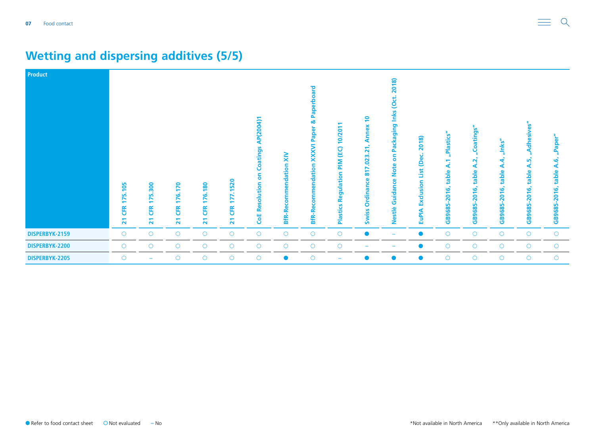| <b>Product</b> | 105<br>175.<br><b>ER</b><br>$\overline{\mathbf{z}}$ | 175.300<br><b>CFR</b><br>$\mathbf{z}$ | 170<br>76.<br>$\overline{\phantom{a}}$<br><b>ER</b><br>21 | 180<br>ئە<br>Ĕ<br><b>ER</b><br>$\overline{\mathbf{z}}$ | .1520<br>177<br>ŒR<br>$\overline{\mathbf{z}}$ | AP(2004)1<br>Coatings<br>5<br>ution<br>ᄒ<br>ū<br>ω<br>CoE R | $\tilde{\mathbf{x}}$<br>commendation<br><b>BfR-Ree</b> | ard<br>Pap<br>œ<br>Paper<br><b>XXXVI</b><br><b>BfR-Recommendation</b> | $\overline{\mathbf{S}}$<br>6<br>PIM (EC)<br>egulation<br>œ<br><b>Plastics</b> | $\overline{ }$<br>nnex<br>₫<br>.023.21<br>817<br><b>Ordinance</b><br><b>Swiss</b> | 2018)<br>Inks (Oct.<br>ckaging<br><b>P<sub>d</sub></b><br>S<br>ote<br>z<br>Guidance<br>Nestlè | 2018)<br>(Dec.<br>List<br>Exclusion<br><b>EuPIA</b> | "Plastics"<br>∢<br>table<br>GB9685-2016, | "Coatings"<br>$\vec{a}$<br>∢<br>table<br>2016,<br>GB9685 | nlnks'<br>ने<br>⋖<br>table<br>2016,<br>GB9685 | <b>in</b><br>٠ō<br>등<br><b>In</b><br>⋖<br>able<br>ق<br>$\overline{\mathbf{S}}$<br>GB9685- | $\bar{\omega}$<br>Pap <sup></sup><br>A.6,<br>table<br>2016,<br>GB9685- |
|----------------|-----------------------------------------------------|---------------------------------------|-----------------------------------------------------------|--------------------------------------------------------|-----------------------------------------------|-------------------------------------------------------------|--------------------------------------------------------|-----------------------------------------------------------------------|-------------------------------------------------------------------------------|-----------------------------------------------------------------------------------|-----------------------------------------------------------------------------------------------|-----------------------------------------------------|------------------------------------------|----------------------------------------------------------|-----------------------------------------------|-------------------------------------------------------------------------------------------|------------------------------------------------------------------------|
| DISPERBYK-2159 | $\circ$                                             | $\circ$                               | $\circ$                                                   | $\circ$                                                | $\circ$                                       | $\circ$                                                     | $\bigcirc$                                             | $\circ$                                                               | $\circ$                                                                       |                                                                                   | $\overline{\phantom{m}}$                                                                      | $\bullet$                                           | $\bigcirc$                               | $\circ$                                                  | $\circ$                                       | $\bigcirc$                                                                                | O                                                                      |
| DISPERBYK-2200 | $\circ$                                             | $\circ$                               | $\circ$                                                   | $\circ$                                                | $\circ$                                       | $\circ$                                                     | $\circ$                                                | $\circ$                                                               | $\circ$                                                                       |                                                                                   |                                                                                               |                                                     | $\circ$                                  | $\circ$                                                  | $\circ$                                       | $\circ$                                                                                   | $\circ$                                                                |
| DISPERBYK-2205 | $\circ$                                             | $\qquad \qquad \blacksquare$          | $\circ$                                                   | $\circ$                                                | $\circ$                                       | $\circ$                                                     | $\bullet$                                              | $\circ$                                                               | $\overline{\phantom{m}}$                                                      |                                                                                   | $\bullet$                                                                                     | $\bullet$                                           | $\circ$                                  | $\circ$                                                  | $\circ$                                       | $\circ$                                                                                   | $\circ$                                                                |

### **Wetting and dispersing additives (5/5)**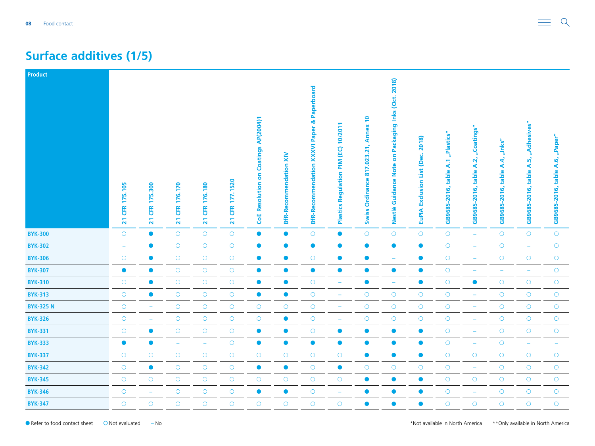#### <span id="page-7-0"></span>**Surface additives (1/5)**

| Product          |                                |                                                  |                                         |                                        |                                 |                                             |                               |                                                        |                                                         |                                                      |                                                         |                                               |                                   |                                    |                                                               |                                               |                                    |
|------------------|--------------------------------|--------------------------------------------------|-----------------------------------------|----------------------------------------|---------------------------------|---------------------------------------------|-------------------------------|--------------------------------------------------------|---------------------------------------------------------|------------------------------------------------------|---------------------------------------------------------|-----------------------------------------------|-----------------------------------|------------------------------------|---------------------------------------------------------------|-----------------------------------------------|------------------------------------|
|                  | CFR 175.105<br>$\overline{21}$ | 175.300<br><b>CFR</b><br>$\overline{\mathbf{z}}$ | 176.170<br><b>ER</b><br>$\overline{21}$ | CFR 176.180<br>$\overline{\mathbf{z}}$ | CFR 177.1520<br>$\overline{21}$ | <b>CoE Resolution on Coatings AP(2004)1</b> | <b>BfR-Recommendation XIV</b> | <b>BfR-Recommendation XXXVI Paper &amp; Paperboard</b> | 10/2011<br>(EC)<br>MId<br>Regulation<br><b>Plastics</b> | Annex 10<br>817.023.21,<br>Ordinance<br><b>Swiss</b> | Packaging Inks (Oct. 2018)<br>δ<br>Nestlè Guidance Note | 2018)<br>Exclusion List (Dec.<br><b>EuPIA</b> | GB9685-2016, table A.1 "Plastics" | GB9685-2016, table A.2, "Coatings" | $^{\prime\prime}$ .<br>$\mathbf{A}$<br>table.<br>GB9685-2016, | "Adhesives"<br>A.5,<br>table.<br>GB9685-2016, | "Paper"<br>GB9685-2016, table A.6, |
| <b>BYK-300</b>   | $\circ$                        | $\bullet$                                        | $\bigcirc$                              | $\bigcirc$                             | $\bigcirc$                      | $\bullet$                                   | $\bullet$                     | $\circ$                                                | $\bullet$                                               | $\bigcirc$                                           | $\bigcirc$                                              | $\bigcirc$                                    | $\bigcirc$                        | $\equiv$                           | $\circ$                                                       | $\bigcirc$                                    | $\bigcirc$                         |
| <b>BYK-302</b>   | $\overline{\phantom{a}}$       | $\bullet$                                        | $\bigcirc$                              | $\bigcirc$                             | $\circlearrowright$             | $\bullet$                                   | $\bullet$                     | $\bullet$                                              | $\bullet$                                               | $\bullet$                                            | $\bullet$                                               | $\bullet$                                     | $\bigcirc$                        | -                                  | $\circ$                                                       | $\overline{\phantom{a}}$                      | $\circ$                            |
| <b>BYK-306</b>   | $\bigcirc$                     | $\bullet$                                        | $\bigcirc$                              | $\bigcirc$                             | $\bigcirc$                      | $\bullet$                                   | $\bullet$                     | $\bigcirc$                                             | $\bullet$                                               | $\bullet$                                            | ۰                                                       | $\bullet$                                     | $\bigcirc$                        | $\rightarrow$                      | $\bigcirc$                                                    | $\bigcirc$                                    | $\bigcirc$                         |
| <b>BYK-307</b>   | $\bullet$                      | $\bullet$                                        | $\bigcirc$                              | $\bigcirc$                             | $\bigcirc$                      | $\bullet$                                   | $\bullet$                     | $\bullet$                                              | $\bullet$                                               | $\bullet$                                            | $\bullet$                                               | $\bullet$                                     | $\bigcirc$                        | $\equiv$                           | ÷                                                             | $\overline{\phantom{0}}$                      | $\bigcirc$                         |
| <b>BYK-310</b>   | $\circ$                        |                                                  | $\circ$                                 | $\circ$                                | $\bigcirc$                      | $\bullet$                                   | $\bullet$                     | $\circ$                                                | $\overline{\phantom{0}}$                                | $\bullet$                                            | $\overline{\phantom{m}}$                                | $\bullet$                                     | $\bigcirc$                        | $\bullet$                          | $\circ$                                                       | $\bigcirc$                                    | $\bigcirc$                         |
| <b>BYK-313</b>   | $\circ$                        | $\bullet$                                        | $\bigcirc$                              | $\bigcirc$                             | $\bigcirc$                      | $\bullet$                                   | $\bullet$                     | $\circ$                                                | ÷                                                       | $\bigcirc$                                           | $\bigcirc$                                              | $\bigcirc$                                    | $\bigcirc$                        | ÷                                  | $\bigcirc$                                                    | $\bigcirc$                                    | $\bigcirc$                         |
| <b>BYK-325 N</b> | $\bigcirc$                     | $\overline{\phantom{m}}$                         | $\bigcirc$                              | $\bigcirc$                             | $\bigcirc$                      | $\bigcirc$                                  | $\bigcirc$                    | $\bigcirc$                                             | $\overline{\phantom{m}}$                                | $\bigcirc$                                           | $\bigcirc$                                              | $\bigcirc$                                    | $\bigcirc$                        | $\equiv$                           | $\bigcirc$                                                    | $\bigcirc$                                    | $\bigcirc$                         |
| <b>BYK-326</b>   | $\circ$                        | ۰                                                | $\circ$                                 | $\bigcirc$                             | $\bigcirc$                      | $\circ$                                     | $\bullet$                     | $\circ$                                                | $\overline{\phantom{0}}$                                | $\circ$                                              | $\circ$                                                 | $\circ$                                       | $\bigcirc$                        | $\overline{\phantom{m}}$           | $\circ$                                                       | $\circ$                                       | $\bigcirc$                         |
| <b>BYK-331</b>   | $\bigcirc$                     | $\bullet$                                        | $\bigcirc$                              | $\bigcirc$                             | $\bigcirc$                      | $\bullet$                                   | $\bullet$                     | $\circ$                                                | $\bullet$                                               | $\bullet$                                            | $\bullet$                                               | $\bullet$                                     | $\circ$                           | ÷                                  | $\circ$                                                       | $\bigcirc$                                    | $\bigcirc$                         |
| <b>BYK-333</b>   | $\bullet$                      | $\bullet$                                        | $\overline{\phantom{0}}$                | $\overline{\phantom{a}}$               | $\bigcirc$                      | $\bullet$                                   | $\bullet$                     | $\bullet$                                              | $\bullet$                                               | $\bullet$                                            | $\bullet$                                               | $\bullet$                                     | $\bigcirc$                        | $\overline{\phantom{a}}$           | $\circ$                                                       | $\overline{\phantom{m}}$                      | $\equiv$                           |
| <b>BYK-337</b>   | $\circ$                        | $\bigcirc$                                       | $\circ$                                 | $\bigcirc$                             | $\bigcirc$                      | $\bigcirc$                                  | $\circ$                       | $\circ$                                                | $\circ$                                                 | $\bullet$                                            | $\bullet$                                               | $\bullet$                                     | $\bigcirc$                        | $\circ$                            | $\circ$                                                       | $\circ$                                       | $\bigcirc$                         |
| <b>BYK-342</b>   | $\bigcirc$                     | $\bullet$                                        | $\bigcirc$                              | $\bigcirc$                             | $\bigcirc$                      | $\bullet$                                   | $\bullet$                     | $\bigcirc$                                             | $\bullet$                                               | $\circ$                                              | $\bigcirc$                                              | $\bigcirc$                                    | $\circ$                           | $\overline{\phantom{a}}$           | $\bigcirc$                                                    | $\bigcirc$                                    | $\bigcirc$                         |
| <b>BYK-345</b>   | $\bigcirc$                     | $\circ$                                          | $\bigcirc$                              | $\bigcirc$                             | $\bigcirc$                      | $\bigcirc$                                  | $\bigcirc$                    | $\circ$                                                | $\bigcirc$                                              | $\bullet$                                            | $\bullet$                                               | $\bullet$                                     | $\bigcirc$                        | $\bigcirc$                         | $\bigcirc$                                                    | $\bigcirc$                                    | $\bigcirc$                         |
| <b>BYK-346</b>   | $\bigcirc$                     | ÷                                                | $\bigcirc$                              | $\bigcirc$                             | $\bigcirc$                      | $\bullet$                                   | $\bullet$                     | $\bigcirc$                                             | ÷                                                       | $\bullet$                                            | $\bullet$                                               | $\bullet$                                     | $\circ$                           | ÷                                  | $\bigcirc$                                                    | $\bigcirc$                                    | $\bigcirc$                         |
| <b>BYK-347</b>   | $\circ$                        | $\bigcirc$                                       | $\circ$                                 | $\circ$                                | $\circ$                         | $\circ$                                     | $\circ$                       | $\circ$                                                | $\bigcirc$                                              | $\bullet$                                            | $\bullet$                                               | $\bullet$                                     | $\circ$                           | $\circ$                            | $\circ$                                                       | $\bigcirc$                                    | $\circ$                            |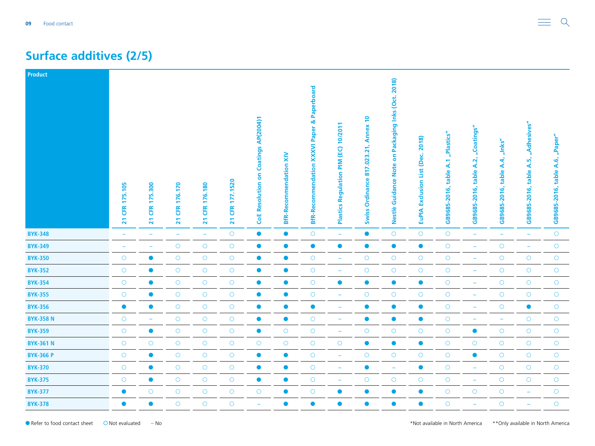#### **Surface additives (2/5)**

| Product          |                                |                                         |                                         |                                        |                                 |                                             |                               |                                                        |                                                         |                                                   |                                                         |                                               |                                   |                                       |                                                      |                                                  |                                    |
|------------------|--------------------------------|-----------------------------------------|-----------------------------------------|----------------------------------------|---------------------------------|---------------------------------------------|-------------------------------|--------------------------------------------------------|---------------------------------------------------------|---------------------------------------------------|---------------------------------------------------------|-----------------------------------------------|-----------------------------------|---------------------------------------|------------------------------------------------------|--------------------------------------------------|------------------------------------|
|                  | CFR 175.105<br>$\overline{21}$ | 175.300<br><b>EK</b><br>$\overline{21}$ | 176.170<br><b>ER</b><br>$\overline{21}$ | CFR 176.180<br>$\overline{\mathbf{z}}$ | CFR 177.1520<br>$\overline{21}$ | <b>CoE Resolution on Coatings AP(2004)1</b> | <b>BfR-Recommendation XIV</b> | <b>BfR-Recommendation XXXVI Paper &amp; Paperboard</b> | 10/2011<br>(EC)<br>MId<br>Regulation<br><b>Plastics</b> | Annex 10<br>Ordinance 817.023.21,<br><b>Swiss</b> | Packaging Inks (Oct. 2018)<br>δ<br>Nestlè Guidance Note | 2018)<br>Exclusion List (Dec.<br><b>EuPIA</b> | GB9685-2016, table A.1 "Plastics" | table A.2, "Coatings"<br>GB9685-2016, | $^{\prime\prime}$ hks"<br>table A.4,<br>GB9685-2016, | "Adhesives"<br>ωĵ<br>∢<br>table.<br>GB9685-2016, | "Paper"<br>GB9685-2016, table A.6, |
| <b>BYK-348</b>   | ۰                              | $\overline{\phantom{a}}$                | $\equiv$                                | ÷                                      | $\bigcirc$                      | $\bullet$                                   | $\bullet$                     | $\circ$                                                | $\equiv$                                                | $\bullet$                                         | $\bigcirc$                                              | $\bigcirc$                                    | $\bigcirc$                        | $\equiv$                              | $\rightarrow$                                        | $\overline{\phantom{m}}$                         | $\bigcirc$                         |
| <b>BYK-349</b>   | ۳                              | ۰                                       | $\bigcirc$                              | $\bigcirc$                             | $\bigcirc$                      | $\bullet$                                   | $\bullet$                     | $\bullet$                                              | $\bullet$                                               | $\bullet$                                         | $\bullet$                                               | $\bullet$                                     | $\bigcirc$                        | $\rightarrow$                         | $\bigcirc$                                           | ۳                                                | $\bigcirc$                         |
| <b>BYK-350</b>   | $\bigcirc$                     | $\bullet$                               | $\bigcirc$                              | $\bigcirc$                             | $\bigcirc$                      | $\bullet$                                   | $\bullet$                     | $\bigcirc$                                             | $\overline{\phantom{m}}$                                | $\bigcirc$                                        | $\bigcirc$                                              | $\bigcirc$                                    | $\bigcirc$                        | $\overline{\phantom{m}}$              | $\bigcirc$                                           | $\bigcirc$                                       | $\bigcirc$                         |
| <b>BYK-352</b>   | $\circ$                        | $\bullet$                               | $\bigcirc$                              | $\bigcirc$                             | $\bigcirc$                      | $\bullet$                                   | $\bullet$                     | $\circ$                                                | $\overline{\phantom{a}}$                                | $\bigcirc$                                        | $\bigcirc$                                              | $\bigcirc$                                    | $\bigcirc$                        | ÷                                     | $\circ$                                              | $\bigcirc$                                       | $\bigcirc$                         |
| <b>BYK-354</b>   | $\circ$                        | $\bullet$                               | $\circ$                                 | $\bigcirc$                             | $\circlearrowright$             | $\bullet$                                   | $\bullet$                     | $\circ$                                                | $\bullet$                                               | $\bullet$                                         | $\bullet$                                               | $\bullet$                                     | $\circ$                           | ۳                                     | $\circ$                                              | $\circ$                                          | $\circ$                            |
| <b>BYK-355</b>   | $\bigcirc$                     | $\bullet$                               | $\bigcirc$                              | $\bigcirc$                             | $\bigcirc$                      | $\bullet$                                   | $\bullet$                     | $\bigcirc$                                             | $\overline{\phantom{a}}$                                | $\bigcirc$                                        | $\bigcirc$                                              | $\bigcirc$                                    | $\bigcirc$                        | ÷                                     | $\bigcirc$                                           | $\circ$                                          | $\bigcirc$                         |
| <b>BYK-356</b>   | $\bullet$                      | $\bullet$                               | $\bigcirc$                              | $\bigcirc$                             | $\bigcirc$                      | $\bullet$                                   | $\bullet$                     | $\bullet$                                              | $\overline{\phantom{0}}$                                | $\bullet$                                         | $\bullet$                                               | $\bullet$                                     | $\bigcirc$                        | $\equiv$                              | $\bigcirc$                                           | $\bullet$                                        | $\bigcirc$                         |
| <b>BYK-358 N</b> | $\bigcirc$                     | $\overline{\phantom{m}}$                | $\circ$                                 | $\bigcirc$                             | $\bigcirc$                      | $\bullet$                                   | $\bullet$                     | $\circ$                                                | ۰                                                       | $\bullet$                                         | $\bullet$                                               | $\bullet$                                     | $\circ$                           | $\overline{\phantom{m}}$              | ۳                                                    | $\circ$                                          | $\bigcirc$                         |
| <b>BYK-359</b>   | $\bigcirc$                     | $\bullet$                               | $\bigcirc$                              | $\bigcirc$                             | $\bigcirc$                      | $\bullet$                                   | $\circ$                       | $\bigcirc$                                             | $\overline{\phantom{a}}$                                | $\bigcirc$                                        | $\bigcirc$                                              | $\bigcirc$                                    | $\bigcirc$                        | $\bullet$                             | $\bigcirc$                                           | $\bigcirc$                                       | $\bigcirc$                         |
| <b>BYK-361 N</b> | $\circ$                        | $\circ$                                 | $\bigcirc$                              | $\bigcirc$                             | $\bigcirc$                      | $\bigcirc$                                  | $\bigcirc$                    | $\circ$                                                | $\bigcirc$                                              | $\bullet$                                         | $\bullet$                                               | $\bullet$                                     | $\bigcirc$                        | $\bigcirc$                            | $\bigcirc$                                           | $\bigcirc$                                       | $\bigcirc$                         |
| <b>BYK-366 P</b> | $\circ$                        | $\bullet$                               | $\circ$                                 | $\circ$                                | $\bigcirc$                      | $\bullet$                                   | $\bullet$                     | $\circ$                                                | $\overline{\phantom{0}}$                                | $\circ$                                           | $\circ$                                                 | $\bigcirc$                                    | $\bigcirc$                        | $\bullet$                             | $\circ$                                              | $\circ$                                          | $\circ$                            |
| <b>BYK-370</b>   | $\bigcirc$                     | $\bullet$                               | $\bigcirc$                              | $\bigcirc$                             | $\bigcirc$                      | $\bullet$                                   | $\bullet$                     | $\circ$                                                | $\overline{\phantom{a}}$                                | $\bullet$                                         | $\equiv$                                                | $\bullet$                                     | $\bigcirc$                        | $\equiv$                              | $\circ$                                              | $\bigcirc$                                       | $\bigcirc$                         |
| <b>BYK-375</b>   | $\circ$                        | $\bullet$                               | $\bigcirc$                              | $\bigcirc$                             | $\bigcirc$                      | $\bullet$                                   | $\bullet$                     | $\circ$                                                | $\overline{\phantom{m}}$                                | $\circ$                                           | $\bigcirc$                                              | $\bigcirc$                                    | $\bigcirc$                        | $\equiv$                              | $\circ$                                              | $\bigcirc$                                       | $\bigcirc$                         |
| <b>BYK-377</b>   | $\bullet$                      | $\bigcirc$                              | $\circ$                                 | $\bigcirc$                             | $\bigcirc$                      | $\bigcirc$                                  | $\bullet$                     | $\circ$                                                | $\bullet$                                               | $\bullet$                                         | $\bullet$                                               | $\bullet$                                     | $\bigcirc$                        | $\bigcirc$                            | $\circ$                                              | $\equiv$                                         | $\bigcirc$                         |
| <b>BYK-378</b>   | $\bullet$                      | $\bullet$                               | $\circ$                                 | $\circ$                                | $\circ$                         | $\overline{\phantom{0}}$                    | $\bullet$                     | $\bullet$                                              | $\bullet$                                               | $\bullet$                                         | $\bullet$                                               | $\bullet$                                     | $\overline{O}$                    | ÷,                                    | $\circ$                                              | ÷,                                               | $\bigcirc$                         |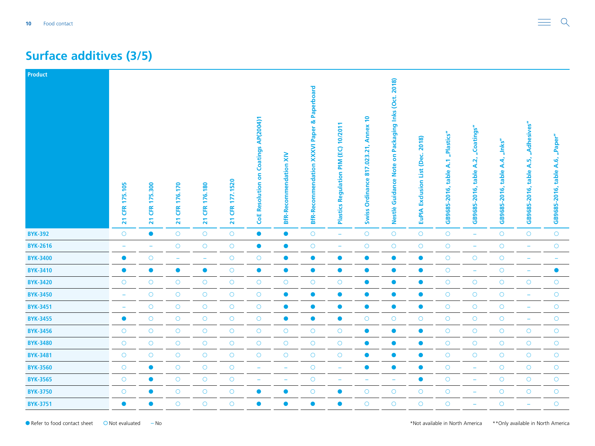#### **Surface additives (3/5)**

| Product         |                                |                                         |                                 |                                |                                          |                                             |                               |                                                        |                                                                      |                                                      |                                                                             |                                               |                                      |                                          |                                                   |                                                  |                                    |
|-----------------|--------------------------------|-----------------------------------------|---------------------------------|--------------------------------|------------------------------------------|---------------------------------------------|-------------------------------|--------------------------------------------------------|----------------------------------------------------------------------|------------------------------------------------------|-----------------------------------------------------------------------------|-----------------------------------------------|--------------------------------------|------------------------------------------|---------------------------------------------------|--------------------------------------------------|------------------------------------|
|                 | CFR 175.105<br>$\overline{21}$ | 175.300<br><b>ER</b><br>$\overline{21}$ | 176.170<br>Œ<br>$\overline{21}$ | CFR 176.180<br>$\overline{21}$ | 177.1520<br><b>ER</b><br>$\overline{21}$ | <b>CoE Resolution on Coatings AP(2004)1</b> | <b>BfR-Recommendation XIV</b> | <b>BfR-Recommendation XXXVI Paper &amp; Paperboard</b> | 10/2011<br>(EC)<br>$\sum_{i=1}^{n}$<br>Regulation<br><b>Plastics</b> | Annex 10<br>817.023.21,<br>Ordinance<br><b>Swiss</b> | Packaging Inks (Oct. 2018)<br>S<br><b>Note</b><br>Guidance<br><b>Nestlè</b> | 2018)<br>Exclusion List (Dec.<br><b>EuPIA</b> | "Plastics"<br>GB9685-2016, table A.1 | "Coatings"<br>table A.2,<br>GB9685-2016, | $^{\prime\prime}$ .<br>table A.4,<br>GB9685-2016, | "Adhesives"<br>ωĵ<br>∢<br>table.<br>GB9685-2016, | "Paper"<br>GB9685-2016, table A.6, |
| <b>BYK-392</b>  | $\circ$                        | $\bullet$                               | $\bigcirc$                      | $\bigcirc$                     | $\bigcirc$                               | $\bullet$                                   | $\bullet$                     | $\circ$                                                | $\equiv$                                                             | $\circ$                                              | $\bigcirc$                                                                  | $\bigcirc$                                    | $\bigcirc$                           | $\equiv$                                 | $\circ$                                           | $\circ$                                          | $\circ$                            |
| <b>BYK-2616</b> | $\equiv$                       | ÷                                       | $\bigcirc$                      | $\bigcirc$                     | $\bigcirc$                               | $\bullet$                                   | $\bullet$                     | $\circ$                                                | ÷                                                                    | $\circ$                                              | $\bigcirc$                                                                  | $\circ$                                       | $\bigcirc$                           | $\rightarrow$                            | $\circ$                                           | $\overline{\phantom{a}}$                         | $\bigcirc$                         |
| <b>BYK-3400</b> | $\bullet$                      | $\bigcirc$                              | ۳                               | ÷                              | $\bigcirc$                               | $\bigcirc$                                  | $\bullet$                     | $\bullet$                                              | $\bullet$                                                            | $\bullet$                                            | $\bullet$                                                                   | $\bullet$                                     | $\bigcirc$                           | $\bigcirc$                               | $\circ$                                           | ÷                                                | ۰                                  |
| <b>BYK-3410</b> | $\bullet$                      | $\bullet$                               | $\bullet$                       | $\bullet$                      | $\bigcirc$                               | $\bullet$                                   | $\bullet$                     | $\bullet$                                              | $\bullet$                                                            | $\bullet$                                            | $\bullet$                                                                   | $\bullet$                                     | $\bigcirc$                           | $\equiv$                                 | $\circ$                                           | ÷                                                | $\bullet$                          |
| <b>BYK-3420</b> | $\circ$                        | $\circ$                                 | $\circ$                         | $\circ$                        | $\bigcirc$                               | $\bigcirc$                                  | $\circ$                       | $\circ$                                                | $\circ$                                                              | $\bullet$                                            | $\bullet$                                                                   | $\bullet$                                     | $\bigcirc$                           | $\circ$                                  | $\circ$                                           | $\circ$                                          | $\bigcirc$                         |
| <b>BYK-3450</b> | ÷                              | $\bigcirc$                              | $\bigcirc$                      | $\bigcirc$                     | $\bigcirc$                               | $\bigcirc$                                  | $\bullet$                     | $\bullet$                                              | $\bullet$                                                            | $\bullet$                                            | $\bullet$                                                                   | $\bullet$                                     | $\bigcirc$                           | $\bigcirc$                               | $\circ$                                           | ÷                                                | $\bigcirc$                         |
| <b>BYK-3451</b> | ÷                              | $\bigcirc$                              | $\bigcirc$                      | $\bigcirc$                     | $\bigcirc$                               | $\bigcirc$                                  | $\bullet$                     | $\bullet$                                              | $\bullet$                                                            | $\bullet$                                            | $\bullet$                                                                   | $\bullet$                                     | $\bigcirc$                           | $\bigcirc$                               | $\circ$                                           | ÷                                                | $\bigcirc$                         |
| <b>BYK-3455</b> | $\bullet$                      | $\circ$                                 | $\circ$                         | $\circ$                        | $\bigcirc$                               | $\bigcirc$                                  | $\bullet$                     | $\bullet$                                              | $\bullet$                                                            | $\circ$                                              | $\circ$                                                                     | $\circ$                                       | $\bigcirc$                           | $\circ$                                  | $\circ$                                           | $\overline{\phantom{m}}$                         | $\bigcirc$                         |
| <b>BYK-3456</b> | $\bigcirc$                     | $\bigcirc$                              | $\bigcirc$                      | $\bigcirc$                     | $\bigcirc$                               | $\bigcirc$                                  | $\bigcirc$                    | $\bigcirc$                                             | $\bigcirc$                                                           | $\bullet$                                            | $\bullet$                                                                   | $\bullet$                                     | $\bigcirc$                           | $\bigcirc$                               | $\bigcirc$                                        | $\bigcirc$                                       | $\bigcirc$                         |
| <b>BYK-3480</b> | $\circ$                        | $\bigcirc$                              | $\bigcirc$                      | $\bigcirc$                     | $\bigcirc$                               | $\bigcirc$                                  | $\bigcirc$                    | $\circ$                                                | $\bigcirc$                                                           | $\bullet$                                            | $\bullet$                                                                   | $\bullet$                                     | $\bigcirc$                           | $\bigcirc$                               | $\circ$                                           | $\bigcirc$                                       | $\bigcirc$                         |
| <b>BYK-3481</b> | $\circ$                        | $\circ$                                 | $\circ$                         | $\bigcirc$                     | $\bigcirc$                               | $\bigcirc$                                  | $\circ$                       | $\circ$                                                | $\circ$                                                              | $\bullet$                                            | $\bullet$                                                                   | $\bullet$                                     | $\bigcirc$                           | $\circ$                                  | $\circ$                                           | $\circ$                                          | $\bigcirc$                         |
| <b>BYK-3560</b> | $\circ$                        | $\bullet$                               | $\circ$                         | $\bigcirc$                     | $\bigcirc$                               | $\rightarrow$                               | $\overline{\phantom{m}}$      | $\bigcirc$                                             | $\overline{\phantom{a}}$                                             | $\bullet$                                            | $\bullet$                                                                   | $\bullet$                                     | $\circ$                              | $\equiv$                                 | $\bigcirc$                                        | $\bigcirc$                                       | $\bigcirc$                         |
| <b>BYK-3565</b> | $\bigcirc$                     | $\bullet$                               | $\bigcirc$                      | $\bigcirc$                     | $\bigcirc$                               | $\overline{\phantom{a}}$                    | $\overline{\phantom{m}}$      | $\bigcirc$                                             | $\overline{\phantom{0}}$                                             | ۳                                                    | $\overline{\phantom{a}}$                                                    | $\bullet$                                     | $\bigcirc$                           | ÷                                        | $\bigcirc$                                        | $\bigcirc$                                       | $\bigcirc$                         |
| <b>BYK-3750</b> | $\bigcirc$                     | $\bullet$                               | $\bigcirc$                      | $\bigcirc$                     | $\bigcirc$                               | $\bullet$                                   | $\bullet$                     | $\bigcirc$                                             | $\bullet$                                                            | $\bigcirc$                                           | $\circ$                                                                     | $\bigcirc$                                    | $\bigcirc$                           | $\qquad \qquad \  \, -$                  | $\bigcirc$                                        | $\bigcirc$                                       | $\bigcirc$                         |
| <b>BYK-3751</b> | $\bullet$                      | $\bullet$                               | $\circ$                         | $\circ$                        | $\circ$                                  | $\bullet$                                   | $\bullet$                     | $\bullet$                                              | $\bullet$                                                            | $\bigcirc$                                           | $\circ$                                                                     | $\circ$                                       | $\circ$                              | ÷,                                       | $\circ$                                           | ÷,                                               | $\bigcirc$                         |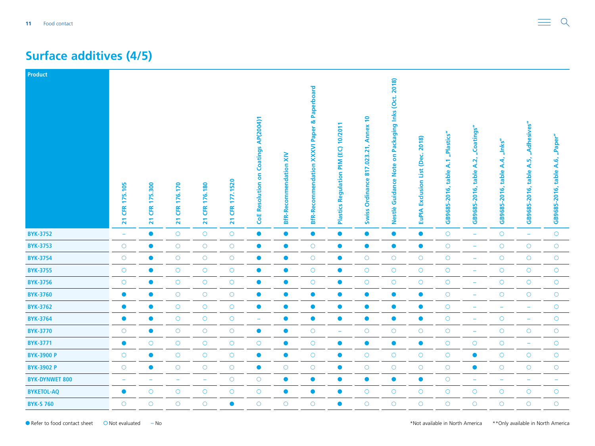#### **Surface additives (4/5)**

| Product               |                                |                                          |                                          |                                |                                           |                                             |                               |                                                        |                                                         |                                                      |                                                                                     |                                                         |                                      |                                          |                                                      |                                               |                                       |
|-----------------------|--------------------------------|------------------------------------------|------------------------------------------|--------------------------------|-------------------------------------------|---------------------------------------------|-------------------------------|--------------------------------------------------------|---------------------------------------------------------|------------------------------------------------------|-------------------------------------------------------------------------------------|---------------------------------------------------------|--------------------------------------|------------------------------------------|------------------------------------------------------|-----------------------------------------------|---------------------------------------|
|                       | CFR 175.105<br>$\overline{21}$ | 175.300<br><b>CFR</b><br>$\overline{21}$ | 176.170<br><b>CFR</b><br>$\overline{21}$ | CFR 176.180<br>$\overline{21}$ | 177.1520<br>EK<br>$\overline{\mathbf{z}}$ | <b>CoE Resolution on Coatings AP(2004)1</b> | <b>BfR-Recommendation XIV</b> | <b>BfR-Recommendation XXXVI Paper &amp; Paperboard</b> | 10/2011<br>(EC)<br>MId<br>Regulation<br><b>Plastics</b> | Annex 10<br>817.023.21,<br>Ordinance<br><b>Swiss</b> | Packaging Inks (Oct. 2018)<br>$\overline{\bf{5}}$<br><b>Guidance Note</b><br>Nestlè | 2018)<br>(Dec.<br><b>Exclusion List</b><br><b>EuPIA</b> | "Plastics"<br>GB9685-2016, table A.1 | "Coatings"<br>table A.2,<br>GB9685-2016, | $^{\prime\prime}$ .<br>A.4<br>table.<br>GB9685-2016, | "Adhesives"<br>A.5,<br>table.<br>GB9685-2016, | "Paper"<br>table A.6,<br>GB9685-2016, |
| <b>BYK-3752</b>       | $\equiv$                       | $\bullet$                                | $\bigcirc$                               | $\bigcirc$                     | $\bigcirc$                                | $\bullet$                                   | $\bullet$                     | $\bullet$                                              | $\bullet$                                               | $\bullet$                                            | $\bullet$                                                                           | $\bullet$                                               | $\bigcirc$                           | $\equiv$                                 | $\circ$                                              | $\equiv$                                      | $\bigcirc$                            |
| <b>BYK-3753</b>       | $\circ$                        | $\bullet$                                | $\circ$                                  | $\bigcirc$                     | $\bigcirc$                                | $\bullet$                                   | $\bullet$                     | $\circ$                                                | $\bullet$                                               | $\bullet$                                            | $\bullet$                                                                           | $\bullet$                                               | $\bigcirc$                           | $\equiv$                                 | $\circ$                                              | $\circ$                                       | $\bigcirc$                            |
| <b>BYK-3754</b>       | $\bigcirc$                     | $\bullet$                                | $\bigcirc$                               | $\bigcirc$                     | $\bigcirc$                                | $\bullet$                                   | $\bullet$                     | $\circ$                                                | $\bullet$                                               | $\bigcirc$                                           | $\bigcirc$                                                                          | $\bigcirc$                                              | $\bigcirc$                           | ÷                                        | $\circ$                                              | $\bigcirc$                                    | $\bigcirc$                            |
| <b>BYK-3755</b>       | $\circ$                        | $\bullet$                                | $\bigcirc$                               | $\bigcirc$                     | $\bigcirc$                                | $\bullet$                                   | $\bullet$                     | $\circ$                                                | $\bullet$                                               | $\bigcirc$                                           | $\bigcirc$                                                                          | $\bigcirc$                                              | $\bigcirc$                           | $\overline{\phantom{m}}$                 | $\circ$                                              | $\bigcirc$                                    | $\bigcirc$                            |
| <b>BYK-3756</b>       | $\circ$                        | $\bullet$                                | $\circ$                                  | $\circ$                        | $\bigcirc$                                | $\bullet$                                   | $\bullet$                     | $\circ$                                                | $\bullet$                                               | $\circ$                                              | $\bigcirc$                                                                          | $\circ$                                                 | $\bigcirc$                           | $\overline{\phantom{m}}$                 | $\circ$                                              | $\bigcirc$                                    | $\circ$                               |
| <b>BYK-3760</b>       | $\bullet$                      | $\bullet$                                | $\bigcirc$                               | $\bigcirc$                     | $\bigcirc$                                | $\bullet$                                   | $\bullet$                     | $\bullet$                                              | $\bullet$                                               | $\bullet$                                            | $\bullet$                                                                           | $\bullet$                                               | $\circ$                              | -                                        | $\circ$                                              | $\bigcirc$                                    | $\bigcirc$                            |
| <b>BYK-3762</b>       | $\bullet$                      | $\bullet$                                | $\bigcirc$                               | $\bigcirc$                     | $\bigcirc$                                | $\bullet$                                   | $\bullet$                     | $\bullet$                                              | $\bullet$                                               | $\bullet$                                            | $\bullet$                                                                           | $\bullet$                                               | $\bigcirc$                           | $\overline{\phantom{m}}$                 | $\overline{\phantom{m}}$                             | ٠                                             | $\bigcirc$                            |
| <b>BYK-3764</b>       | $\bullet$                      | $\bullet$                                | $\circ$                                  | $\bigcirc$                     | $\bigcirc$                                | ÷                                           | $\bullet$                     | $\bullet$                                              | $\bullet$                                               | $\bullet$                                            | $\bullet$                                                                           | $\bullet$                                               | $\bigcirc$                           | ÷                                        | $\circ$                                              | $\overline{\phantom{m}}$                      | $\bigcirc$                            |
| <b>BYK-3770</b>       | $\bigcirc$                     | $\bullet$                                | $\bigcirc$                               | $\bigcirc$                     | $\bigcirc$                                | $\bullet$                                   | $\bullet$                     | $\circ$                                                | $\equiv$                                                | $\bigcirc$                                           | $\bigcirc$                                                                          | $\bigcirc$                                              | $\bigcirc$                           | ÷                                        | $\circ$                                              | $\bigcirc$                                    | $\bigcirc$                            |
| <b>BYK-3771</b>       | $\bullet$                      | $\circ$                                  | $\bigcirc$                               | $\bigcirc$                     | $\bigcirc$                                | $\bigcirc$                                  | $\bullet$                     | $\bigcirc$                                             | $\bullet$                                               | $\bullet$                                            | $\bullet$                                                                           | $\bullet$                                               | $\bigcirc$                           | $\bigcirc$                               | $\circ$                                              | $\rightarrow$                                 | $\bigcirc$                            |
| <b>BYK-3900 P</b>     | $\circ$                        | $\bullet$                                | $\circ$                                  | $\circ$                        | $\circ$                                   | $\bullet$                                   | $\bullet$                     | $\circ$                                                | $\bullet$                                               | $\circ$                                              | $\bigcirc$                                                                          | $\circ$                                                 | $\bigcirc$                           | $\bullet$                                | $\circ$                                              | $\circ$                                       | $\circ$                               |
| <b>BYK-3902 P</b>     | $\bigcirc$                     | $\bullet$                                | $\bigcirc$                               | $\bigcirc$                     | $\bigcirc$                                | $\bullet$                                   | $\circ$                       | $\bigcirc$                                             | $\bullet$                                               | $\bigcirc$                                           | $\bigcirc$                                                                          | $\bigcirc$                                              | $\bigcirc$                           | $\bullet$                                | $\bigcirc$                                           | $\bigcirc$                                    | $\bigcirc$                            |
| <b>BYK-DYNWET 800</b> | $\equiv$                       |                                          | $\overline{\phantom{0}}$                 | $\overline{\phantom{m}}$       | $\bigcirc$                                | $\bigcirc$                                  | $\bullet$                     | $\bullet$                                              | $\bullet$                                               | $\bullet$                                            | $\bullet$                                                                           | $\bullet$                                               | $\bigcirc$                           | $\equiv$                                 | $\overline{\phantom{m}}$                             | $\equiv$                                      | ٠                                     |
| <b>BYKETOL-AQ</b>     | $\bullet$                      | $\bigcirc$                               | $\circ$                                  | $\bigcirc$                     | $\bigcirc$                                | $\bigcirc$                                  | $\bullet$                     | $\bullet$                                              | $\bullet$                                               | $\bigcirc$                                           | $\bigcirc$                                                                          | $\bigcirc$                                              | $\bigcirc$                           | $\bigcirc$                               | $\circ$                                              | $\bigcirc$                                    | $\bigcirc$                            |
| <b>BYK-S 760</b>      | $\circ$                        | $\circ$                                  | $\circ$                                  | $\circ$                        | $\bullet$                                 | $\circ$                                     | $\circ$                       | $\circ$                                                | $\bullet$                                               | $\circ$                                              | $\circ$                                                                             | $\circ$                                                 | $\circ$                              | $\circ$                                  | $\circ$                                              | $\circ$                                       | $\circ$                               |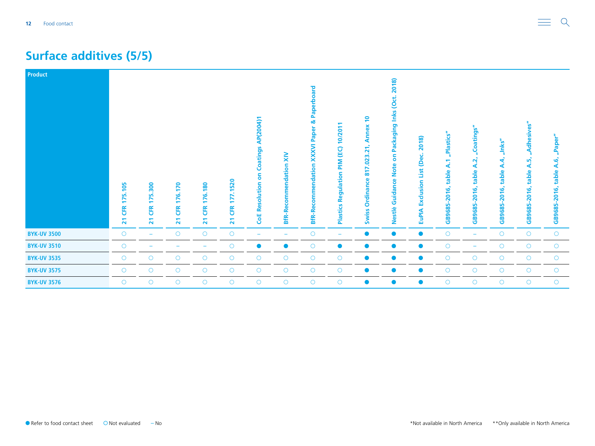#### **Surface additives (5/5)**

| Product            |                            |                                                                  |                                                           |                                                 |                                         |                                                 |                                     |                                                                                                             |                                                          |                                                                        |                                                                              |                                                  |                                                           |                                                                       |                                               |                                                         |                                          |
|--------------------|----------------------------|------------------------------------------------------------------|-----------------------------------------------------------|-------------------------------------------------|-----------------------------------------|-------------------------------------------------|-------------------------------------|-------------------------------------------------------------------------------------------------------------|----------------------------------------------------------|------------------------------------------------------------------------|------------------------------------------------------------------------------|--------------------------------------------------|-----------------------------------------------------------|-----------------------------------------------------------------------|-----------------------------------------------|---------------------------------------------------------|------------------------------------------|
|                    | 175.105<br><b>ER</b><br>21 | <b>300</b><br>75.<br>$\overline{\phantom{0}}$<br><b>ER</b><br>21 | 170<br><u>گاؤ</u><br><b>ER</b><br>$\overline{\mathbf{z}}$ | 176.180<br><b>EK</b><br>$\overline{\mathbf{z}}$ | 1520<br>↖<br><b>CFR</b><br>$\mathbf{z}$ | AP(2004)1<br>Coatings<br>ã<br>Resolution<br>CoE | $\geq$<br><b>BfR-Recommendation</b> | ard<br>Ω<br>$\overline{\mathbf{E}}$<br>య<br>Paper<br><b>XXXVI</b><br>endation<br>comm<br>ō<br><b>BfR-Re</b> | 10/2011<br>PIM (EC)<br>egulation<br>œ<br><b>Plastics</b> | $\overline{P}$<br>Annex<br>.023.21<br>817<br>Ordinance<br><b>Swiss</b> | 2018)<br>Packaging Inks (Oct.<br>ã<br><b>Note</b><br>ပ္ပ<br>Guidan<br>Nestlè | 2018)<br>List (Dec.<br>Exclusion<br><b>EuPIA</b> | "Plastics"<br>$\overline{A}$<br>table<br>2016,<br>GB9685- | Coatings"<br>$\mathbf{\tilde{z}}$<br>⋖<br>table<br>$-2016,$<br>GB9685 | "Inks"<br>₩<br>⋖<br>table<br>2016,<br>GB9685- | <b>Adhesives"</b><br>m<br>∢<br>table<br>2016,<br>GB9685 | "Paper"<br>A.6,<br>table<br>GB9685-2016, |
| <b>BYK-UV 3500</b> | $\circ$                    |                                                                  | $\circ$                                                   | $\circ$                                         | $\bigcirc$                              | $\overline{\phantom{a}}$                        |                                     | $\circ$                                                                                                     | $\overline{\phantom{0}}$                                 | $\bullet$                                                              | $\bullet$                                                                    | $\bullet$                                        | $\bigcirc$                                                | $\overline{\phantom{m}}$                                              | $\bigcirc$                                    | $\circ$                                                 | $\bigcirc$                               |
| <b>BYK-UV 3510</b> | $\circ$                    |                                                                  |                                                           | $\overline{\phantom{0}}$                        | $\bigcirc$                              | $\bullet$                                       | $\bullet$                           | $\circ$                                                                                                     | $\bullet$                                                | $\bullet$                                                              | $\bullet$                                                                    | $\bullet$                                        | $\circ$                                                   | $\overline{\phantom{m}}$                                              | $\bigcirc$                                    | $\circ$                                                 | $\bigcirc$                               |
| <b>BYK-UV 3535</b> | $\circ$                    | $\circ$                                                          | $\circ$                                                   | $\bigcirc$                                      | $\bigcirc$                              | $\circ$                                         | $\circ$                             | $\circ$                                                                                                     | $\circ$                                                  | $\bullet$                                                              | $\bullet$                                                                    | $\bullet$                                        | $\circ$                                                   | $\circ$                                                               | $\circ$                                       | $\circ$                                                 | $\bigcirc$                               |
| <b>BYK-UV 3575</b> | $\circ$                    | $\circ$                                                          | $\circ$                                                   | $\circ$                                         | $\bigcirc$                              | $\circ$                                         | $\circ$                             | $\circ$                                                                                                     | $\circ$                                                  | $\bullet$                                                              | $\bullet$                                                                    | $\bullet$                                        | $\circ$                                                   | $\circ$                                                               | $\circ$                                       | $\circ$                                                 | $\bigcirc$                               |
| <b>BYK-UV 3576</b> | $\circ$                    | $\circ$                                                          | $\circ$                                                   | $\circ$                                         | $\circ$                                 | $\circ$                                         | $\circ$                             | $\circ$                                                                                                     | O                                                        | $\bullet$                                                              |                                                                              |                                                  | $\circ$                                                   | $\circ$                                                               | $\circ$                                       | $\circ$                                                 | $\bigcirc$                               |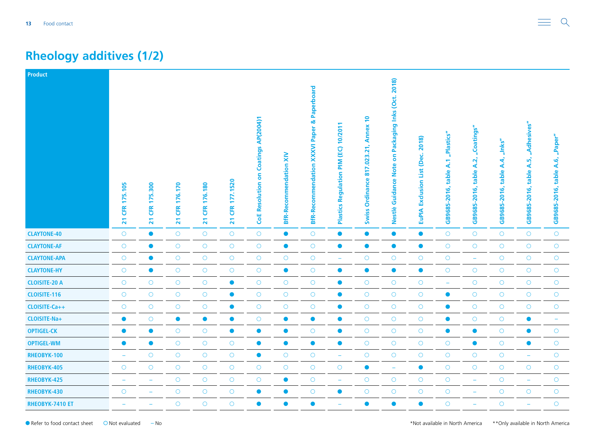### <span id="page-12-0"></span>**Rheology additives (1/2)**

| Product              |                                |                                                    |                                                 |                                               |                                          |                                             |                               |                                                       |                                                  |                                                                                      |                                                                                        |                                                         |                                         |                                          |                                                 |                                                 |                                       |
|----------------------|--------------------------------|----------------------------------------------------|-------------------------------------------------|-----------------------------------------------|------------------------------------------|---------------------------------------------|-------------------------------|-------------------------------------------------------|--------------------------------------------------|--------------------------------------------------------------------------------------|----------------------------------------------------------------------------------------|---------------------------------------------------------|-----------------------------------------|------------------------------------------|-------------------------------------------------|-------------------------------------------------|---------------------------------------|
|                      | CFR 175.105<br>$\overline{21}$ | 5.300<br>F<br><b>ER</b><br>$\overline{\mathbf{z}}$ | 176.170<br><b>ER</b><br>$\overline{\mathbf{z}}$ | 176.180<br>EK <sub>i</sub><br>$\overline{21}$ | 177.1520<br><b>ER</b><br>$\overline{21}$ | <b>CoE Resolution on Coatings AP(2004)1</b> | <b>BfR-Recommendation XIV</b> | & Paperboard<br><b>BfR-Recommendation XXXVI Paper</b> | 10/2011<br>(EC)<br>MId<br>Regulation<br>Plastics | $\overline{\phantom{0}}$<br><b>Annex</b><br>817.023.21,<br>Ordinance<br><b>Swiss</b> | Packaging Inks (Oct. 2018)<br>$\overline{\bf{5}}$<br><b>Note</b><br>Guidance<br>Nestlè | 2018)<br>(Dec.<br><b>Exclusion List</b><br><b>EuPIA</b> | "Plastics"<br>table A.1<br>GB9685-2016, | "Coatings"<br>table A.2,<br>GB9685-2016, | "Inks"<br><b>A.4,</b><br>table.<br>GB9685-2016, | "Adhesives"<br>ωĵ<br>∢<br>table<br>GB9685-2016, | "Paper"<br>table A.6,<br>GB9685-2016, |
| <b>CLAYTONE-40</b>   | $\circ$                        | $\bullet$                                          | $\circ$                                         | $\bigcirc$                                    | $\bigcirc$                               | $\bigcirc$                                  | $\bullet$                     | $\circ$                                               | $\bullet$                                        | $\bullet$                                                                            | $\bullet$                                                                              | $\bullet$                                               | $\bigcirc$                              | $\bigcirc$                               | $\circ$                                         | $\circ$                                         | $\circ$                               |
| <b>CLAYTONE-AF</b>   | $\bigcirc$                     | $\bullet$                                          | $\bigcirc$                                      | $\bigcirc$                                    | $\bigcirc$                               | $\bigcirc$                                  | $\bullet$                     | $\bigcirc$                                            | $\bullet$                                        | $\bullet$                                                                            | $\bullet$                                                                              | $\bullet$                                               | $\bigcirc$                              | $\bigcirc$                               | $\bigcirc$                                      | $\bigcirc$                                      | $\bigcirc$                            |
| <b>CLAYTONE-APA</b>  | $\bigcirc$                     | $\bullet$                                          | $\bigcirc$                                      | $\bigcirc$                                    | $\bigcirc$                               | $\bigcirc$                                  | $\bigcirc$                    | $\bigcirc$                                            | $\overline{\phantom{a}}$                         | $\bigcirc$                                                                           | $\bigcirc$                                                                             | $\bigcirc$                                              | $\bigcirc$                              | ÷                                        | $\bigcirc$                                      | $\bigcirc$                                      | $\bigcirc$                            |
| <b>CLAYTONE-HY</b>   | $\circ$                        | $\bullet$                                          | $\bigcirc$                                      | $\bigcirc$                                    | $\bigcirc$                               | $\bigcirc$                                  | $\bullet$                     | $\circ$                                               | $\bullet$                                        | $\bullet$                                                                            | $\bullet$                                                                              | $\bullet$                                               | $\bigcirc$                              | $\bigcirc$                               | $\circ$                                         | $\circ$                                         | $\bigcirc$                            |
| <b>CLOISITE-20 A</b> | $\circ$                        | $\circ$                                            | $\circ$                                         | $\circ$                                       | $\bullet$                                | $\bigcirc$                                  | $\circ$                       | $\circ$                                               | $\bullet$                                        | $\circ$                                                                              | $\circ$                                                                                | $\bigcirc$                                              | ÷                                       | $\circ$                                  | $\circ$                                         | $\circ$                                         | $\circ$                               |
| <b>CLOISITE-116</b>  | $\circ$                        | $\bigcirc$                                         | $\bigcirc$                                      | $\bigcirc$                                    | $\bullet$                                | $\bigcirc$                                  | $\bigcirc$                    | $\bigcirc$                                            | $\bullet$                                        | $\bigcirc$                                                                           | $\bigcirc$                                                                             | $\bigcirc$                                              | $\bullet$                               | $\bigcirc$                               | $\circ$                                         | $\bigcirc$                                      | $\bigcirc$                            |
| CLOISITE-Ca++        | $\bigcirc$                     | $\bigcirc$                                         | $\bigcirc$                                      | $\bigcirc$                                    | $\bullet$                                | $\bigcirc$                                  | $\bigcirc$                    | $\circ$                                               | $\bullet$                                        | $\bigcirc$                                                                           | $\bigcirc$                                                                             | $\bigcirc$                                              | $\bullet$                               | $\bigcirc$                               | $\bigcirc$                                      | $\bigcirc$                                      | $\bigcirc$                            |
| CLOISITE-Na+         | $\bullet$                      | $\circ$                                            | $\bullet$                                       | $\bullet$                                     | $\bullet$                                | $\bigcirc$                                  | $\bullet$                     | $\bullet$                                             | $\bullet$                                        | $\bigcirc$                                                                           | $\circ$                                                                                | $\bigcirc$                                              | $\bullet$                               | $\circ$                                  | $\circ$                                         | $\bullet$                                       | ÷                                     |
| <b>OPTIGEL-CK</b>    | $\bullet$                      | $\bullet$                                          | $\bigcirc$                                      | $\bigcirc$                                    | $\bullet$                                | $\bullet$                                   | $\bullet$                     | $\bigcirc$                                            | $\bullet$                                        | $\bigcirc$                                                                           | $\bigcirc$                                                                             | $\bigcirc$                                              | $\bullet$                               | $\bullet$                                | $\bigcirc$                                      | $\bullet$                                       | $\bigcirc$                            |
| <b>OPTIGEL-WM</b>    | $\bullet$                      | $\bullet$                                          | $\bigcirc$                                      | $\bigcirc$                                    | $\bigcirc$                               | $\bullet$                                   | $\bullet$                     | $\bullet$                                             | $\bullet$                                        | $\bigcirc$                                                                           | $\bigcirc$                                                                             | $\bigcirc$                                              | $\bigcirc$                              | $\bullet$                                | $\bigcirc$                                      | $\bullet$                                       | $\bigcirc$                            |
| RHEOBYK-100          | ۰                              | $\circ$                                            | $\circ$                                         | $\circ$                                       | $\circ$                                  | $\bullet$                                   | $\circ$                       | $\circ$                                               | $\overline{\phantom{m}}$                         | $\circ$                                                                              | $\circ$                                                                                | $\circ$                                                 | $\circ$                                 | $\circ$                                  | $\circ$                                         | $\overline{\phantom{m}}$                        | $\circ$                               |
| RHEOBYK-405          | $\bigcirc$                     | $\bigcirc$                                         | $\bigcirc$                                      | $\bigcirc$                                    | $\bigcirc$                               | $\bigcirc$                                  | $\bigcirc$                    | $\bigcirc$                                            | $\bigcirc$                                       | $\bullet$                                                                            | $\rightarrow$                                                                          | $\bullet$                                               | $\circ$                                 | $\bigcirc$                               | $\bigcirc$                                      | $\bigcirc$                                      | $\bigcirc$                            |
| RHEOBYK-425          | $\overline{\phantom{0}}$       | ۰                                                  | $\bigcirc$                                      | $\bigcirc$                                    | $\bigcirc$                               | $\bigcirc$                                  | $\bullet$                     | $\circ$                                               | $\overline{\phantom{a}}$                         | $\circ$                                                                              | $\circ$                                                                                | $\bigcirc$                                              | $\bigcirc$                              | ÷                                        | $\circ$                                         | $\overline{\phantom{m}}$                        | $\bigcirc$                            |
| RHEOBYK-430          | $\circ$                        | ۰                                                  | $\circ$                                         | $\bigcirc$                                    | $\circ$                                  | $\bullet$                                   | $\bullet$                     | $\circ$                                               | $\bullet$                                        | $\circ$                                                                              | $\circ$                                                                                | $\circ$                                                 | $\bigcirc$                              | ÷                                        | $\circ$                                         | $\circ$                                         | $\bigcirc$                            |
| RHEOBYK-7410 ET      |                                | ÷                                                  | $\circ$                                         | $\circ$                                       | $\circ$                                  | $\bullet$                                   | $\bullet$                     | $\bullet$                                             |                                                  | $\bullet$                                                                            | $\bullet$                                                                              | $\bullet$                                               | $\overline{O}$                          | $\equiv$                                 | $\circ$                                         | ÷,                                              | $\bigcirc$                            |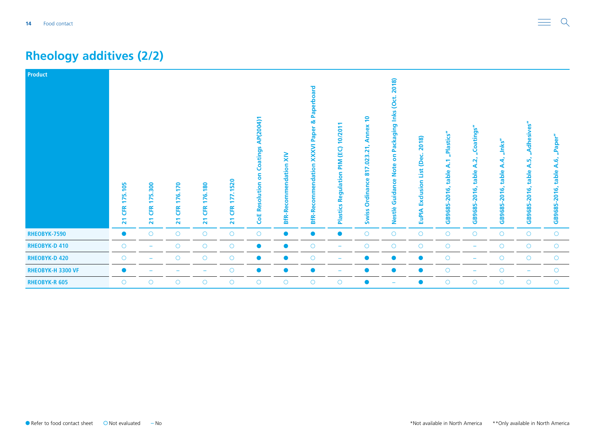### **Rheology additives (2/2)**

| Product              |                                         |                                                               |                                                       |                                         |                                             |                                                           |                                         |                                                                        |                                                          |                                                                                                                                     |                                                                         |                                                  |                                                            |                                                                           |                                                                           |                                                  |                                          |
|----------------------|-----------------------------------------|---------------------------------------------------------------|-------------------------------------------------------|-----------------------------------------|---------------------------------------------|-----------------------------------------------------------|-----------------------------------------|------------------------------------------------------------------------|----------------------------------------------------------|-------------------------------------------------------------------------------------------------------------------------------------|-------------------------------------------------------------------------|--------------------------------------------------|------------------------------------------------------------|---------------------------------------------------------------------------|---------------------------------------------------------------------------|--------------------------------------------------|------------------------------------------|
|                      | 175.105<br><b>EK</b><br>$\overline{21}$ | 300<br>75.<br>$\blacksquare$<br>ER<br>$\overline{\mathbf{z}}$ | 76.170<br>$\overline{\phantom{0}}$<br><b>ER</b><br>21 | 176.180<br><b>EK</b><br>$\overline{21}$ | .1520<br>77<br><b>EK</b><br>$\overline{21}$ | AP(2004)1<br>Coatings<br>5<br>solution<br>قع<br><b>GE</b> | $\geq$<br>endation<br><b>BfR-Recomm</b> | bard<br>Pap<br>ಹ<br>Paper<br><b>XXXVI</b><br><b>BfR-Recommendation</b> | 10/2011<br>PIM (EC)<br>egulation<br>œ<br><b>Plastics</b> | $\overline{P}$<br><b>Annex</b><br>↽<br>$\mathbf{N}$<br>$-023$<br>↖<br>$\overline{\phantom{0}}$<br>œ<br>dinance<br>ō<br><b>Swiss</b> | 2018)<br>Packaging Inks (Oct.<br>δ<br><b>Note</b><br>Guidance<br>Nestlè | 2018)<br>List (Dec.<br>Exclusion<br><b>EuPIA</b> | "Plastics"<br>$\mathbf{A}$ :1<br>table<br>2016,<br>GB9685- | Coatings"<br>- 5<br>$\mathbf{\tilde{N}}$<br>∢<br>table<br>2016,<br>GB9685 | "Inks"<br>4<br>⋖<br>$\omega$<br>table<br>هَ-<br>$\overline{a}$<br>GB9685- | Adhesives<br>m<br>⋖<br>table<br>2016,<br>GB9685- | "Paper"<br>A.6,<br>table<br>GB9685-2016, |
| RHEOBYK-7590         | $\bullet$                               | $\bigcirc$                                                    | $\circ$                                               | $\circ$                                 | $\bigcirc$                                  | $\bigcirc$                                                | $\bullet$                               | $\bullet$                                                              | $\bullet$                                                | $\bigcirc$                                                                                                                          | $\bigcirc$                                                              | $\bigcirc$                                       | $\circlearrowright$                                        | $\bigcirc$                                                                | $\circ$                                                                   | $\circ$                                          | $\bigcirc$                               |
| <b>RHEOBYK-D 410</b> | $\circ$                                 | ٠                                                             | $\circ$                                               | $\bigcirc$                              | $\bigcirc$                                  | $\bullet$                                                 | $\bullet$                               | $\circ$                                                                | $\overline{\phantom{0}}$                                 | $\bigcirc$                                                                                                                          | $\bigcirc$                                                              | $\bigcirc$                                       | $\bigcirc$                                                 | $\overline{\phantom{a}}$                                                  | $\circ$                                                                   | $\circ$                                          | $\bigcirc$                               |
| <b>RHEOBYK-D 420</b> | $\circ$                                 |                                                               | $\circ$                                               | $\circ$                                 | $\circ$                                     | $\bullet$                                                 | $\bullet$                               | $\circ$                                                                |                                                          | $\bullet$                                                                                                                           | $\bullet$                                                               | $\bullet$                                        | $\circ$                                                    | $\overline{\phantom{m}}$                                                  | $\circ$                                                                   | $\circ$                                          | $\circ$                                  |
| RHEOBYK-H 3300 VF    | $\bullet$                               |                                                               |                                                       | $\overline{\phantom{0}}$                | $\circ$                                     | $\bullet$                                                 | $\bullet$                               |                                                                        |                                                          | $\bullet$                                                                                                                           | $\bullet$                                                               | $\bullet$                                        | $\circ$                                                    | ۰                                                                         | $\circ$                                                                   | ۳                                                | $\circ$                                  |
| <b>RHEOBYK-R 605</b> | $\circ$                                 | $\circ$                                                       | $\circ$                                               | $\circ$                                 | $\circ$                                     | $\bigcirc$                                                | $\circ$                                 | $\circ$                                                                | O                                                        | $\bullet$                                                                                                                           | -                                                                       | $\bullet$                                        | $\circ$                                                    | $\circ$                                                                   | $\circ$                                                                   | $\circ$                                          | $\bigcirc$                               |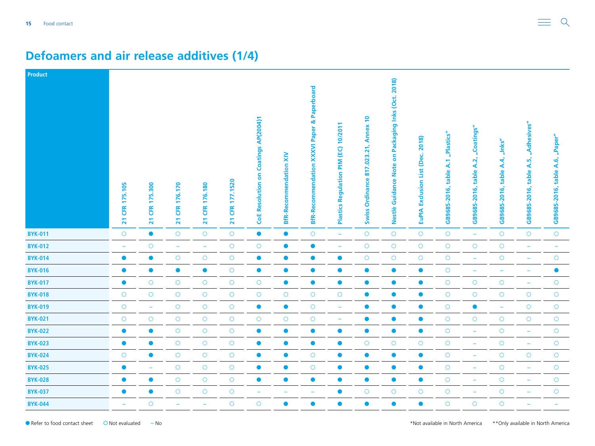| Product        |                                                 |                                         |                            |                             |                                   |                                      |                               |                                                        |                                                             |                                                                            |                                                                              |                                               |                                      |                                          |                                                 |                                               |                                       |
|----------------|-------------------------------------------------|-----------------------------------------|----------------------------|-----------------------------|-----------------------------------|--------------------------------------|-------------------------------|--------------------------------------------------------|-------------------------------------------------------------|----------------------------------------------------------------------------|------------------------------------------------------------------------------|-----------------------------------------------|--------------------------------------|------------------------------------------|-------------------------------------------------|-----------------------------------------------|---------------------------------------|
|                | 175.105<br><b>ER</b><br>$\overline{\mathbf{z}}$ | 175.300<br><b>ER</b><br>$\overline{21}$ | 176.170<br><b>ER</b><br>21 | 176.180<br><b>CFR</b><br>21 | 177.1520<br>ER<br>$\overline{21}$ | CoE Resolution on Coatings AP(2004)1 | <b>BfR-Recommendation XIV</b> | <b>BfR-Recommendation XXXVI Paper &amp; Paperboard</b> | ਵ<br>10/201<br>(EC)<br>MId<br>Regulation<br><b>Plastics</b> | $\overline{P}$<br><b>Annex</b><br>817.023.21,<br>Ordinance<br><b>Swiss</b> | Packaging Inks (Oct. 2018)<br>$\mathbf{s}$<br><b>Note</b><br>Nestlè Guidance | 2018)<br>(Dec.<br><b>EuPIA Exclusion List</b> | "Plastics"<br>GB9685-2016, table A.1 | "Coatings"<br>table A.2,<br>GB9685-2016, | "Inks"<br><b>A.4,</b><br>table.<br>GB9685-2016, | "Adhesives"<br>A.5,<br>table.<br>GB9685-2016, | "Paper"<br>table A.6,<br>GB9685-2016, |
| <b>BYK-011</b> | $\bigcirc$                                      | $\bullet$                               | $\bigcirc$                 | $\bigcirc$                  | $\bigcirc$                        | $\bullet$                            | $\bullet$                     | $\bigcirc$                                             | ÷                                                           | $\bigcirc$                                                                 | $\bigcirc$                                                                   | $\bigcirc$                                    | $\bigcirc$                           | $\equiv$                                 | $\circ$                                         | $\circ$                                       | $\bigcirc$                            |
| <b>BYK-012</b> | $\overline{\phantom{m}}$                        | $\bigcirc$                              | $\rightarrow$              | $\equiv$                    | $\bigcirc$                        | $\bigcirc$                           | $\bullet$                     | $\bullet$                                              | $\equiv$                                                    | $\bigcirc$                                                                 | $\bigcirc$                                                                   | $\bigcirc$                                    | $\bigcirc$                           | $\bigcirc$                               | $\bigcirc$                                      | $\overline{\phantom{m}}$                      | $\overline{\phantom{a}}$              |
| <b>BYK-014</b> | $\bullet$                                       | $\bullet$                               | $\bigcirc$                 | $\bigcirc$                  | $\circ$                           | $\bullet$                            | $\bullet$                     | $\bullet$                                              | $\bullet$                                                   | $\bigcirc$                                                                 | $\bigcirc$                                                                   | $\bigcirc$                                    | $\bigcirc$                           | $\equiv$                                 | $\bigcirc$                                      |                                               | $\bigcirc$                            |
| <b>BYK-016</b> | $\bullet$                                       | $\bullet$                               | $\bullet$                  | $\bullet$                   | $\bigcirc$                        | $\bullet$                            | $\bullet$                     | $\bullet$                                              | $\bullet$                                                   | $\bullet$                                                                  | $\bullet$                                                                    | $\bullet$                                     | $\bigcirc$                           | $\overline{\phantom{m}}$                 | ۰                                               |                                               | $\bullet$                             |
| <b>BYK-017</b> | $\bullet$                                       | $\bigcirc$                              | $\bigcirc$                 | $\bigcirc$                  | $\bigcirc$                        | $\bigcirc$                           | $\bullet$                     | $\bullet$                                              | $\bullet$                                                   | $\bullet$                                                                  | $\bullet$                                                                    | $\bullet$                                     | $\bigcirc$                           | $\bigcirc$                               | $\bigcirc$                                      | $\equiv$                                      | $\bigcirc$                            |
| <b>BYK-018</b> | $\bigcirc$                                      | $\circ$                                 | $\bigcirc$                 | $\bigcirc$                  | $\bigcirc$                        | $\bigcirc$                           | $\bigcirc$                    | $\bigcirc$                                             | $\bigcirc$                                                  | $\bullet$                                                                  | $\bullet$                                                                    | $\bullet$                                     | $\circ$                              | $\bigcirc$                               | $\circ$                                         | $\bigcirc$                                    | $\bigcirc$                            |
| <b>BYK-019</b> | $\bigcirc$                                      | $\rightarrow$                           | $\circ$                    | $\bigcirc$                  | $\bigcirc$                        | $\bullet$                            | $\bullet$                     | $\bigcirc$                                             | $\overline{\phantom{a}}$                                    | $\bullet$                                                                  | $\bullet$                                                                    | $\bullet$                                     | $\bigcirc$                           | $\bullet$                                | ۰                                               | $\circ$                                       | $\bigcirc$                            |
| <b>BYK-021</b> | $\bigcirc$                                      | $\bigcirc$                              | $\bigcirc$                 | $\bigcirc$                  | $\bigcirc$                        | $\bigcirc$                           | $\bigcirc$                    | $\circ$                                                | $\overline{\phantom{m}}$                                    | $\bullet$                                                                  | $\bullet$                                                                    | $\bullet$                                     | $\bigcirc$                           | $\bigcirc$                               | $\bigcirc$                                      | $\bigcirc$                                    | $\bigcirc$                            |
| <b>BYK-022</b> | $\bullet$                                       | $\bullet$                               | $\bigcirc$                 | $\bigcirc$                  | $\bigcirc$                        | $\bullet$                            | $\bullet$                     | $\bullet$                                              | $\bullet$                                                   | $\bullet$                                                                  | $\bullet$                                                                    | $\bullet$                                     | $\bigcirc$                           | ۰                                        | $\bigcirc$                                      |                                               | $\bigcirc$                            |
| <b>BYK-023</b> | $\bullet$                                       | $\bullet$                               | $\circ$                    | $\circ$                     | $\bigcirc$                        | $\bullet$                            | $\bullet$                     | $\bullet$                                              | $\bullet$                                                   | $\circ$                                                                    | $\circ$                                                                      | $\circ$                                       | $\bigcirc$                           | ۳                                        | $\circ$                                         | ۰                                             | $\bigcirc$                            |
| <b>BYK-024</b> | $\bigcirc$                                      | $\bullet$                               | $\bigcirc$                 | $\bigcirc$                  | $\bigcirc$                        | $\bullet$                            | $\bullet$                     | $\circ$                                                | $\bullet$                                                   | $\bullet$                                                                  | $\bullet$                                                                    | $\bullet$                                     | $\bigcirc$                           | ÷                                        | $\bigcirc$                                      | $\bigcirc$                                    | $\bigcirc$                            |
| <b>BYK-025</b> | $\bullet$                                       | ۳                                       | $\bigcirc$                 | $\bigcirc$                  | $\bigcirc$                        | $\bullet$                            | $\bullet$                     | $\circ$                                                | $\bullet$                                                   | $\bullet$                                                                  | $\bullet$                                                                    | $\bullet$                                     | $\bigcirc$                           | $\overline{\phantom{a}}$                 | $\circ$                                         |                                               | $\bigcirc$                            |
| <b>BYK-028</b> | $\bullet$                                       | $\bullet$                               | $\circ$                    | $\circ$                     | $\bigcirc$                        | $\bullet$                            | $\bullet$                     | $\bullet$                                              | $\bullet$                                                   | $\bullet$                                                                  | $\bullet$                                                                    | $\bullet$                                     | $\bigcirc$                           | ۳                                        | $\circ$                                         |                                               | $\bigcirc$                            |
| <b>BYK-037</b> | $\bullet$                                       | $\bullet$                               | $\bigcirc$                 | $\bigcirc$                  | $\bigcirc$                        | $\rightarrow$                        | ÷                             | ÷                                                      | $\bullet$                                                   | $\bigcirc$                                                                 | $\bigcirc$                                                                   | $\bigcirc$                                    | $\bigcirc$                           | ۳                                        | $\bigcirc$                                      |                                               | $\bigcirc$                            |
| <b>BYK-044</b> | $\equiv$                                        | $\circ$                                 |                            | $\overline{\phantom{0}}$    | $\circ$                           | $\bigcirc$                           | $\bullet$                     | $\bullet$                                              | $\bullet$                                                   | $\bullet$                                                                  | $\bullet$                                                                    | $\bullet$                                     | $\circ$                              | $\circ$                                  | $\circ$                                         |                                               |                                       |

#### <span id="page-14-0"></span>**Defoamers and air release additives (1/4)**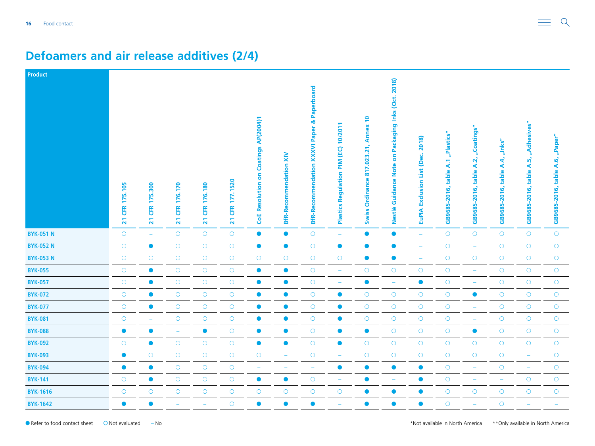| Product          |                                         |                                         |                            |                             |                                          |                                      |                               |                                                        |                                                      |                                                                            |                                                                              |                                               |                                   |                                          |                                                 |                                               |                                                         |
|------------------|-----------------------------------------|-----------------------------------------|----------------------------|-----------------------------|------------------------------------------|--------------------------------------|-------------------------------|--------------------------------------------------------|------------------------------------------------------|----------------------------------------------------------------------------|------------------------------------------------------------------------------|-----------------------------------------------|-----------------------------------|------------------------------------------|-------------------------------------------------|-----------------------------------------------|---------------------------------------------------------|
|                  | 175.105<br><b>ER</b><br>$\overline{21}$ | 175.300<br><b>ER</b><br>$\overline{21}$ | 176.170<br><b>ER</b><br>21 | 176.180<br><b>CFR</b><br>21 | 177.1520<br>Œ<br>$\overline{\mathbf{z}}$ | CoE Resolution on Coatings AP(2004)1 | <b>BfR-Recommendation XIV</b> | <b>BfR-Recommendation XXXVI Paper &amp; Paperboard</b> | ਵ<br>10/201<br>(EC)<br>MId<br>Regulation<br>Plastics | $\overline{P}$<br><b>Annex</b><br>817.023.21,<br>Ordinance<br><b>Swiss</b> | Packaging Inks (Oct. 2018)<br>$\mathbf{s}$<br><b>Note</b><br>Nestlè Guidance | 2018)<br>(Dec.<br><b>EuPIA Exclusion List</b> | GB9685-2016, table A.1 "Plastics" | "Coatings"<br>table A.2,<br>GB9685-2016, | "Inks"<br><b>A.4,</b><br>table.<br>GB9685-2016, | "Adhesives"<br>A.5,<br>table.<br>GB9685-2016, | "Paper"<br>$\overline{A}$ .6,<br>table.<br>GB9685-2016, |
| <b>BYK-051 N</b> | $\bigcirc$                              | $\rightarrow$                           | $\circ$                    | $\bigcirc$                  | $\bigcirc$                               | $\bullet$                            | $\bullet$                     | $\bigcirc$                                             | $\equiv$                                             | $\bullet$                                                                  | $\bullet$                                                                    | $\rightarrow$                                 | $\bigcirc$                        | $\bigcirc$                               | $\circ$                                         | $\circ$                                       | $\bigcirc$                                              |
| <b>BYK-052 N</b> | $\bigcirc$                              | $\bullet$                               | $\bigcirc$                 | $\bigcirc$                  | $\bigcirc$                               | $\bullet$                            | $\bullet$                     | $\bigcirc$                                             | $\bullet$                                            | $\bullet$                                                                  | $\bullet$                                                                    | $\overline{\phantom{m}}$                      | $\bigcirc$                        | $\overline{\phantom{m}}$                 | $\bigcirc$                                      | $\bigcirc$                                    | $\bigcirc$                                              |
| <b>BYK-053 N</b> | $\bigcirc$                              | $\circ$                                 | $\bigcirc$                 | $\bigcirc$                  | $\bigcirc$                               | $\bigcirc$                           | $\bigcirc$                    | $\bigcirc$                                             | $\bigcirc$                                           | $\bullet$                                                                  | $\bullet$                                                                    | ۳                                             | $\bigcirc$                        | $\bigcirc$                               | $\circ$                                         | $\bigcirc$                                    | $\bigcirc$                                              |
| <b>BYK-055</b>   | $\bigcirc$                              | $\bullet$                               | $\circ$                    | $\bigcirc$                  | $\bigcirc$                               | $\bullet$                            | $\bullet$                     | $\bigcirc$                                             | $\overline{\phantom{a}}$                             | $\circ$                                                                    | $\bigcirc$                                                                   | $\circ$                                       | $\bigcirc$                        | ۳                                        | $\circ$                                         | $\circ$                                       | $\bigcirc$                                              |
| <b>BYK-057</b>   | $\bigcirc$                              | $\bullet$                               | $\bigcirc$                 | $\bigcirc$                  | $\bigcirc$                               | $\bullet$                            | $\bullet$                     | $\circ$                                                | ÷                                                    | $\bullet$                                                                  | $\overline{\phantom{a}}$                                                     | $\bullet$                                     | $\bigcirc$                        | ÷,                                       | $\bigcirc$                                      | $\bigcirc$                                    | $\bigcirc$                                              |
| <b>BYK-072</b>   | $\bigcirc$                              | $\bullet$                               | $\bigcirc$                 | $\bigcirc$                  | $\bigcirc$                               | $\bullet$                            | $\bullet$                     | $\circ$                                                | $\bullet$                                            | $\circ$                                                                    | $\bigcirc$                                                                   | $\bigcirc$                                    | $\bigcirc$                        | $\bullet$                                | $\circ$                                         | $\bigcirc$                                    | $\bigcirc$                                              |
| <b>BYK-077</b>   | $\bigcirc$                              | $\bullet$                               | $\bigcirc$                 | $\bigcirc$                  | $\bigcirc$                               | $\bullet$                            | $\bullet$                     | $\circ$                                                | $\bullet$                                            | $\circ$                                                                    | $\bigcirc$                                                                   | $\bigcirc$                                    | $\bigcirc$                        | ۰                                        | $\circ$                                         | $\circ$                                       | $\bigcirc$                                              |
| <b>BYK-081</b>   | $\bigcirc$                              | $\equiv$                                | $\bigcirc$                 | $\bigcirc$                  | $\bigcirc$                               | $\bullet$                            | $\bullet$                     | $\bigcirc$                                             | $\bullet$                                            | $\bigcirc$                                                                 | $\bigcirc$                                                                   | $\bigcirc$                                    | $\bigcirc$                        | $\equiv$                                 | $\bigcirc$                                      | $\bigcirc$                                    | $\bigcirc$                                              |
| <b>BYK-088</b>   | $\bullet$                               | $\bullet$                               | $\overline{\phantom{0}}$   | $\bullet$                   | $\bigcirc$                               | $\bullet$                            | $\bullet$                     | $\circ$                                                | $\bullet$                                            | $\bullet$                                                                  | $\circ$                                                                      | $\bigcirc$                                    | $\bigcirc$                        | $\bullet$                                | $\circ$                                         | $\bigcirc$                                    | $\bigcirc$                                              |
| <b>BYK-092</b>   | $\circ$                                 | $\bullet$                               | $\circ$                    | $\circ$                     | $\bigcirc$                               | $\bullet$                            | $\bullet$                     | $\circ$                                                | $\bullet$                                            | $\circ$                                                                    | $\circ$                                                                      | $\bigcirc$                                    | $\bigcirc$                        | $\bigcirc$                               | $\circ$                                         | $\circ$                                       | $\bigcirc$                                              |
| <b>BYK-093</b>   | $\bullet$                               | $\circ$                                 | $\bigcirc$                 | $\bigcirc$                  | $\bigcirc$                               | $\bigcirc$                           | $\equiv$                      | $\circ$                                                | $\overline{\phantom{m}}$                             | $\bigcirc$                                                                 | $\bigcirc$                                                                   | $\bigcirc$                                    | $\bigcirc$                        | $\bigcirc$                               | $\bigcirc$                                      | $\overline{\phantom{a}}$                      | $\bigcirc$                                              |
| <b>BYK-094</b>   | $\bullet$                               | $\bullet$                               | $\circ$                    | $\bigcirc$                  | $\bigcirc$                               | $\overline{\phantom{0}}$             |                               | $\overline{\phantom{0}}$                               | $\bullet$                                            | $\bullet$                                                                  | $\bullet$                                                                    | $\bullet$                                     | $\bigcirc$                        | $\overline{\phantom{m}}$                 | $\circ$                                         | ÷                                             | $\bigcirc$                                              |
| <b>BYK-141</b>   | $\circ$                                 | $\bullet$                               | $\bigcirc$                 | $\circ$                     | $\circ$                                  | $\bullet$                            | $\bullet$                     | $\circ$                                                | $\overline{\phantom{m}}$                             | $\bullet$                                                                  | $\overline{\phantom{a}}$                                                     | $\bullet$                                     | $\bigcirc$                        | $\overline{\phantom{a}}$                 | $\equiv$                                        | $\bigcirc$                                    | $\bigcirc$                                              |
| <b>BYK-1616</b>  | $\bigcirc$                              | $\circ$                                 | $\bigcirc$                 | $\bigcirc$                  | $\bigcirc$                               | $\bigcirc$                           | $\bigcirc$                    | $\circ$                                                | $\circ$                                              | $\bullet$                                                                  | $\bullet$                                                                    | $\bullet$                                     | $\bigcirc$                        | $\bigcirc$                               | $\bigcirc$                                      | $\bigcirc$                                    | $\bigcirc$                                              |
| <b>BYK-1642</b>  | $\bullet$                               | $\bullet$                               |                            | $\overline{\phantom{0}}$    | $\circ$                                  | $\bullet$                            | $\bullet$                     | $\bullet$                                              | $\overline{\phantom{0}}$                             | $\bullet$                                                                  | $\bullet$                                                                    | $\bullet$                                     | $\circ$                           | L.                                       | $\circ$                                         |                                               |                                                         |

#### **Defoamers and air release additives (2/4)**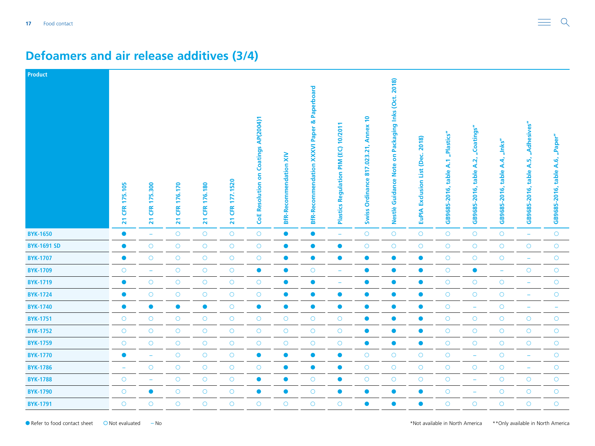| Product            |                                                 |                                                  |                            |                                                  |                                          |                                      |                               |                                                                  |                                                      |                                                                                      |                                                                                        |                                                     |                                         |                                          |                                             |                                              |                                              |
|--------------------|-------------------------------------------------|--------------------------------------------------|----------------------------|--------------------------------------------------|------------------------------------------|--------------------------------------|-------------------------------|------------------------------------------------------------------|------------------------------------------------------|--------------------------------------------------------------------------------------|----------------------------------------------------------------------------------------|-----------------------------------------------------|-----------------------------------------|------------------------------------------|---------------------------------------------|----------------------------------------------|----------------------------------------------|
|                    | 175.105<br><b>ER</b><br>$\overline{\mathbf{z}}$ | 175.300<br><b>CFR</b><br>$\overline{\mathbf{z}}$ | 176.170<br><b>ER</b><br>21 | 176.180<br><b>CFR</b><br>$\overline{\mathbf{z}}$ | 177.1520<br>Œ<br>$\overline{\mathbf{z}}$ | CoE Resolution on Coatings AP(2004)1 | <b>BfR-Recommendation XIV</b> | <b>XXXVI Paper &amp; Paperboard</b><br><b>BfR-Recommendation</b> | ↽<br>10/201<br>(EC)<br>MIk<br>Regulation<br>Plastics | $\overline{\phantom{0}}$<br><b>Annex</b><br>817.023.21,<br>Ordinance<br><b>Swiss</b> | Packaging Inks (Oct. 2018)<br>$\overline{\bf{5}}$<br><b>Note</b><br>Guidance<br>Nestlè | 2018)<br>(Dec.<br>List<br>Exclusion<br><b>EuPIA</b> | "Plastics"<br>table A.1<br>GB9685-2016, | "Coatings"<br>table A.2,<br>GB9685-2016, | $n$ Inks"<br>A.4,<br>table.<br>GB9685-2016, | "Adhesives"<br>A.5,<br>table<br>GB9685-2016, | "Paper"<br>$A.6$ ,<br>table.<br>GB9685-2016, |
| <b>BYK-1650</b>    | $\bullet$                                       | $\rightarrow$                                    | $\circ$                    | $\circ$                                          | $\bigcirc$                               | $\bigcirc$                           | $\bullet$                     | $\bullet$                                                        | $\equiv$                                             | $\circ$                                                                              | $\bigcirc$                                                                             | $\bigcirc$                                          | $\bigcirc$                              | $\circ$                                  | $\circ$                                     | $\overline{\phantom{m}}$                     | $\bigcirc$                                   |
| <b>BYK-1691 SD</b> | $\bullet$                                       | $\bigcirc$                                       | $\bigcirc$                 | $\bigcirc$                                       | $\bigcirc$                               | $\bigcirc$                           | $\bullet$                     | $\bullet$                                                        | $\bullet$                                            | $\bigcirc$                                                                           | $\bigcirc$                                                                             | $\bigcirc$                                          | $\bigcirc$                              | $\bigcirc$                               | $\bigcirc$                                  | $\bigcirc$                                   | $\bigcirc$                                   |
| <b>BYK-1707</b>    | $\bullet$                                       | $\circ$                                          | $\bigcirc$                 | $\bigcirc$                                       | $\circ$                                  | $\bigcirc$                           | $\bullet$                     | $\bullet$                                                        | $\bullet$                                            | $\bullet$                                                                            | $\bullet$                                                                              | $\bullet$                                           | $\bigcirc$                              | $\bigcirc$                               | $\bigcirc$                                  | $\overline{\phantom{m}}$                     | $\bigcirc$                                   |
| <b>BYK-1709</b>    | $\bigcirc$                                      | $\overline{\phantom{a}}$                         | $\circ$                    | $\bigcirc$                                       | $\bigcirc$                               | $\bullet$                            | $\bullet$                     | $\bigcirc$                                                       | ÷                                                    | $\bullet$                                                                            | $\bullet$                                                                              | $\bullet$                                           | $\bigcirc$                              | $\bullet$                                | $\rightarrow$                               | $\circ$                                      | $\bigcirc$                                   |
| <b>BYK-1719</b>    | $\bullet$                                       | $\bigcirc$                                       | $\bigcirc$                 | $\bigcirc$                                       | $\bigcirc$                               | $\bigcirc$                           | $\bullet$                     | $\bullet$                                                        | ÷                                                    | $\bullet$                                                                            | $\bullet$                                                                              | $\bullet$                                           | $\bigcirc$                              | $\bigcirc$                               | $\bigcirc$                                  |                                              | $\bigcirc$                                   |
| <b>BYK-1724</b>    | $\bullet$                                       | $\circ$                                          | $\circ$                    | $\bigcirc$                                       | $\circ$                                  | $\bigcirc$                           | $\bullet$                     | $\bullet$                                                        | $\bullet$                                            | $\bullet$                                                                            | $\bullet$                                                                              | $\bullet$                                           | $\bigcirc$                              | $\bigcirc$                               | $\bigcirc$                                  | ۳                                            | $\bigcirc$                                   |
| <b>BYK-1740</b>    | $\bullet$                                       | $\bullet$                                        | $\bullet$                  | $\bullet$                                        | $\bigcirc$                               | $\bullet$                            | $\bullet$                     | $\bullet$                                                        | $\bullet$                                            | $\bullet$                                                                            | $\bullet$                                                                              | $\bullet$                                           | $\bigcirc$                              | ÷                                        | $\bigcirc$                                  | ۰                                            | ۰                                            |
| <b>BYK-1751</b>    | $\bigcirc$                                      | $\bigcirc$                                       | $\bigcirc$                 | $\bigcirc$                                       | $\bigcirc$                               | $\bigcirc$                           | $\bigcirc$                    | $\bigcirc$                                                       | $\bigcirc$                                           | $\bullet$                                                                            | $\bullet$                                                                              | $\bullet$                                           | $\bigcirc$                              | $\bigcirc$                               | $\bigcirc$                                  | $\bigcirc$                                   | $\bigcirc$                                   |
| <b>BYK-1752</b>    | $\bigcirc$                                      | $\circ$                                          | $\bigcirc$                 | $\bigcirc$                                       | $\circ$                                  | $\bigcirc$                           | $\bigcirc$                    | $\bigcirc$                                                       | $\bigcirc$                                           | $\bullet$                                                                            | $\bullet$                                                                              | $\bullet$                                           | $\bigcirc$                              | $\bigcirc$                               | $\circ$                                     | $\bigcirc$                                   | $\bigcirc$                                   |
| <b>BYK-1759</b>    | $\bigcirc$                                      | $\circ$                                          | $\circ$                    | $\bigcirc$                                       | $\bigcirc$                               | $\bigcirc$                           | $\bigcirc$                    | $\circ$                                                          | $\circ$                                              | $\bullet$                                                                            | $\bullet$                                                                              | $\bullet$                                           | $\bigcirc$                              | $\bigcirc$                               | $\circ$                                     | $\circ$                                      | $\bigcirc$                                   |
| <b>BYK-1770</b>    | $\bullet$                                       | $\equiv$                                         | $\bigcirc$                 | $\bigcirc$                                       | $\bigcirc$                               | $\bullet$                            | $\bullet$                     | $\bullet$                                                        | $\bullet$                                            | $\bigcirc$                                                                           | $\bigcirc$                                                                             | $\bigcirc$                                          | $\bigcirc$                              | $\rightarrow$                            | $\bigcirc$                                  | $\overline{\phantom{m}}$                     | $\bigcirc$                                   |
| <b>BYK-1786</b>    | ÷                                               | $\circ$                                          | $\circ$                    | $\bigcirc$                                       | $\bigcirc$                               | $\bigcirc$                           | $\bullet$                     | $\bullet$                                                        | $\bullet$                                            | $\bigcirc$                                                                           | $\bigcirc$                                                                             | $\bigcirc$                                          | $\bigcirc$                              | $\bigcirc$                               | $\circ$                                     | $\overline{\phantom{a}}$                     | $\bigcirc$                                   |
| <b>BYK-1788</b>    | $\circ$                                         | $\overline{\phantom{a}}$                         | $\bigcirc$                 | $\circ$                                          | $\circ$                                  | $\bullet$                            | $\bullet$                     | $\bigcirc$                                                       | $\bullet$                                            | $\circ$                                                                              | $\bigcirc$                                                                             | $\circ$                                             | $\bigcirc$                              | ÷                                        | $\circ$                                     | $\bigcirc$                                   | $\circ$                                      |
| <b>BYK-1790</b>    | $\bigcirc$                                      | $\bullet$                                        | $\bigcirc$                 | $\bigcirc$                                       | $\bigcirc$                               | $\bullet$                            | $\bullet$                     | $\bigcirc$                                                       | $\bullet$                                            | $\bullet$                                                                            | $\bullet$                                                                              | $\bullet$                                           | $\bigcirc$                              | ÷                                        | $\bigcirc$                                  | $\bigcirc$                                   | $\bigcirc$                                   |
| <b>BYK-1791</b>    | $\circ$                                         | $\circ$                                          | $\circ$                    | $\circ$                                          | $\circ$                                  | $\circ$                              | $\circ$                       | $\circ$                                                          | $\circ$                                              | $\bullet$                                                                            | $\bullet$                                                                              | $\bullet$                                           | $\circ$                                 | $\circ$                                  | $\circ$                                     | $\circ$                                      | $\bigcirc$                                   |

#### **Defoamers and air release additives (3/4)**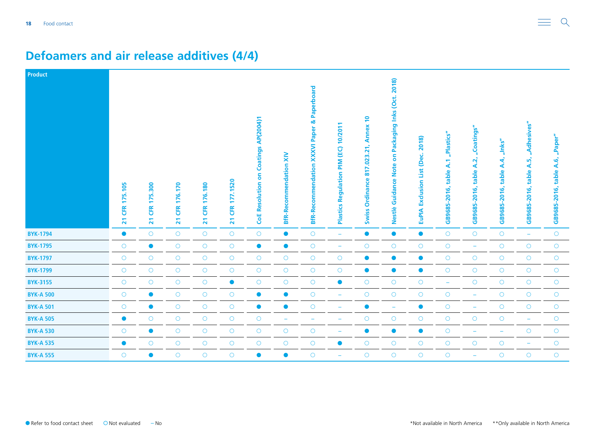| Product          |                                          |                                 |                                                 |                                                  |                           |                                             |                               |                                                                  |                                              |                                                                            |                                                                 |                                                      |                                      |                                          |                                        |                                                  |                                           |
|------------------|------------------------------------------|---------------------------------|-------------------------------------------------|--------------------------------------------------|---------------------------|---------------------------------------------|-------------------------------|------------------------------------------------------------------|----------------------------------------------|----------------------------------------------------------------------------|-----------------------------------------------------------------|------------------------------------------------------|--------------------------------------|------------------------------------------|----------------------------------------|--------------------------------------------------|-------------------------------------------|
|                  | 175.105<br>EK<br>$\overline{\mathbf{z}}$ | 175.300<br>Œ<br>$\overline{21}$ | 176.170<br><b>ER</b><br>$\overline{\mathbf{z}}$ | 176.180<br><b>CFR</b><br>$\overline{\mathbf{z}}$ | 177.1520<br><b>21 CFR</b> | <b>CoE Resolution on Coatings AP(2004)1</b> | <b>BfR-Recommendation XIV</b> | <b>XXXVI Paper &amp; Paperboard</b><br><b>BfR-Recommendation</b> | 10/201<br>PIM (EC)<br>Regulation<br>Plastics | $\overline{1}$<br><b>Annex</b><br>817.023.21,<br>Ordinance<br><b>Swiss</b> | Packaging Inks (Oct. 2018)<br><b>Guidance Note on</b><br>Nestlè | 2018)<br><b>Exclusion List (Dec.</b><br><b>EuPIA</b> | "Plastics"<br>GB9685-2016, table A.1 | "Coatings"<br>table A.2,<br>GB9685-2016, | "Inks"<br>A.4<br>table<br>GB9685-2016, | "Adhesives"<br>ທັ<br>∢<br>table.<br>GB9685-2016, | "Paper"<br>A.6,<br>table.<br>GB9685-2016, |
| <b>BYK-1794</b>  | $\bullet$                                | $\circ$                         | $\circ$                                         | $\bigcirc$                                       | $\bigcirc$                | $\bigcirc$                                  | $\bullet$                     | $\circ$                                                          | $\equiv$                                     | $\bullet$                                                                  | $\bullet$                                                       | $\bullet$                                            | $\bigcirc$                           | $\bigcirc$                               | $\circ$                                | $\equiv$                                         | $\bigcirc$                                |
| <b>BYK-1795</b>  | $\circ$                                  | $\bullet$                       | $\bigcirc$                                      | $\circ$                                          | $\bigcirc$                | $\bullet$                                   | $\bullet$                     | $\circ$                                                          | $\overline{\phantom{m}}$                     | $\circ$                                                                    | $\circ$                                                         | $\bigcirc$                                           | $\bigcirc$                           | $\overline{\phantom{m}}$                 | $\circ$                                | $\circ$                                          | $\bigcirc$                                |
| <b>BYK-1797</b>  | $\bigcirc$                               | $\circ$                         | $\bigcirc$                                      | $\bigcirc$                                       | $\bigcirc$                | $\bigcirc$                                  | $\bigcirc$                    | $\circ$                                                          | $\circ$                                      | $\bullet$                                                                  | $\bullet$                                                       | $\bullet$                                            | $\bigcirc$                           | $\circ$                                  | $\circ$                                | $\circ$                                          | $\bigcirc$                                |
| <b>BYK-1799</b>  | $\bigcirc$                               | $\circ$                         | $\bigcirc$                                      | $\bigcirc$                                       | $\bigcirc$                | $\bigcirc$                                  | $\bigcirc$                    | $\bigcirc$                                                       | $\bigcirc$                                   | $\bullet$                                                                  | $\bullet$                                                       | $\bullet$                                            | $\bigcirc$                           | $\bigcirc$                               | $\circ$                                | $\bigcirc$                                       | $\bigcirc$                                |
| <b>BYK-3155</b>  | $\bigcirc$                               | $\circ$                         | $\bigcirc$                                      | $\bigcirc$                                       | $\bullet$                 | $\bigcirc$                                  | $\bigcirc$                    | $\circ$                                                          | $\bullet$                                    | $\bigcirc$                                                                 | $\bigcirc$                                                      | $\circ$                                              | $\rightarrow$                        | $\bigcirc$                               | $\circ$                                | $\circ$                                          | $\bigcirc$                                |
| <b>BYK-A 500</b> | $\bigcirc$                               | $\bullet$                       | $\bigcirc$                                      | $\bigcirc$                                       | $\bigcirc$                | $\bullet$                                   | $\bullet$                     | $\circ$                                                          |                                              | $\circ$                                                                    | $\bigcirc$                                                      | $\bigcirc$                                           | $\bigcirc$                           | ۰                                        | $\circ$                                | $\circ$                                          | $\bigcirc$                                |
| <b>BYK-A 501</b> | $\circ$                                  | $\bullet$                       | $\bigcirc$                                      | $\circ$                                          | $\bigcirc$                | $\bullet$                                   | $\bullet$                     | $\circ$                                                          |                                              | $\bullet$                                                                  | $\overline{\phantom{0}}$                                        | $\bullet$                                            | $\bigcirc$                           | $\overline{\phantom{a}}$                 | $\circ$                                | $\circ$                                          | $\bigcirc$                                |
| <b>BYK-A 505</b> | $\bullet$                                | $\circ$                         | $\circ$                                         | $\circ$                                          | $\bigcirc$                | $\bigcirc$                                  | $\overline{\phantom{a}}$      | ۳                                                                |                                              | $\circ$                                                                    | $\circ$                                                         | $\bigcirc$                                           | $\bigcirc$                           | $\circ$                                  | $\circ$                                | $\overline{\phantom{m}}$                         | $\bigcirc$                                |
| <b>BYK-A 530</b> | $\bigcirc$                               | $\bullet$                       | $\bigcirc$                                      | $\bigcirc$                                       | $\bigcirc$                | $\bigcirc$                                  | $\bigcirc$                    | $\circ$                                                          |                                              | $\bullet$                                                                  | $\bullet$                                                       | $\bullet$                                            | $\bigcirc$                           | $\overline{\phantom{0}}$                 | $\overline{\phantom{m}}$               | $\circ$                                          | $\bigcirc$                                |
| <b>BYK-A 535</b> | $\bullet$                                | $\circ$                         | $\bigcirc$                                      | $\bigcirc$                                       | $\bigcirc$                | $\bigcirc$                                  | $\bigcirc$                    | $\circ$                                                          | $\bullet$                                    | $\circ$                                                                    | $\circ$                                                         | $\bigcirc$                                           | $\bigcirc$                           | $\circ$                                  | $\circ$                                | $\overline{\phantom{m}}$                         | $\circlearrowright$                       |
| <b>BYK-A 555</b> | $\bigcirc$                               | $\bullet$                       | $\circ$                                         | $\circ$                                          | $\bigcirc$                | $\bullet$                                   | $\bullet$                     | $\circ$                                                          |                                              | $\circ$                                                                    | $\circ$                                                         | $\circ$                                              | $\bigcirc$                           |                                          | $\circ$                                | $\circ$                                          | $\bigcirc$                                |

#### **Defoamers and air release additives (4/4)**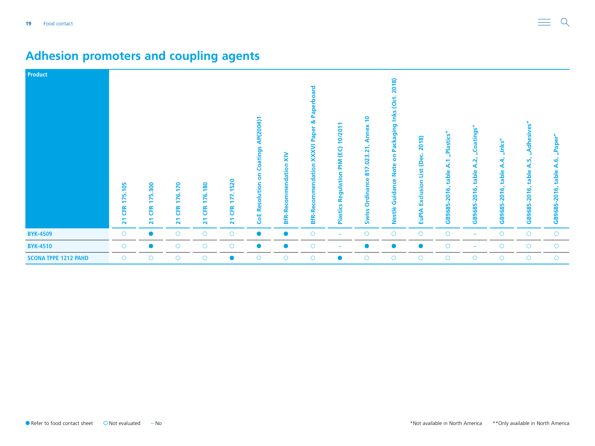| <b>Product</b>              | 175.105<br><b>EK</b><br>$\overline{\mathbf{z}}$ | 75.300<br><b>ER</b><br>$\overline{\mathbf{z}}$ | 170<br><u>گاؤ</u><br>$\overline{\phantom{0}}$<br><b>ER</b><br>21 | <b>80</b><br>76.<br>$\overline{\phantom{0}}$<br><b>CFR</b><br>$\overline{\mathbf{z}}$ | .1520<br>177.<br><b>ER</b><br>$\overline{21}$ | Coatings AP(2004)1<br>ត<br>ត<br><b>CoE Resolution</b> | <b>BfR-Recommendation XIV</b> | pue<br>Pap<br><b>BfR-Recommendation XXXVI Paper &amp;</b> | $\overline{\mathbf{S}}$<br>6<br>÷<br>(EC)<br>MILE<br>å<br>ā<br>ᆳ<br>ō<br>∝<br>astics<br>ᄒ | $\overline{a}$<br>δX<br>Q<br>Ann<br>817.023.21<br>Ordinance<br><b>Swiss</b> | 2018)<br>Packaging Inks (Oct.<br>6<br><b>Guidance Note</b><br>Nestlè | 2018)<br>List (Dec.<br>Exclusion<br><b>EuPIA</b> | "Plastics"<br>$\overline{A}$ :1<br>table<br>$-2016,$<br>GB9685- | Coatings"<br>$\mathbf{N}$<br>⋖<br>table<br>GB9685-2016, | "Inks"<br>ď<br>⋖<br>table<br>هَ<br>-<br>8<br>GB9685- | န္စ<br>dhesive<br><u><sub>m</sub></u><br>⋖<br>table<br>2016,<br>GB9685 | "Paper"<br>؋<br>⋖<br>table<br>2016,<br>GB9685- |
|-----------------------------|-------------------------------------------------|------------------------------------------------|------------------------------------------------------------------|---------------------------------------------------------------------------------------|-----------------------------------------------|-------------------------------------------------------|-------------------------------|-----------------------------------------------------------|-------------------------------------------------------------------------------------------|-----------------------------------------------------------------------------|----------------------------------------------------------------------|--------------------------------------------------|-----------------------------------------------------------------|---------------------------------------------------------|------------------------------------------------------|------------------------------------------------------------------------|------------------------------------------------|
| <b>BYK-4509</b>             | $\circ$                                         | $\bullet$                                      | $\circ$                                                          | $\circ$                                                                               | $\circ$                                       | $\bullet$                                             | $\bullet$                     | $\circ$                                                   | ۰                                                                                         | $\circ$                                                                     | $\circ$                                                              | $\circ$                                          | $\circ$                                                         | $\overline{\phantom{m}}$                                | $\circ$                                              | $\circ$                                                                | $\circ$                                        |
| <b>BYK-4510</b>             | $\circ$                                         | $\bullet$                                      | $\circ$                                                          | $\circ$                                                                               | $\circ$                                       | $\bullet$                                             | $\bullet$                     | $\circ$                                                   |                                                                                           |                                                                             | $\bullet$                                                            | $\bullet$                                        | $\circ$                                                         |                                                         | $\circ$                                              | $\circ$                                                                | $\circ$                                        |
| <b>SCONA TPPE 1212 PAHD</b> | $\circ$                                         | $\circ$                                        | $\circ$                                                          | $\circ$                                                                               | $\bullet$                                     | $\bigcirc$                                            | $\circ$                       | $\circ$                                                   | $\bullet$                                                                                 | $\circ$                                                                     | $\circ$                                                              | $\circ$                                          | $\circ$                                                         | $\circ$                                                 | $\circ$                                              | $\circ$                                                                | $\circ$                                        |

### <span id="page-18-0"></span>**Adhesion promoters and coupling agents**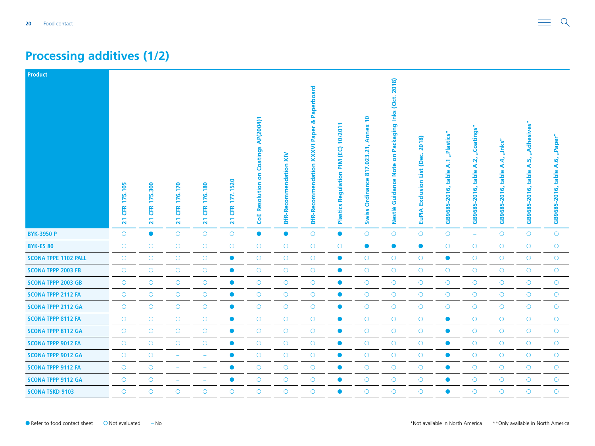### <span id="page-19-0"></span>**Processing additives (1/2)**

| Product                     |                                         |                                                         |                                                 |                                                 |                                           |                                             |                                     |                                                                    |                                                                   |                                                                                                                        |                                                                      |                                                         |                                         |                                             |                                                     |                                                 |                                          |
|-----------------------------|-----------------------------------------|---------------------------------------------------------|-------------------------------------------------|-------------------------------------------------|-------------------------------------------|---------------------------------------------|-------------------------------------|--------------------------------------------------------------------|-------------------------------------------------------------------|------------------------------------------------------------------------------------------------------------------------|----------------------------------------------------------------------|---------------------------------------------------------|-----------------------------------------|---------------------------------------------|-----------------------------------------------------|-------------------------------------------------|------------------------------------------|
|                             | 175.105<br><b>ER</b><br>$\overline{21}$ | 300<br>ъń.<br>N<br><b>EK</b><br>$\overline{\mathbf{z}}$ | 176.170<br><b>ER</b><br>$\overline{\mathbf{z}}$ | 176.180<br><b>ER</b><br>$\overline{\mathbf{z}}$ | 177.1520<br><b>CFR</b><br>$\overline{21}$ | <b>CoE Resolution on Coatings AP(2004)1</b> | $\geq$<br><b>BfR-Recommendation</b> | Paperboard<br>ಹ<br><b>XXXVI Paper</b><br><b>BfR-Recommendation</b> | 10/2011<br>$\overline{6}$<br>MId<br>Regulation<br><b>Plastics</b> | $\overline{P}$<br><b>Annex</b><br>$\overline{2}$<br>.023<br>$\overline{\phantom{a}}$<br>등<br>Ordinance<br><b>Swiss</b> | Packaging Inks (Oct. 2018)<br>δ<br><b>Note</b><br>Guidance<br>Nestlè | 2018)<br>(Dec.<br><b>Exclusion List</b><br><b>EuPIA</b> | "Plastics"<br>table A.1<br>GB9685-2016, | "Coatings"<br>A.2,<br>table<br>GB9685-2016, | $n$ lnks"<br>4<br>∢<br>table<br>ق<br>201<br>GB9685- | "Adhesives"<br>ທັ<br>∢<br>table<br>GB9685-2016, | "Paper"<br>A.6,<br>table<br>GB9685-2016, |
| <b>BYK-3950 P</b>           | $\circ$                                 | $\bullet$                                               | $\circ$                                         | $\circ$                                         | $\bigcirc$                                | $\bullet$                                   | $\bullet$                           | $\circ$                                                            | $\bullet$                                                         | $\circ$                                                                                                                | $\circ$                                                              | $\bigcirc$                                              | $\bigcirc$                              | $\equiv$                                    | $\circ$                                             | $\circ$                                         | $\bigcirc$                               |
| <b>BYK-ES 80</b>            | $\circ$                                 | $\circ$                                                 | $\circ$                                         | $\bigcirc$                                      | $\circ$                                   | $\circ$                                     | $\circ$                             | $\circ$                                                            | $\circ$                                                           | $\bullet$                                                                                                              | $\bullet$                                                            | $\bullet$                                               | $\circ$                                 | $\circ$                                     | $\circ$                                             | $\circ$                                         | $\circ$                                  |
| <b>SCONA TPPE 1102 PALL</b> | $\circ$                                 | $\circ$                                                 | $\circ$                                         | $\circ$                                         | $\bullet$                                 | $\bigcirc$                                  | $\bigcirc$                          | $\circ$                                                            | $\bullet$                                                         | $\circ$                                                                                                                | $\circ$                                                              | $\bigcirc$                                              | $\bullet$                               | $\circ$                                     | $\circ$                                             | $\circ$                                         | $\bigcirc$                               |
| <b>SCONA TPPP 2003 FB</b>   | $\circ$                                 | $\bigcirc$                                              | $\bigcirc$                                      | $\circ$                                         | $\bullet$                                 | $\bigcirc$                                  | $\bigcirc$                          | $\circ$                                                            | $\bullet$                                                         | $\bigcirc$                                                                                                             | $\bigcirc$                                                           | $\bigcirc$                                              | $\bigcirc$                              | $\circ$                                     | $\circ$                                             | $\circ$                                         | $\bigcirc$                               |
| <b>SCONA TPPP 2003 GB</b>   | $\circ$                                 | $\bigcirc$                                              | $\bigcirc$                                      | $\bigcirc$                                      | $\bullet$                                 | $\bigcirc$                                  | $\bigcirc$                          | $\bigcirc$                                                         | $\bullet$                                                         | $\bigcirc$                                                                                                             | $\bigcirc$                                                           | $\bigcirc$                                              | $\bigcirc$                              | $\circ$                                     | $\circ$                                             | $\circ$                                         | $\bigcirc$                               |
| <b>SCONA TPPP 2112 FA</b>   | $\circ$                                 | $\bigcirc$                                              | $\bigcirc$                                      | $\bigcirc$                                      | $\bullet$                                 | $\bigcirc$                                  | $\bigcirc$                          | $\bigcirc$                                                         | $\bullet$                                                         | $\bigcirc$                                                                                                             | $\bigcirc$                                                           | $\bigcirc$                                              | $\bigcirc$                              | $\bigcirc$                                  | $\bigcirc$                                          | $\circ$                                         | $\bigcirc$                               |
| <b>SCONA TPPP 2112 GA</b>   | $\bigcirc$                              | $\bigcirc$                                              | $\circ$                                         | $\bigcirc$                                      | $\bullet$                                 | $\bigcirc$                                  | $\bigcirc$                          | $\bigcirc$                                                         | $\bullet$                                                         | $\circ$                                                                                                                | $\bigcirc$                                                           | $\bigcirc$                                              | $\bigcirc$                              | $\bigcirc$                                  | $\circ$                                             | $\bigcirc$                                      | $\bigcirc$                               |
| <b>SCONA TPPP 8112 FA</b>   | $\circ$                                 | $\circ$                                                 | $\circ$                                         | $\circ$                                         | $\bullet$                                 | $\circ$                                     | $\bigcirc$                          | $\bigcirc$                                                         | $\bullet$                                                         | $\circ$                                                                                                                | $\circ$                                                              | $\bigcirc$                                              | $\bullet$                               | $\circ$                                     | $\circ$                                             | $\circ$                                         | $\circ$                                  |
| <b>SCONA TPPP 8112 GA</b>   | $\circ$                                 | $\bigcirc$                                              | $\circ$                                         | $\bigcirc$                                      | $\bullet$                                 | $\bigcirc$                                  | $\bigcirc$                          | $\circ$                                                            | $\bullet$                                                         | $\bigcirc$                                                                                                             | $\bigcirc$                                                           | $\bigcirc$                                              | $\bullet$                               | $\bigcirc$                                  | $\circ$                                             | $\circ$                                         | $\bigcirc$                               |
| <b>SCONA TPPP 9012 FA</b>   | $\circ$                                 | $\circ$                                                 | $\circ$                                         | $\circ$                                         | $\bullet$                                 | $\circ$                                     | $\circ$                             | $\circ$                                                            | $\bullet$                                                         | $\circ$                                                                                                                | $\circ$                                                              | $\bigcirc$                                              | $\bullet$                               | $\circ$                                     | $\circ$                                             | $\circ$                                         | $\circ$                                  |
| <b>SCONA TPPP 9012 GA</b>   | $\circ$                                 | $\circ$                                                 | ٠                                               | $\overline{\phantom{0}}$                        | $\bullet$                                 | $\circ$                                     | $\circ$                             | $\circ$                                                            | $\bullet$                                                         | $\circ$                                                                                                                | $\circ$                                                              | $\bigcirc$                                              | $\bullet$                               | $\circ$                                     | $\circ$                                             | $\circ$                                         | $\circ$                                  |
| <b>SCONA TPPP 9112 FA</b>   | $\circ$                                 | $\circ$                                                 | $\overline{\phantom{a}}$                        | $\overline{\phantom{m}}$                        | $\bullet$                                 | $\circ$                                     | $\circ$                             | $\circ$                                                            | $\bullet$                                                         | $\circ$                                                                                                                | $\circ$                                                              | $\bigcirc$                                              | $\bullet$                               | $\circ$                                     | $\circ$                                             | $\circ$                                         | $\circ$                                  |
| <b>SCONA TPPP 9112 GA</b>   | $\circ$                                 | $\bigcirc$                                              |                                                 | ۰                                               | $\bullet$                                 | $\bigcirc$                                  | $\bigcirc$                          | $\bigcirc$                                                         | $\bullet$                                                         | $\bigcirc$                                                                                                             | $\bigcirc$                                                           | $\bigcirc$                                              | $\bullet$                               | $\bigcirc$                                  | $\circ$                                             | $\circ$                                         | $\bigcirc$                               |
| <b>SCONA TSKD 9103</b>      | $\circ$                                 | $\circ$                                                 | $\circ$                                         | $\circ$                                         | $\circ$                                   | $\circ$                                     | $\circ$                             | $\circ$                                                            | $\bullet$                                                         | $\circ$                                                                                                                | $\circ$                                                              | $\bigcirc$                                              | $\bullet$                               | $\circ$                                     | $\circ$                                             | $\circ$                                         | $\bigcirc$                               |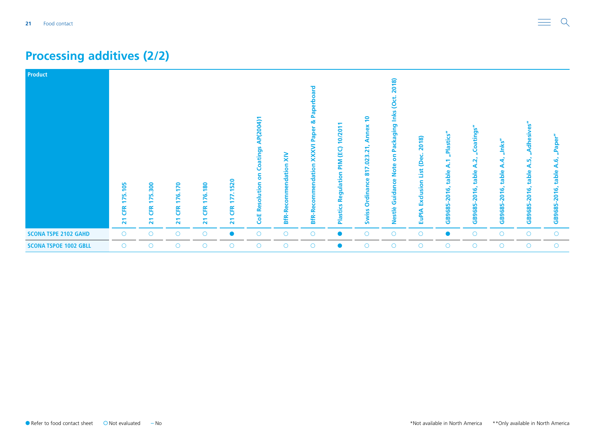### **Processing additives (2/2)**

| <b>Product</b>               | 175.105                      | 300<br>ທ່<br>$\overline{\phantom{a}}$ | 170                                   | 180                                           | .1520<br>N<br>↖                      | P(2004)<br>◀<br>Coatings<br>ă | $\tilde{\mathbf{x}}$<br><b>BfR-Recommendation</b> | ᅙ<br>n.<br>ఱ<br>ត<br>Pap<br><b>XXXVI</b><br>ndation<br>ω | 10/20<br>PIM (EC)<br>S<br>Φ<br><b>io</b><br>з<br>ත | $\overline{P}$<br>ă<br><b>Ann</b><br>.023.21<br>N<br>듦<br>ဖွ<br>Ordinan | 2018)<br><u>g</u><br>Inks<br>Packaging<br>δ<br><b>Note</b><br>Guidance | 2018)<br>(Dec.<br>List<br>Exclusion | "Plastics"<br>⋖<br>table<br>2016, | oatings"<br>$\mathbf{\tilde{N}}$<br>⋖<br>table<br>$\frac{6}{5}$<br>$\overline{\mathbf{S}}$ | "Inks"<br>4<br>⋖<br>table<br>ݠ<br>ನಿ | 8<br>esiv<br>등<br><u><sub>m</sub></u><br>⋖<br>table<br>$\frac{6}{5}$<br>$\bullet$<br>$\bar{\mathbf{N}}$ | "Paper<br>؋<br>⋖<br>table<br>2016, |
|------------------------------|------------------------------|---------------------------------------|---------------------------------------|-----------------------------------------------|--------------------------------------|-------------------------------|---------------------------------------------------|----------------------------------------------------------|----------------------------------------------------|-------------------------------------------------------------------------|------------------------------------------------------------------------|-------------------------------------|-----------------------------------|--------------------------------------------------------------------------------------------|--------------------------------------|---------------------------------------------------------------------------------------------------------|------------------------------------|
|                              | E<br>$\overline{\mathbf{z}}$ | <b>ER</b><br>$\overline{\mathbf{z}}$  | 176.<br>ER<br>$\overline{\mathbf{z}}$ | 176.<br><b>CFR</b><br>$\overline{\mathbf{z}}$ | <b>ER</b><br>$\overline{\mathbf{z}}$ | Resolution<br>Ğ               |                                                   | <b>BfR-R</b>                                             | <b>Plastics</b>                                    | <b>Swiss</b>                                                            | Nestlè                                                                 | <b>EuPIA</b>                        | GB9685                            | GB9685                                                                                     | GB9685                               | GB9685                                                                                                  | GB9685                             |
| <b>SCONA TSPE 2102 GAHD</b>  | $\circ$                      | $\circ$                               | $\circ$                               | $\circ$                                       | $\bullet$                            | $\circ$                       | $\circ$                                           | $\circ$                                                  |                                                    | $\circ$                                                                 | $\circ$                                                                | $\circ$                             | Ο                                 | $\circ$                                                                                    | $\circ$                              | $\circ$                                                                                                 | $\circ$                            |
| <b>SCONA TSPOE 1002 GBLL</b> | $\circ$                      | $\circ$                               | $\circ$                               | $\bigcirc$                                    | $\circ$                              | $\circ$                       | $\circ$                                           | $\circ$                                                  | $\bullet$                                          | $\circ$                                                                 | $\circ$                                                                | $\circ$                             | $\circ$                           | $\circ$                                                                                    | $\circ$                              | $\circ$                                                                                                 | $\circ$                            |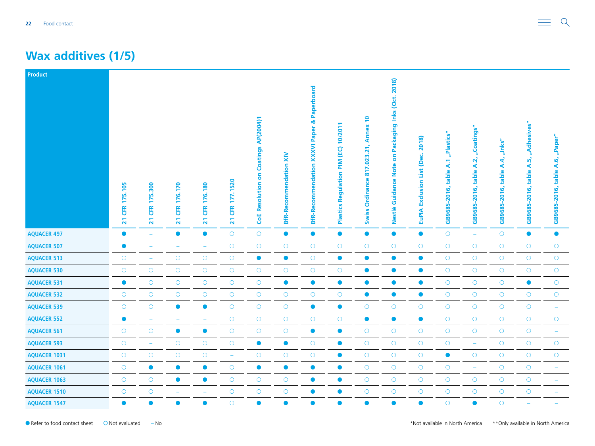#### <span id="page-21-0"></span>**Wax additives (1/5)**

| Product             |                                        |                                                    |                                                  |                                                  |                                           |                                             |                               |                                                                 |                                               |                                                                           |                                                                                 |                                                    |                                      |                                             |                                        |                                                 |                                          |
|---------------------|----------------------------------------|----------------------------------------------------|--------------------------------------------------|--------------------------------------------------|-------------------------------------------|---------------------------------------------|-------------------------------|-----------------------------------------------------------------|-----------------------------------------------|---------------------------------------------------------------------------|---------------------------------------------------------------------------------|----------------------------------------------------|--------------------------------------|---------------------------------------------|----------------------------------------|-------------------------------------------------|------------------------------------------|
|                     | CFR 175.105<br>$\overline{\mathbf{z}}$ | 5.300<br>F<br><b>ER</b><br>$\overline{\mathbf{z}}$ | 176.170<br><b>CFR</b><br>$\overline{\mathbf{z}}$ | 176.180<br><b>CFR</b><br>$\overline{\mathbf{z}}$ | 177.1520<br><b>CFR</b><br>$\overline{21}$ | <b>CoE Resolution on Coatings AP(2004)1</b> | <b>BfR-Recommendation XIV</b> | & Paperboard<br><b>XXXVI Paper</b><br><b>BfR-Recommendation</b> | 10/2011<br>PIM (EC)<br>Regulation<br>Plastics | <u>e</u><br><b>Annex</b><br>.023.21,<br>817.<br>Ordinance<br><b>Swiss</b> | Packaging Inks (Oct. 2018)<br>$\mathbf{s}$<br><b>Note</b><br>Guidance<br>Nestlè | 2018)<br>Dec.<br>List<br>Exclusion<br><b>EuPIA</b> | "Plastics"<br>GB9685-2016, table A.1 | "Coatings"<br>A.2,<br>table<br>GB9685-2016, | "Inks"<br>A.4<br>table<br>GB9685-2016, | "Adhesives"<br>ηñ<br>∢<br>table<br>GB9685-2016, | "Paper"<br>A.6<br>table.<br>GB9685-2016, |
| <b>AQUACER 497</b>  | $\bullet$                              | $\overline{\phantom{m}}$                           | $\bullet$                                        | $\bullet$                                        | $\bigcirc$                                | $\bigcirc$                                  | $\bullet$                     | $\bullet$                                                       | $\bullet$                                     | $\bullet$                                                                 | $\bullet$                                                                       | $\bullet$                                          | $\bigcirc$                           | $\equiv$                                    | $\bigcirc$                             | $\bullet$                                       | $\bullet$                                |
| <b>AQUACER 507</b>  | $\bullet$                              | $\overline{\phantom{a}}$                           | $\overline{\phantom{a}}$                         | $\overline{\phantom{a}}$                         | $\bigcirc$                                | $\bigcirc$                                  | $\bigcirc$                    | $\circ$                                                         | $\bigcirc$                                    | $\circ$                                                                   | $\circ$                                                                         | $\bigcirc$                                         | $\bigcirc$                           | $\bigcirc$                                  | $\bigcirc$                             | $\circ$                                         | $\bigcirc$                               |
| <b>AQUACER 513</b>  | $\bigcirc$                             | $\overline{\phantom{0}}$                           | $\bigcirc$                                       | $\bigcirc$                                       | $\bigcirc$                                | $\bullet$                                   | $\bullet$                     | $\bigcirc$                                                      | $\bullet$                                     | $\bullet$                                                                 | $\bullet$                                                                       | $\bullet$                                          | $\bigcirc$                           | $\bigcirc$                                  | $\bigcirc$                             | $\bigcirc$                                      | $\bigcirc$                               |
| <b>AQUACER 530</b>  | $\bigcirc$                             | $\circ$                                            | $\bigcirc$                                       | $\bigcirc$                                       | $\bigcirc$                                | $\bigcirc$                                  | $\bigcirc$                    | $\bigcirc$                                                      | $\bigcirc$                                    | $\bullet$                                                                 | $\bullet$                                                                       | $\bullet$                                          | $\bigcirc$                           | $\bigcirc$                                  | $\bigcirc$                             | $\bigcirc$                                      | $\bigcirc$                               |
| <b>AQUACER 531</b>  | $\bullet$                              | $\circ$                                            | $\circ$                                          | $\bigcirc$                                       | $\bigcirc$                                | $\bigcirc$                                  | $\bullet$                     | $\bullet$                                                       | $\bullet$                                     | $\bullet$                                                                 | $\bullet$                                                                       | $\bullet$                                          | $\bigcirc$                           | $\bigcirc$                                  | $\bigcirc$                             | $\bullet$                                       | $\bigcirc$                               |
| <b>AQUACER 532</b>  | $\circ$                                | $\bigcirc$                                         | $\bigcirc$                                       | $\bigcirc$                                       | $\bigcirc$                                | $\bigcirc$                                  | $\bigcirc$                    | $\bigcirc$                                                      | $\bigcirc$                                    | $\bullet$                                                                 | $\bullet$                                                                       | $\bullet$                                          | $\bigcirc$                           | $\bigcirc$                                  | $\bigcirc$                             | $\bigcirc$                                      | $\bigcirc$                               |
| <b>AQUACER 539</b>  | $\circ$                                | $\circ$                                            | $\bullet$                                        | $\bullet$                                        | $\bigcirc$                                | $\bigcirc$                                  | $\bigcirc$                    | $\bullet$                                                       | $\bullet$                                     | $\circ$                                                                   | $\bigcirc$                                                                      | $\bigcirc$                                         | $\bigcirc$                           | $\bigcirc$                                  | $\circ$                                | $\circ$                                         | ÷                                        |
| <b>AQUACER 552</b>  | $\bullet$                              | $\overline{\phantom{m}}$                           | L.                                               | $\overline{\phantom{m}}$                         | $\bigcirc$                                | $\bigcirc$                                  | $\bigcirc$                    | $\circ$                                                         | $\circ$                                       | $\bullet$                                                                 | $\bullet$                                                                       | $\bullet$                                          | $\bigcirc$                           | $\bigcirc$                                  | $\bigcirc$                             | $\circ$                                         | $\bigcirc$                               |
| <b>AQUACER 561</b>  | $\bigcirc$                             | $\circ$                                            | $\bullet$                                        | $\bullet$                                        | $\bigcirc$                                | $\bigcirc$                                  | $\bigcirc$                    | $\bullet$                                                       | $\bullet$                                     | $\bigcirc$                                                                | $\bigcirc$                                                                      | $\bigcirc$                                         | $\bigcirc$                           | $\bigcirc$                                  | $\bigcirc$                             | $\bigcirc$                                      | ÷                                        |
| <b>AQUACER 593</b>  | $\bigcirc$                             | $\rightarrow$                                      | $\bigcirc$                                       | $\bigcirc$                                       | $\bigcirc$                                | $\bullet$                                   | $\bullet$                     | $\bigcirc$                                                      | $\bullet$                                     | $\bigcirc$                                                                | $\bigcirc$                                                                      | $\bigcirc$                                         | $\bigcirc$                           | $\rightarrow$                               | $\bigcirc$                             | $\bigcirc$                                      | $\bigcirc$                               |
| <b>AQUACER 1031</b> | $\circ$                                | $\circ$                                            | $\circ$                                          | $\bigcirc$                                       | $\rightarrow$                             | $\bigcirc$                                  | $\bigcirc$                    | $\circ$                                                         | $\bullet$                                     | $\circ$                                                                   | $\bigcirc$                                                                      | $\bigcirc$                                         | $\bullet$                            | $\circ$                                     | $\circ$                                | $\circ$                                         | $\circ$                                  |
| <b>AQUACER 1061</b> | $\bigcirc$                             | $\bullet$                                          | $\bullet$                                        | $\bullet$                                        | $\bigcirc$                                | $\bullet$                                   | $\bullet$                     | $\bullet$                                                       | $\bullet$                                     | $\bigcirc$                                                                | $\bigcirc$                                                                      | $\bigcirc$                                         | $\bigcirc$                           | $\overline{\phantom{a}}$                    | $\bigcirc$                             | $\bigcirc$                                      |                                          |
| <b>AQUACER 1063</b> | $\circ$                                | $\circ$                                            | $\bullet$                                        | $\bullet$                                        | $\bigcirc$                                | $\bigcirc$                                  | $\bigcirc$                    | $\bullet$                                                       | $\bullet$                                     | $\bigcirc$                                                                | $\bigcirc$                                                                      | $\bigcirc$                                         | $\bigcirc$                           | $\bigcirc$                                  | $\bigcirc$                             | $\circ$                                         |                                          |
| <b>AQUACER 1510</b> | $\circ$                                | $\bigcirc$                                         | ۳                                                | $\overline{\phantom{a}}$                         | $\bigcirc$                                | $\bigcirc$                                  | $\bigcirc$                    | $\bullet$                                                       | $\bullet$                                     | $\circ$                                                                   | $\bigcirc$                                                                      | $\circ$                                            | $\bigcirc$                           | $\circ$                                     | $\bigcirc$                             | $\circ$                                         |                                          |
| <b>AQUACER 1547</b> | $\bullet$                              | $\bullet$                                          | $\bullet$                                        | $\bullet$                                        | $\circ$                                   | $\bullet$                                   | $\bullet$                     | $\bullet$                                                       | $\bullet$                                     | $\bullet$                                                                 | $\bullet$                                                                       | $\bullet$                                          | $\circ$                              | $\bullet$                                   | $\circ$                                |                                                 |                                          |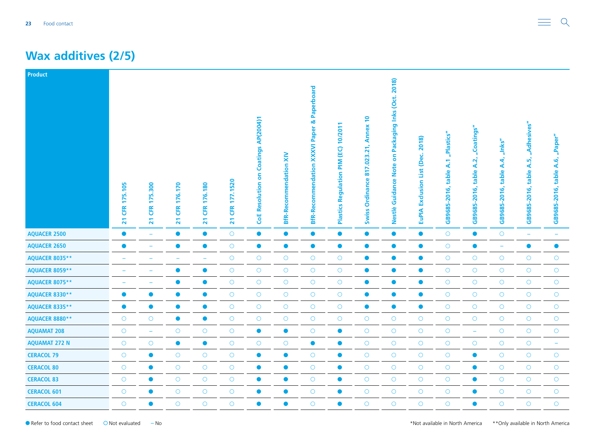#### **Wax additives (2/5)**

| <b>Product</b>        | 175.105<br><b>ER</b><br>$\overline{\mathbf{z}}$ | 300<br><u>in</u><br>Ê<br>$\overline{\phantom{0}}$<br><b>EK</b><br>21 | 176.170<br><b>ER</b><br>$\overline{21}$ | 176.180<br><b>CFR</b><br>$\overline{21}$ | 177.1520<br>Œ<br>$\overline{\mathbf{z}}$ | <b>CoE Resolution on Coatings AP(2004)1</b> | <b>BfR-Recommendation XIV</b> | Paperboard<br>œ<br>Paper<br><b>XXXVI</b><br><b>BfR-Recommendation</b> | 10/2011<br>$\overline{6}$<br>MIN<br><u>S</u><br>Regulati<br>Plastics | $\overline{\phantom{0}}$<br><b>Annex</b><br>.023.21,<br>817.<br>Ordinance<br><b>Swiss</b> | Packaging Inks (Oct. 2018)<br>S<br><b>Note</b><br>Guidance<br>Nestlè | 2018)<br>(Dec.<br>List<br>Exclusion<br><b>EuPIA</b> | "Plastics"<br>table A.1<br>GB9685-2016, | "Coatings"<br>table A.2,<br>GB9685-2016, | $^{\prime\prime}$ nks"<br>4,<br>∢<br>table<br>$-2016,$<br>GB9685- | "Adhesives"<br>ທັ<br>⋖<br>table<br>َی<br>$-201$<br>GB9685- | "Paper"<br>A.6,<br>table<br>GB9685-2016, |
|-----------------------|-------------------------------------------------|----------------------------------------------------------------------|-----------------------------------------|------------------------------------------|------------------------------------------|---------------------------------------------|-------------------------------|-----------------------------------------------------------------------|----------------------------------------------------------------------|-------------------------------------------------------------------------------------------|----------------------------------------------------------------------|-----------------------------------------------------|-----------------------------------------|------------------------------------------|-------------------------------------------------------------------|------------------------------------------------------------|------------------------------------------|
| <b>AQUACER 2500</b>   | $\bullet$                                       | $\overline{\phantom{a}}$                                             | $\bullet$                               | $\bullet$                                | $\bigcirc$                               | $\bullet$                                   | $\bullet$                     | $\bullet$                                                             | $\bullet$                                                            | $\bullet$                                                                                 | $\bullet$                                                            | $\bullet$                                           | $\bigcirc$                              | $\bullet$                                | $\circ$                                                           | $\equiv$                                                   |                                          |
| <b>AQUACER 2650</b>   | $\bullet$                                       | $\overline{\phantom{0}}$                                             | $\bullet$                               | $\bullet$                                | $\bigcirc$                               | $\bullet$                                   | $\bullet$                     | $\bullet$                                                             | $\bullet$                                                            | $\bullet$                                                                                 | $\bullet$                                                            | $\bullet$                                           | $\bigcirc$                              | $\bullet$                                | $\rightarrow$                                                     | $\bullet$                                                  | $\bullet$                                |
| <b>AQUACER 8035**</b> |                                                 |                                                                      |                                         | $\overline{\phantom{a}}$                 | $\bigcirc$                               | $\bigcirc$                                  | $\bigcirc$                    | $\circ$                                                               | $\bigcirc$                                                           | $\bullet$                                                                                 | $\bullet$                                                            | $\bullet$                                           | $\bigcirc$                              | $\bigcirc$                               | $\circ$                                                           | $\bigcirc$                                                 | $\bigcirc$                               |
| <b>AQUACER 8059**</b> |                                                 |                                                                      | $\bullet$                               | $\bullet$                                | $\bigcirc$                               | $\bigcirc$                                  | $\bigcirc$                    | $\circ$                                                               | $\bigcirc$                                                           | $\bullet$                                                                                 | $\bullet$                                                            | $\bullet$                                           | $\bigcirc$                              | $\bigcirc$                               | $\bigcirc$                                                        | $\bigcirc$                                                 | $\circ$                                  |
| AQUACER 8075**        |                                                 |                                                                      | $\bullet$                               | $\bullet$                                | $\bigcirc$                               | $\bigcirc$                                  | $\bigcirc$                    | $\circ$                                                               | $\bigcirc$                                                           | $\bullet$                                                                                 | $\bullet$                                                            | $\bullet$                                           | $\bigcirc$                              | $\bigcirc$                               | $\bigcirc$                                                        | $\circ$                                                    | $\bigcirc$                               |
| AQUACER 8330**        | $\bullet$                                       | $\bullet$                                                            | $\bullet$                               | $\bullet$                                | $\bigcirc$                               | $\bigcirc$                                  | $\bigcirc$                    | $\circ$                                                               | $\bigcirc$                                                           | $\bullet$                                                                                 | $\bullet$                                                            | $\bullet$                                           | $\bigcirc$                              | $\bigcirc$                               | $\circ$                                                           | $\circ$                                                    | $\circ$                                  |
| AQUACER 8335**        | $\bullet$                                       | $\bullet$                                                            | $\bullet$                               | $\bullet$                                | $\bigcirc$                               | $\bigcirc$                                  | $\bigcirc$                    | $\circ$                                                               | $\circ$                                                              | $\bullet$                                                                                 | $\bullet$                                                            | $\bullet$                                           | $\bigcirc$                              | $\bigcirc$                               | $\circ$                                                           | $\circ$                                                    | $\bigcirc$                               |
| AQUACER 8880**        | $\circ$                                         | $\circ$                                                              | $\bullet$                               | $\bullet$                                | $\bigcirc$                               | $\bigcirc$                                  | $\bigcirc$                    | $\circ$                                                               | $\bigcirc$                                                           | $\circ$                                                                                   | $\bigcirc$                                                           | $\bigcirc$                                          | $\bigcirc$                              | $\bigcirc$                               | $\bigcirc$                                                        | $\circ$                                                    | $\circ$                                  |
| <b>AQUAMAT 208</b>    | $\circ$                                         | $\overline{\phantom{a}}$                                             | $\bigcirc$                              | $\bigcirc$                               | $\bigcirc$                               | $\bullet$                                   | $\bullet$                     | $\circ$                                                               | $\bullet$                                                            | $\circ$                                                                                   | $\bigcirc$                                                           | $\bigcirc$                                          | $\bigcirc$                              | $\overline{\phantom{a}}$                 | $\circ$                                                           | $\bigcirc$                                                 | $\bigcirc$                               |
| <b>AQUAMAT 272 N</b>  | $\circ$                                         | $\circ$                                                              | $\bullet$                               | $\bullet$                                | $\bigcirc$                               | $\bigcirc$                                  | $\bigcirc$                    | $\bullet$                                                             | $\bullet$                                                            | $\circ$                                                                                   | $\bigcirc$                                                           | $\bigcirc$                                          | $\bigcirc$                              | $\bigcirc$                               | $\circ$                                                           | $\bigcirc$                                                 | $\overline{\phantom{0}}$                 |
| <b>CERACOL 79</b>     | $\circ$                                         | $\bullet$                                                            | $\circ$                                 | $\bigcirc$                               | $\bigcirc$                               | $\bullet$                                   | $\bullet$                     | $\circ$                                                               | $\bullet$                                                            | $\circ$                                                                                   | $\bigcirc$                                                           | $\bigcirc$                                          | $\bigcirc$                              | $\bullet$                                | $\bigcirc$                                                        | $\circ$                                                    | $\bigcirc$                               |
| <b>CERACOL 80</b>     | $\circ$                                         | $\bullet$                                                            | $\bigcirc$                              | $\bigcirc$                               | $\bigcirc$                               | $\bullet$                                   | $\bullet$                     | $\circ$                                                               | $\bullet$                                                            | $\circ$                                                                                   | $\bigcirc$                                                           | $\bigcirc$                                          | $\bigcirc$                              | $\bullet$                                | $\circ$                                                           | $\circ$                                                    | $\bigcirc$                               |
| <b>CERACOL 83</b>     | $\circ$                                         | $\bullet$                                                            | $\bigcirc$                              | $\bigcirc$                               | $\bigcirc$                               | $\bullet$                                   | $\bullet$                     | $\circ$                                                               | $\bullet$                                                            | $\circ$                                                                                   | $\bigcirc$                                                           | $\bigcirc$                                          | $\bigcirc$                              | $\bullet$                                | $\circ$                                                           | $\bigcirc$                                                 | $\bigcirc$                               |
| <b>CERACOL 601</b>    | $\bigcirc$                                      | $\bullet$                                                            | $\bigcirc$                              | $\bigcirc$                               | $\bigcirc$                               | $\bullet$                                   | $\bullet$                     | $\circ$                                                               | $\bullet$                                                            | $\circ$                                                                                   | $\bigcirc$                                                           | $\bigcirc$                                          | $\bigcirc$                              | $\bullet$                                | $\bigcirc$                                                        | $\bigcirc$                                                 | $\bigcirc$                               |
| <b>CERACOL 604</b>    | $\circ$                                         | $\bullet$                                                            | $\circ$                                 | $\circ$                                  | $\circ$                                  | $\bullet$                                   | $\bullet$                     | $\circ$                                                               | $\bullet$                                                            | $\circ$                                                                                   | $\circ$                                                              | $\circ$                                             | $\circ$                                 | $\bullet$                                | $\circ$                                                           | $\circ$                                                    | $\circ$                                  |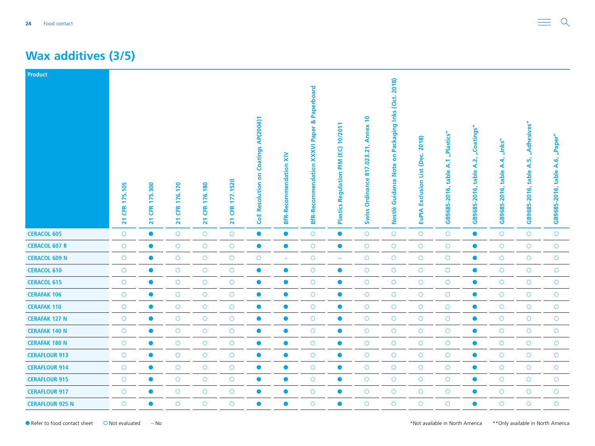#### **Wax additives (3/5)**

| <b>Product</b>         | 175.105<br>EK<br>$\overline{21}$ | 5.300<br>F<br><b>ER</b><br>$\overline{\mathbf{z}}$ | 176.170<br><b>ER</b><br>$\overline{21}$ | 176.180<br><b>ER</b><br>$\overline{21}$ | 177.1520<br><b>CFR</b><br>$\overline{21}$ | <b>CoE Resolution on Coatings AP(2004)1</b> | <b>BfR-Recommendation XIV</b> | & Paperboard<br>Paper<br><b>XXXVI</b><br><b>BfR-Recommendation</b> | 10/2011<br>(EC)<br>$\sum_{i=1}^{n}$<br>Regulation<br>Plastics | $\overline{a}$<br><b>Annex</b><br>817.023.21<br>Ordinance<br><b>Swiss</b> | Packaging Inks (Oct. 2018)<br>δ<br><b>Note</b><br>Guidance<br>Nestlè | 2018)<br>(Dec.<br>List<br>Exclusion<br><b>EuPIA</b> | "Plastics"<br>table A.1<br>GB9685-2016, | "Coatings"<br>A.2,<br>table<br>GB9685-2016, | "Inks"<br>A.4,<br>table<br>$-2016,$<br>GB9685- | "Adhesives"<br>$\vec{q}$<br>∢<br>table<br>GB9685-2016, | "Paper"<br>A.6,<br>table<br>GB9685-2016, |
|------------------------|----------------------------------|----------------------------------------------------|-----------------------------------------|-----------------------------------------|-------------------------------------------|---------------------------------------------|-------------------------------|--------------------------------------------------------------------|---------------------------------------------------------------|---------------------------------------------------------------------------|----------------------------------------------------------------------|-----------------------------------------------------|-----------------------------------------|---------------------------------------------|------------------------------------------------|--------------------------------------------------------|------------------------------------------|
| <b>CERACOL 605</b>     | $\circ$                          | $\bullet$                                          | $\circ$                                 | $\bigcirc$                              | $\bigcirc$                                | $\bullet$                                   | $\bullet$                     | $\circ$                                                            | $\bullet$                                                     | $\circ$                                                                   | $\circ$                                                              | $\bigcirc$                                          | $\bigcirc$                              | $\bullet$                                   | $\circ$                                        | $\circ$                                                | $\circ$                                  |
| <b>CERACOL 607 R</b>   | $\circ$                          | $\bullet$                                          | $\bigcirc$                              | $\bigcirc$                              | $\circlearrowright$                       | $\bullet$                                   | $\bullet$                     | $\bigcirc$                                                         | $\bullet$                                                     | $\bigcirc$                                                                | $\bigcirc$                                                           | $\bigcirc$                                          | $\bigcirc$                              | $\bullet$                                   | $\circ$                                        | $\bigcirc$                                             | $\bigcirc$                               |
| <b>CERACOL 609 N</b>   | $\circ$                          | $\bullet$                                          | $\bigcirc$                              | $\bigcirc$                              | $\bigcirc$                                | $\bigcirc$                                  | ÷                             | $\bigcirc$                                                         | $\overline{\phantom{0}}$                                      | $\bigcirc$                                                                | $\bigcirc$                                                           | $\bigcirc$                                          | $\bigcirc$                              | $\bullet$                                   | $\circ$                                        | $\bigcirc$                                             | $\circ$                                  |
| <b>CERACOL 610</b>     | $\circ$                          | $\bullet$                                          | $\circ$                                 | $\bigcirc$                              | $\bigcirc$                                | $\bullet$                                   | $\bullet$                     | $\circ$                                                            | $\bullet$                                                     | $\bigcirc$                                                                | $\circ$                                                              | $\bigcirc$                                          | $\bigcirc$                              | $\bullet$                                   | $\circ$                                        | $\circ$                                                | $\circ$                                  |
| <b>CERACOL 615</b>     | $\circ$                          | $\bullet$                                          | $\circ$                                 | $\circ$                                 | $\bigcirc$                                | $\bullet$                                   | $\bullet$                     | $\circ$                                                            | $\bullet$                                                     | $\bigcirc$                                                                | $\circ$                                                              | $\bigcirc$                                          | $\bigcirc$                              | $\bullet$                                   | $\circ$                                        | $\circ$                                                | $\circ$                                  |
| <b>CERAFAK 106</b>     | $\circ$                          | $\bullet$                                          | $\bigcirc$                              | $\bigcirc$                              | $\bigcirc$                                | $\bullet$                                   | $\bullet$                     | $\circ$                                                            | $\bullet$                                                     | $\bigcirc$                                                                | $\bigcirc$                                                           | $\bigcirc$                                          | $\bigcirc$                              | $\bullet$                                   | $\circ$                                        | $\circ$                                                | $\circ$                                  |
| <b>CERAFAK 110</b>     | $\bigcirc$                       | $\bullet$                                          | $\bigcirc$                              | $\bigcirc$                              | $\bigcirc$                                | $\bullet$                                   | $\bullet$                     | $\bigcirc$                                                         | $\bullet$                                                     | $\bigcirc$                                                                | $\bigcirc$                                                           | $\bigcirc$                                          | $\bigcirc$                              | $\bullet$                                   | $\bigcirc$                                     | $\bigcirc$                                             | $\bigcirc$                               |
| <b>CERAFAK 127 N</b>   | $\circ$                          | $\bullet$                                          | $\bigcirc$                              | $\bigcirc$                              | $\bigcirc$                                | $\bullet$                                   | $\bullet$                     | $\circ$                                                            | $\bullet$                                                     | $\bigcirc$                                                                | $\bigcirc$                                                           | $\bigcirc$                                          | $\bigcirc$                              | $\bullet$                                   | $\circ$                                        | $\circ$                                                | $\bigcirc$                               |
| <b>CERAFAK 140 N</b>   | $\circ$                          | $\bullet$                                          | $\bigcirc$                              | $\bigcirc$                              | $\bigcirc$                                | $\bullet$                                   | $\bullet$                     | $\circ$                                                            | $\bullet$                                                     | $\bigcirc$                                                                | $\bigcirc$                                                           | $\bigcirc$                                          | $\bigcirc$                              | $\bullet$                                   | $\circ$                                        | $\circ$                                                | $\circ$                                  |
| <b>CERAFAK 180 N</b>   | $\circ$                          | $\bullet$                                          | $\bigcirc$                              | $\bigcirc$                              | $\bigcirc$                                | $\bullet$                                   | $\bullet$                     | $\circ$                                                            | $\bullet$                                                     | $\bigcirc$                                                                | $\circ$                                                              | $\bigcirc$                                          | $\bigcirc$                              | $\bullet$                                   | $\circ$                                        | $\circ$                                                | $\bigcirc$                               |
| <b>CERAFLOUR 913</b>   | $\circ$                          | $\bullet$                                          | $\circ$                                 | $\bigcirc$                              | $\circ$                                   | $\bullet$                                   | $\bullet$                     | $\circ$                                                            | $\bullet$                                                     | $\circ$                                                                   | $\bigcirc$                                                           | $\circ$                                             | $\bigcirc$                              | $\bullet$                                   | $\circ$                                        | $\circ$                                                | $\circ$                                  |
| <b>CERAFLOUR 914</b>   | $\bigcirc$                       | $\bullet$                                          | $\bigcirc$                              | $\bigcirc$                              | $\bigcirc$                                | $\bullet$                                   | $\bullet$                     | $\circ$                                                            | $\bullet$                                                     | $\bigcirc$                                                                | $\bigcirc$                                                           | $\bigcirc$                                          | $\bigcirc$                              | $\bullet$                                   | $\circ$                                        | $\bigcirc$                                             | $\bigcirc$                               |
| <b>CERAFLOUR 915</b>   | $\circ$                          | $\bullet$                                          | $\circ$                                 | $\circ$                                 | $\bigcirc$                                | $\bullet$                                   | $\bullet$                     | $\circ$                                                            | $\bullet$                                                     | $\circ$                                                                   | $\circ$                                                              | $\bigcirc$                                          | $\bigcirc$                              | $\bullet$                                   | $\circ$                                        | $\circ$                                                | $\circ$                                  |
| <b>CERAFLOUR 917</b>   | $\circ$                          | $\bullet$                                          | $\circ$                                 | $\bigcirc$                              | $\bigcirc$                                | $\bullet$                                   | $\bullet$                     | $\circ$                                                            | $\bullet$                                                     | $\circ$                                                                   | $\bigcirc$                                                           | $\bigcirc$                                          | $\bigcirc$                              | $\bullet$                                   | $\circ$                                        | $\circ$                                                | $\bigcirc$                               |
| <b>CERAFLOUR 925 N</b> | $\circ$                          | $\bullet$                                          | $\circ$                                 | $\circ$                                 | $\circ$                                   | $\bullet$                                   | $\bullet$                     | $\circ$                                                            | $\bullet$                                                     | $\circ$                                                                   | $\circ$                                                              | $\circ$                                             | $\circ$                                 | $\bullet$                                   | $\circ$                                        | $\circ$                                                | $\circ$                                  |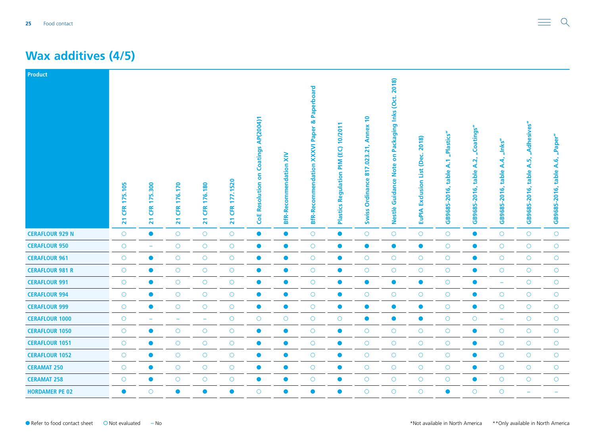#### **Wax additives (4/5)**

| <b>Product</b>         |                                         |                                                                              |                                                  |                                  |                                  |                                             |                                     |                                                                        |                                                 |                                                                                           |                                                                   |                                                           |                                                         |                                             |                                                   |                                                 |                                         |
|------------------------|-----------------------------------------|------------------------------------------------------------------------------|--------------------------------------------------|----------------------------------|----------------------------------|---------------------------------------------|-------------------------------------|------------------------------------------------------------------------|-------------------------------------------------|-------------------------------------------------------------------------------------------|-------------------------------------------------------------------|-----------------------------------------------------------|---------------------------------------------------------|---------------------------------------------|---------------------------------------------------|-------------------------------------------------|-----------------------------------------|
|                        | 175.105<br><b>ER</b><br>$\overline{21}$ | 300<br><u>uni</u><br>$\blacksquare$<br><b>CFR</b><br>$\overline{\mathbf{z}}$ | 176.170<br><b>CFR</b><br>$\overline{\mathbf{z}}$ | 176.180<br>ER<br>$\overline{21}$ | 177.1520<br>Œ<br>$\overline{21}$ | <b>CoE Resolution on Coatings AP(2004)1</b> | $\geq$<br><b>BfR-Recommendation</b> | Paperboard<br>ಹ<br><b>XXXVI Paper</b><br>endation<br><b>BfR-Recomm</b> | 10/201<br>(EC)<br>MId<br>Regulation<br>Plastics | $\overline{\phantom{0}}$<br><b>Annex</b><br>21<br>023<br>817<br>Ordinance<br><b>Swiss</b> | Packaging Inks (Oct. 2018)<br>S<br>ote<br>Ż<br>Guidance<br>Nestlè | 2018)<br>ن<br>ھ<br>ē<br>List<br>Exclusion<br><b>EuPIA</b> | "Plastics"<br>$\mathbf{A}$ .1<br>table.<br>GB9685-2016, | "Coatings"<br>A.2,<br>table<br>GB9685-2016, | $n$ lnks"<br>4.4,<br>table<br>$-2016,$<br>GB9685- | "Adhesives"<br>ທັ<br>∢<br>table<br>GB9685-2016, | "Paper"<br>A.6<br>table<br>GB9685-2016, |
| <b>CERAFLOUR 929 N</b> | $\bigcirc$                              | $\bullet$                                                                    | $\bigcirc$                                       | $\bigcirc$                       | $\bigcirc$                       | $\bullet$                                   | $\bullet$                           | $\circ$                                                                | $\bullet$                                       | $\bigcirc$                                                                                | $\bigcirc$                                                        | $\bigcirc$                                                | $\bigcirc$                                              | $\bullet$                                   | $\circ$                                           | $\circ$                                         | $\bigcirc$                              |
| <b>CERAFLOUR 950</b>   | $\circ$                                 | $\overline{\phantom{m}}$                                                     | $\bigcirc$                                       | $\bigcirc$                       | $\bigcirc$                       | $\bullet$                                   | $\bullet$                           | $\circ$                                                                | $\bullet$                                       | $\bullet$                                                                                 | $\bullet$                                                         | $\bullet$                                                 | $\bigcirc$                                              | $\bullet$                                   | $\circ$                                           | $\circ$                                         | $\circ$                                 |
| <b>CERAFLOUR 961</b>   | $\circ$                                 | $\bullet$                                                                    | $\bigcirc$                                       | $\bigcirc$                       | $\bigcirc$                       | $\bullet$                                   | $\bullet$                           | $\circ$                                                                | $\bullet$                                       | $\circ$                                                                                   | $\circ$                                                           | $\bigcirc$                                                | $\bigcirc$                                              | $\bullet$                                   | $\circ$                                           | $\bigcirc$                                      | $\circ$                                 |
| <b>CERAFLOUR 981 R</b> | $\circ$                                 | $\bullet$                                                                    | $\circ$                                          | $\circ$                          | $\bigcirc$                       | $\bullet$                                   | $\bullet$                           | $\circ$                                                                | $\bullet$                                       | $\circ$                                                                                   | $\circ$                                                           | $\bigcirc$                                                | $\circ$                                                 | $\bullet$                                   | $\circ$                                           | $\circ$                                         | $\circ$                                 |
| <b>CERAFLOUR 991</b>   | $\circ$                                 | $\bullet$                                                                    | $\bigcirc$                                       | $\bigcirc$                       | $\bigcirc$                       | $\bullet$                                   | $\bullet$                           | $\bigcirc$                                                             | $\bullet$                                       | $\bullet$                                                                                 | $\bullet$                                                         | $\bullet$                                                 | $\bigcirc$                                              | $\bullet$                                   | ÷                                                 | $\bigcirc$                                      | $\bigcirc$                              |
| <b>CERAFLOUR 994</b>   | $\circ$                                 | $\bullet$                                                                    | $\bigcirc$                                       | $\bigcirc$                       | $\bigcirc$                       | $\bullet$                                   | $\bullet$                           | $\circ$                                                                | $\bullet$                                       | $\bigcirc$                                                                                | $\bigcirc$                                                        | $\bigcirc$                                                | $\bigcirc$                                              | $\bullet$                                   | $\circ$                                           | $\circ$                                         | $\bigcirc$                              |
| <b>CERAFLOUR 999</b>   | $\circ$                                 | $\bullet$                                                                    | $\bigcirc$                                       | $\bigcirc$                       | $\bigcirc$                       | $\bullet$                                   | $\bullet$                           | $\circ$                                                                | $\bullet$                                       | $\bullet$                                                                                 | $\bullet$                                                         | $\bullet$                                                 | $\bigcirc$                                              | $\bullet$                                   | $\circ$                                           | $\bigcirc$                                      | $\circ$                                 |
| <b>CERAFLOUR 1000</b>  | $\circ$                                 |                                                                              | -                                                | $\overline{\phantom{a}}$         | $\circ$                          | $\circ$                                     | $\circ$                             | $\circ$                                                                | $\circ$                                         | $\bullet$                                                                                 | $\bullet$                                                         | $\bullet$                                                 | $\bigcirc$                                              | $\circ$                                     | ÷                                                 | $\circ$                                         | $\circ$                                 |
| <b>CERAFLOUR 1050</b>  | $\bigcirc$                              | $\bullet$                                                                    | $\bigcirc$                                       | $\bigcirc$                       | $\bigcirc$                       | $\bullet$                                   | $\bullet$                           | $\bigcirc$                                                             | $\bullet$                                       | $\bigcirc$                                                                                | $\bigcirc$                                                        | $\bigcirc$                                                | $\bigcirc$                                              | $\bullet$                                   | $\bigcirc$                                        | $\bigcirc$                                      | $\bigcirc$                              |
| <b>CERAFLOUR 1051</b>  | $\circ$                                 | $\bullet$                                                                    | $\bigcirc$                                       | $\circ$                          | $\bigcirc$                       | $\bullet$                                   | $\bullet$                           | $\circ$                                                                | $\bullet$                                       | $\bigcirc$                                                                                | $\circ$                                                           | $\bigcirc$                                                | $\bigcirc$                                              | $\bullet$                                   | $\circ$                                           | $\circ$                                         | $\bigcirc$                              |
| <b>CERAFLOUR 1052</b>  | $\circ$                                 | $\bullet$                                                                    | $\bigcirc$                                       | $\bigcirc$                       | $\bigcirc$                       | $\bullet$                                   | $\bullet$                           | $\circ$                                                                | $\bullet$                                       | $\bigcirc$                                                                                | $\bigcirc$                                                        | $\bigcirc$                                                | $\bigcirc$                                              | $\bullet$                                   | $\circ$                                           | $\bigcirc$                                      | $\circ$                                 |
| <b>CERAMAT 250</b>     | $\circ$                                 | $\bullet$                                                                    | $\circ$                                          | $\circ$                          | $\circ$                          | $\bullet$                                   | $\bullet$                           | $\circ$                                                                | $\bullet$                                       | $\circ$                                                                                   | $\circ$                                                           | $\circ$                                                   | $\circ$                                                 | $\bullet$                                   | $\circ$                                           | $\circ$                                         | $\circ$                                 |
| <b>CERAMAT 258</b>     | $\circ$                                 | $\bullet$                                                                    | $\bigcirc$                                       | $\circ$                          | $\bigcirc$                       | $\bullet$                                   | $\bullet$                           | $\circ$                                                                | $\bullet$                                       | $\circ$                                                                                   | $\circ$                                                           | $\bigcirc$                                                | $\bigcirc$                                              | $\bullet$                                   | $\circ$                                           | $\circ$                                         | $\circ$                                 |
| <b>HORDAMER PE 02</b>  | $\bullet$                               | $\circ$                                                                      | $\bullet$                                        | $\bullet$                        | $\bullet$                        | $\bigcirc$                                  | $\bullet$                           | $\bullet$                                                              | $\bullet$                                       | $\bigcirc$                                                                                | $\circ$                                                           | $\circ$                                                   | $\bullet$                                               | $\circ$                                     | $\circ$                                           | ÷                                               |                                         |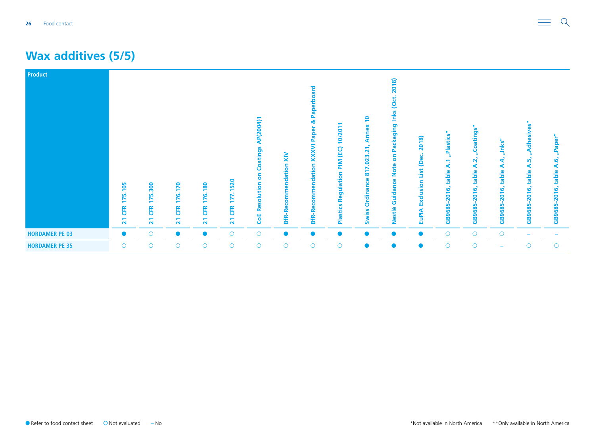#### **Wax additives (5/5)**

| Product               | 175.105<br><b>ER</b><br>$\overline{21}$ | 300<br>75<br><b>EK</b><br>$\overline{\mathbf{z}}$ | 170<br>76.<br>⊢<br><b>CFR</b><br>$\overline{\mathbf{z}}$ | 180<br>76.<br><b>EK</b><br>$\overline{\mathbf{z}}$ | 1520<br>EK<br>$\overline{21}$ | AP(2004)1<br>Coatings<br>S<br><b>CoE Resolution</b> | $\tilde{\mathbf{x}}$<br>endation<br><b>COMM</b><br><b>BfR-Red</b> | 짇<br><u>م</u><br>ೲ<br>Paper<br><b>NXXX</b><br>commendation<br>ω<br><b>BfR-Re</b> | 10/201<br>PIM (EC)<br>gulation<br>Φ<br>œ<br>stics<br>$\frac{a}{2}$ | $\overline{P}$<br>Annex<br>.023.21<br>↖<br>$\overline{\bullet}$<br>Ordinance<br><b>Swiss</b> | 2018)<br><u>io</u><br>Packaging Inks<br>S<br><b>Note</b><br>Guidance<br>Nestlè | 2018)<br>نه<br>é<br>List<br>Exclusion<br><b>EuPIA</b> | "Plastics<br>᠆<br>⋖<br>table<br>$-2016,$<br>GB9685- | Coatings<br>$\mathbf{\Omega}$<br>⋖<br>table<br>$-2016,$<br>GB9685 | "Inks"<br>ď<br>⋖<br>table<br><u>اق</u><br>٥<br>ក<br>m<br>GB968! | 69<br>dhesive<br><u><sub>m</sub></u><br>⋖<br>table<br><u>َ 16</u><br>$\overline{20}$<br>GB9685 | "Paper"<br><b>A.6,</b><br>table<br>2016,<br>GB9685 |
|-----------------------|-----------------------------------------|---------------------------------------------------|----------------------------------------------------------|----------------------------------------------------|-------------------------------|-----------------------------------------------------|-------------------------------------------------------------------|----------------------------------------------------------------------------------|--------------------------------------------------------------------|----------------------------------------------------------------------------------------------|--------------------------------------------------------------------------------|-------------------------------------------------------|-----------------------------------------------------|-------------------------------------------------------------------|-----------------------------------------------------------------|------------------------------------------------------------------------------------------------|----------------------------------------------------|
| <b>HORDAMER PE 03</b> | $\bullet$                               | $\circ$                                           | $\bullet$                                                | $\bullet$                                          | $\circ$                       | $\circ$                                             | $\bullet$                                                         | $\bullet$                                                                        |                                                                    |                                                                                              | $\bullet$                                                                      | $\bullet$                                             | $\circ$                                             | $\bigcirc$                                                        | $\circ$                                                         |                                                                                                |                                                    |
| <b>HORDAMER PE 35</b> | $\circ$                                 | $\circ$                                           | $\circ$                                                  | $\circ$                                            | $\circ$                       | $\circ$                                             | $\circ$                                                           | $\circ$                                                                          | $\circ$                                                            | $\bullet$                                                                                    | $\bullet$                                                                      | $\bullet$                                             | $\circ$                                             | $\circ$                                                           |                                                                 | Ω                                                                                              | $\bigcirc$                                         |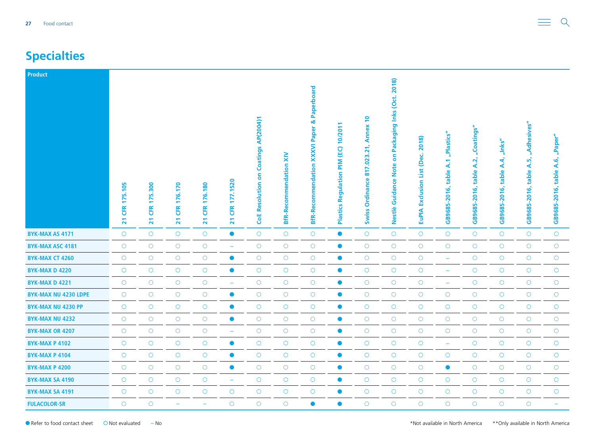# <span id="page-26-0"></span>**Specialties**

| <b>Product</b>              |                                                 |                                                   |                                                 |                                          |                                          |                                             |                               |                                                          |                                                         |                                                           |                                                                      |                                                     |                                         |                                          |                                                   |                                                 |                                         |
|-----------------------------|-------------------------------------------------|---------------------------------------------------|-------------------------------------------------|------------------------------------------|------------------------------------------|---------------------------------------------|-------------------------------|----------------------------------------------------------|---------------------------------------------------------|-----------------------------------------------------------|----------------------------------------------------------------------|-----------------------------------------------------|-----------------------------------------|------------------------------------------|---------------------------------------------------|-------------------------------------------------|-----------------------------------------|
|                             | 175.105<br><b>EK</b><br>$\overline{\mathbf{z}}$ | 300<br>ιń<br><b>ER</b><br>$\overline{\mathbf{z}}$ | 176.170<br><b>ER</b><br>$\overline{\mathbf{z}}$ | 176.180<br>EK<br>$\overline{\mathbf{z}}$ | 177.1520<br>Œ<br>$\overline{\mathbf{z}}$ | <b>CoE Resolution on Coatings AP(2004)1</b> | <b>BfR-Recommendation XIV</b> | Paperboard<br>XXXVI Paper &<br><b>BfR-Recommendation</b> | 10/2011<br>(EC)<br>MId<br>Regulation<br><b>Plastics</b> | Annex 10<br>.023.21,<br>817.<br>Ordinance<br><b>Swiss</b> | Packaging Inks (Oct. 2018)<br>S<br><b>Note</b><br>Guidance<br>Nestlè | 2018)<br>(Dec.<br>List<br>Exclusion<br><b>EuPIA</b> | "Plastics"<br>table A.1<br>GB9685-2016, | "Coatings"<br>table A.2,<br>GB9685-2016, | $n$ lnks"<br><b>A.4,</b><br>table<br>GB9685-2016, | "Adhesives"<br>ທັ<br>∢<br>table<br>GB9685-2016, | "Paper"<br>A.6<br>table<br>GB9685-2016, |
| <b>BYK-MAX AS 4171</b>      | $\circ$                                         | $\circ$                                           | $\bigcirc$                                      | $\bigcirc$                               | $\bullet$                                | $\bigcirc$                                  | $\bigcirc$                    | $\circ$                                                  | $\bullet$                                               | $\circ$                                                   | $\bigcirc$                                                           | $\bigcirc$                                          | $\bigcirc$                              | $\bigcirc$                               | $\circ$                                           | $\circ$                                         | $\circ$                                 |
| <b>BYK-MAX ASC 4181</b>     | $\circ$                                         | $\circ$                                           | $\circ$                                         | $\bigcirc$                               | $\rightarrow$                            | $\bigcirc$                                  | $\circ$                       | $\circ$                                                  | $\bullet$                                               | $\circ$                                                   | $\circ$                                                              | $\bigcirc$                                          | $\bigcirc$                              | $\bigcirc$                               | $\circ$                                           | $\circ$                                         | $\circ$                                 |
| <b>BYK-MAX CT 4260</b>      | $\bigcirc$                                      | $\bigcirc$                                        | $\bigcirc$                                      | $\bigcirc$                               | $\bullet$                                | $\circ$                                     | $\bigcirc$                    | $\bigcirc$                                               | $\bullet$                                               | $\bigcirc$                                                | $\bigcirc$                                                           | $\bigcirc$                                          | $\rightarrow$                           | $\bigcirc$                               | $\bigcirc$                                        | $\bigcirc$                                      | $\bigcirc$                              |
| <b>BYK-MAX D 4220</b>       | $\circ$                                         | $\bigcirc$                                        | $\bigcirc$                                      | $\bigcirc$                               | $\bullet$                                | $\bigcirc$                                  | $\bigcirc$                    | $\circ$                                                  | $\bullet$                                               | $\circ$                                                   | $\bigcirc$                                                           | $\bigcirc$                                          | $\equiv$                                | $\bigcirc$                               | $\circ$                                           | $\bigcirc$                                      | $\circ$                                 |
| BYK-MAX D 4221              | $\circ$                                         | $\circ$                                           | $\circ$                                         | $\bigcirc$                               | $\qquad \qquad \longleftarrow$           | $\bigcirc$                                  | $\bigcirc$                    | $\circ$                                                  | $\bullet$                                               | $\circ$                                                   | $\circ$                                                              | $\bigcirc$                                          | ۳                                       | $\circ$                                  | $\circ$                                           | $\circ$                                         | $\circ$                                 |
| <b>BYK-MAX NU 4230 LDPE</b> | $\circ$                                         | $\bigcirc$                                        | $\bigcirc$                                      | $\bigcirc$                               | $\bullet$                                | $\circ$                                     | $\bigcirc$                    | $\bigcirc$                                               | $\bullet$                                               | $\bigcirc$                                                | $\bigcirc$                                                           | $\bigcirc$                                          | $\bigcirc$                              | $\bigcirc$                               | $\bigcirc$                                        | $\circ$                                         | $\bigcirc$                              |
| <b>BYK-MAX NU 4230 PP</b>   | $\circ$                                         | $\circ$                                           | $\bigcirc$                                      | $\bigcirc$                               | $\bullet$                                | $\bigcirc$                                  | $\bigcirc$                    | $\circ$                                                  | $\bullet$                                               | $\bigcirc$                                                | $\bigcirc$                                                           | $\bigcirc$                                          | $\bigcirc$                              | $\bigcirc$                               | $\circ$                                           | $\circ$                                         | $\circ$                                 |
| <b>BYK-MAX NU 4232</b>      | $\circ$                                         | $\circ$                                           | $\circ$                                         | $\circ$                                  | $\bullet$                                | $\circ$                                     | $\circ$                       | $\circ$                                                  | $\bullet$                                               | $\circ$                                                   | $\circ$                                                              | $\bigcirc$                                          | $\circ$                                 | $\circ$                                  | $\circ$                                           | $\circ$                                         | $\circ$                                 |
| <b>BYK-MAX OR 4207</b>      | $\circ$                                         | $\bigcirc$                                        | $\bigcirc$                                      | $\bigcirc$                               | $\rightarrow$                            | $\bigcirc$                                  | $\bigcirc$                    | $\circ$                                                  | $\bullet$                                               | $\bigcirc$                                                | $\bigcirc$                                                           | $\bigcirc$                                          | $\bigcirc$                              | $\bigcirc$                               | $\circ$                                           | $\circ$                                         | $\bigcirc$                              |
| <b>BYK-MAX P 4102</b>       | $\circ$                                         | $\bigcirc$                                        | $\bigcirc$                                      | $\bigcirc$                               | $\bullet$                                | $\bigcirc$                                  | $\bigcirc$                    | $\circ$                                                  | $\bullet$                                               | $\bigcirc$                                                | $\bigcirc$                                                           | $\bigcirc$                                          | $\equiv$                                | $\bigcirc$                               | $\bigcirc$                                        | $\bigcirc$                                      | $\circ$                                 |
| <b>BYK-MAX P 4104</b>       | $\circ$                                         | $\circ$                                           | $\circ$                                         | $\circ$                                  | $\bullet$                                | $\bigcirc$                                  | $\circ$                       | $\circ$                                                  | $\bullet$                                               | $\circ$                                                   | $\circ$                                                              | $\bigcirc$                                          | $\bigcirc$                              | $\circ$                                  | $\circ$                                           | $\circ$                                         | $\circ$                                 |
| <b>BYK-MAX P 4200</b>       | $\bigcirc$                                      | $\bigcirc$                                        | $\bigcirc$                                      | $\bigcirc$                               | $\bullet$                                | $\circ$                                     | $\bigcirc$                    | $\bigcirc$                                               | $\bullet$                                               | $\bigcirc$                                                | $\bigcirc$                                                           | $\bigcirc$                                          | $\bullet$                               | $\bigcirc$                               | $\bigcirc$                                        | $\bigcirc$                                      | $\bigcirc$                              |
| <b>BYK-MAX SA 4190</b>      | $\circ$                                         | $\bigcirc$                                        | $\circ$                                         | $\circ$                                  | $\equiv$                                 | $\bigcirc$                                  | $\bigcirc$                    | $\circ$                                                  | $\bullet$                                               | $\circ$                                                   | $\circ$                                                              | $\bigcirc$                                          | $\bigcirc$                              | $\bigcirc$                               | $\circ$                                           | $\circ$                                         | $\circ$                                 |
| <b>BYK-MAX SA 4191</b>      | $\circ$                                         | $\bigcirc$                                        | $\circ$                                         | $\bigcirc$                               | $\circ$                                  | $\bigcirc$                                  | $\circ$                       | $\circ$                                                  | $\bullet$                                               | $\circ$                                                   | $\circ$                                                              | $\bigcirc$                                          | $\circ$                                 | $\circ$                                  | $\circ$                                           | $\circ$                                         | $\circ$                                 |
| <b>FULACOLOR-SR</b>         | $\circ$                                         | $\circ$                                           | ÷                                               | ۰                                        | $\circ$                                  | $\overline{O}$                              | $\circ$                       | $\bullet$                                                | $\bullet$                                               | $\circ$                                                   | $\circ$                                                              | $\circ$                                             | $\overline{O}$                          | $\circ$                                  | $\circ$                                           | $\circ$                                         |                                         |